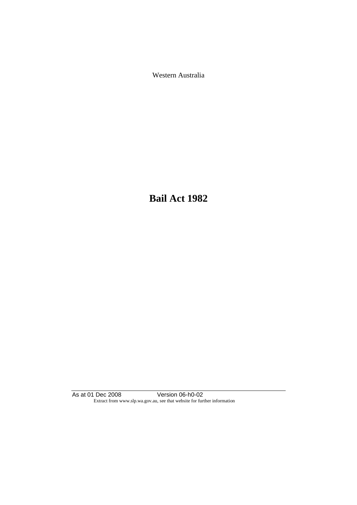Western Australia

**Bail Act 1982**

As at 01 Dec 2008 Version 06-h0-02 Extract from www.slp.wa.gov.au, see that website for further information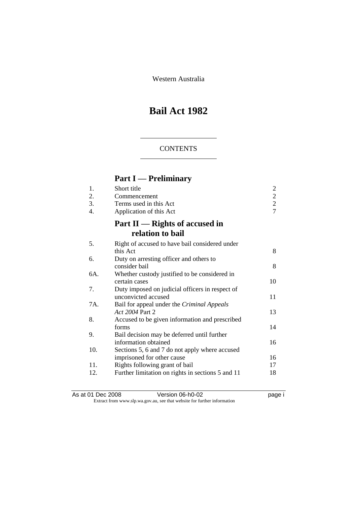Western Australia

# **Bail Act 1982**

### **CONTENTS**

# **Part I — Preliminary**

| 1.<br>2.<br>3.<br>4. | Short title<br>Commencement<br>Terms used in this Act<br>Application of this Act | $\overline{\mathbf{c}}$<br>$\frac{2}{2}$<br>$\overline{7}$ |
|----------------------|----------------------------------------------------------------------------------|------------------------------------------------------------|
|                      | Part $II$ — Rights of accused in<br>relation to bail                             |                                                            |
| 5.                   | Right of accused to have bail considered under                                   |                                                            |
|                      | this Act                                                                         | 8                                                          |
| 6.                   | Duty on arresting officer and others to<br>consider bail                         | 8                                                          |
| 6A.                  | Whether custody justified to be considered in                                    |                                                            |
|                      | certain cases                                                                    | 10                                                         |
| 7.                   | Duty imposed on judicial officers in respect of                                  |                                                            |
|                      | unconvicted accused                                                              | 11                                                         |
| 7A.                  | Bail for appeal under the Criminal Appeals<br>Act 2004 Part 2                    | 13                                                         |
| 8.                   | Accused to be given information and prescribed                                   |                                                            |
|                      | forms                                                                            | 14                                                         |
| 9.                   | Bail decision may be deferred until further                                      |                                                            |
|                      | information obtained                                                             | 16                                                         |
| 10.                  | Sections 5, 6 and 7 do not apply where accused                                   |                                                            |
|                      | imprisoned for other cause                                                       | 16                                                         |
| 11.                  | Rights following grant of bail                                                   | 17                                                         |
| 12.                  | Further limitation on rights in sections 5 and 11                                | 18                                                         |
|                      |                                                                                  |                                                            |

As at 01 Dec 2008 **Version 06-h0-02 page i** Extract from www.slp.wa.gov.au, see that website for further information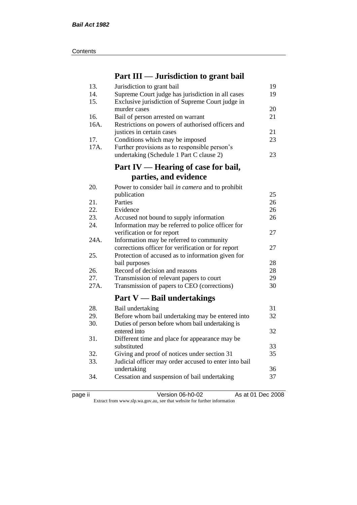| Contents |
|----------|
|----------|

# **Part III — Jurisdiction to grant bail**

| 13.  | Jurisdiction to grant bail                            | 19 |
|------|-------------------------------------------------------|----|
| 14.  | Supreme Court judge has jurisdiction in all cases     | 19 |
| 15.  | Exclusive jurisdiction of Supreme Court judge in      |    |
|      | murder cases                                          | 20 |
| 16.  | Bail of person arrested on warrant                    | 21 |
| 16A. | Restrictions on powers of authorised officers and     |    |
|      | justices in certain cases                             | 21 |
| 17.  | Conditions which may be imposed                       | 23 |
| 17A. | Further provisions as to responsible person's         |    |
|      | undertaking (Schedule 1 Part C clause 2)              | 23 |
|      | Part IV — Hearing of case for bail,                   |    |
|      | parties, and evidence                                 |    |
| 20.  | Power to consider bail in camera and to prohibit      |    |
|      | publication                                           | 25 |
| 21.  | Parties                                               | 26 |
| 22.  | Evidence                                              | 26 |
| 23.  | Accused not bound to supply information               | 26 |
| 24.  | Information may be referred to police officer for     |    |
|      | verification or for report                            | 27 |
| 24A. | Information may be referred to community              |    |
|      | corrections officer for verification or for report    | 27 |
| 25.  | Protection of accused as to information given for     |    |
|      | bail purposes                                         | 28 |
| 26.  | Record of decision and reasons                        | 28 |
| 27.  | Transmission of relevant papers to court              | 29 |
| 27A. | Transmission of papers to CEO (corrections)           | 30 |
|      | Part $V$ — Bail undertakings                          |    |
| 28.  | Bail undertaking                                      | 31 |
| 29.  | Before whom bail undertaking may be entered into      | 32 |
| 30.  | Duties of person before whom bail undertaking is      |    |
|      | entered into                                          | 32 |
| 31.  | Different time and place for appearance may be        |    |
|      | substituted                                           | 33 |
| 32.  | Giving and proof of notices under section 31          | 35 |
| 33.  | Judicial officer may order accused to enter into bail |    |
|      | undertaking                                           | 36 |
| 34.  | Cessation and suspension of bail undertaking          | 37 |
|      |                                                       |    |

|  | ٠. |  |
|--|----|--|
|--|----|--|

page ii Version 06-h0-02 As at 01 Dec 2008 Extract from www.slp.wa.gov.au, see that website for further information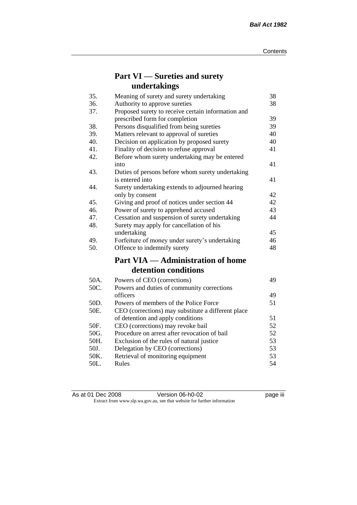# **Part VI — Sureties and surety undertakings**

| 35.  | Meaning of surety and surety undertaking           | 38 |
|------|----------------------------------------------------|----|
| 36.  | Authority to approve sureties                      | 38 |
| 37.  | Proposed surety to receive certain information and |    |
|      | prescribed form for completion                     | 39 |
| 38.  | Persons disqualified from being sureties           | 39 |
| 39.  | Matters relevant to approval of sureties           | 40 |
| 40.  | Decision on application by proposed surety         | 40 |
| 41.  | Finality of decision to refuse approval            | 41 |
| 42.  | Before whom surety undertaking may be entered      |    |
|      | into                                               | 41 |
| 43.  | Duties of persons before whom surety undertaking   |    |
|      | is entered into                                    | 41 |
| 44.  | Surety undertaking extends to adjourned hearing    |    |
|      | only by consent                                    | 42 |
| 45.  | Giving and proof of notices under section 44       | 42 |
| 46.  | Power of surety to apprehend accused               | 43 |
| 47.  | Cessation and suspension of surety undertaking     | 44 |
| 48.  | Surety may apply for cancellation of his           |    |
|      | undertaking                                        | 45 |
| 49.  | Forfeiture of money under surety's undertaking     | 46 |
| 50.  | Offence to indemnify surety                        | 48 |
|      | <b>Part VIA — Administration of home</b>           |    |
|      | detention conditions                               |    |
| 50A. | Powers of CEO (corrections)                        | 49 |
| 50C. | Powers and duties of community corrections         |    |
|      | officers                                           | 49 |
| 50D. | Powers of members of the Police Force              | 51 |
| 50E. | CEO (corrections) may substitute a different place |    |
|      | of detention and apply conditions                  | 51 |
| 50F. | CEO (corrections) may revoke bail                  | 52 |
| 50G. | Procedure on arrest after revocation of bail       | 52 |
| 50H. | Exclusion of the rules of natural justice          | 53 |
| 50J. | Delegation by CEO (corrections)                    | 53 |
| 50K. | Retrieval of monitoring equipment                  | 53 |
| 50L. | Rules                                              | 54 |

| As at 01 Dec 2008                                                        |  | Version 06-h0-02 | <br>page III |
|--------------------------------------------------------------------------|--|------------------|--------------|
| Extract from www.slp.wa.gov.au, see that website for further information |  |                  |              |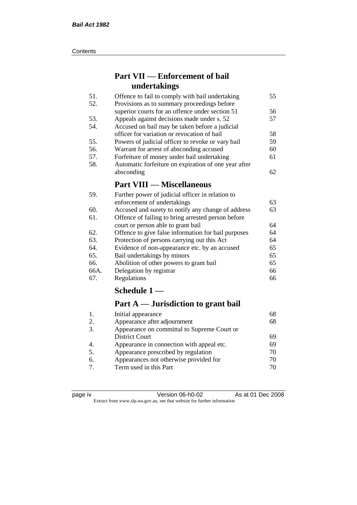#### **Contents**

# **Part VII — Enforcement of bail undertakings**

| 51. | Offence to fail to comply with bail undertaking      | 55 |
|-----|------------------------------------------------------|----|
| 52. | Provisions as to summary proceedings before          |    |
|     | superior courts for an offence under section 51      | 56 |
| 53. | Appeals against decisions made under s. 52           | 57 |
| 54. | Accused on bail may be taken before a judicial       |    |
|     | officer for variation or revocation of bail          | 58 |
| 55. | Powers of judicial officer to revoke or vary bail    | 59 |
| 56. | Warrant for arrest of absconding accused             | 60 |
| 57. | Forfeiture of money under bail undertaking           | 61 |
| 58. | Automatic forfeiture on expiration of one year after |    |
|     | absconding                                           | 62 |
|     | <b>Part VIII — Miscellaneous</b>                     |    |
|     |                                                      |    |

#### 59. Further power of judicial officer in relation to enforcement of undertakings 63 60. Accused and surety to notify any change of address 63 61. Offence of failing to bring arrested person before court or person able to grant bail 64 62. Offence to give false information for bail purposes 64 63. Protection of persons carrying out this Act 64 64. Evidence of non-appearance etc. by an accused 65 65. Bail undertakings by minors 65 66. Abolition of other powers to grant bail 65 66A. Delegation by registrar 66 67. Regulations 66

### **Schedule 1 —**

# **Part A — Jurisdiction to grant bail**

| 68 |
|----|
| 68 |
|    |
| 69 |
| 69 |
| 70 |
| 70 |
| 70 |
|    |

| c<br>н |
|--------|
|--------|

page iv Version 06-h0-02 As at 01 Dec 2008 Extract from www.slp.wa.gov.au, see that website for further information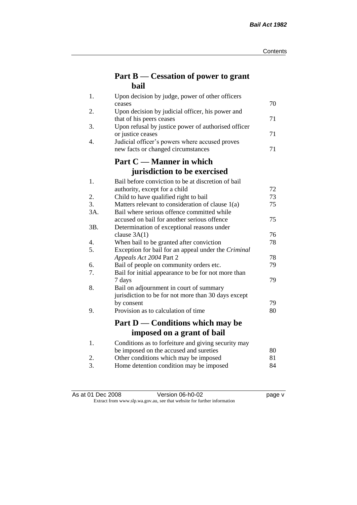# **Part B — Cessation of power to grant bail**

| 1.  | Upon decision by judge, power of other officers                                 |    |
|-----|---------------------------------------------------------------------------------|----|
|     | ceases                                                                          | 70 |
| 2.  | Upon decision by judicial officer, his power and                                | 71 |
| 3.  | that of his peers ceases<br>Upon refusal by justice power of authorised officer |    |
|     | or justice ceases                                                               | 71 |
| 4.  | Judicial officer's powers where accused proves                                  |    |
|     | new facts or changed circumstances                                              | 71 |
|     | Part C — Manner in which                                                        |    |
|     | jurisdiction to be exercised                                                    |    |
| 1.  | Bail before conviction to be at discretion of bail                              |    |
|     | authority, except for a child                                                   | 72 |
| 2.  | Child to have qualified right to bail                                           | 73 |
| 3.  | Matters relevant to consideration of clause 1(a)                                | 75 |
| 3A. | Bail where serious offence committed while                                      |    |
|     | accused on bail for another serious offence                                     | 75 |
| 3B. | Determination of exceptional reasons under                                      |    |
|     | clause $3A(1)$                                                                  | 76 |
| 4.  | When bail to be granted after conviction                                        | 78 |
| 5.  | Exception for bail for an appeal under the Criminal                             |    |
|     | Appeals Act 2004 Part 2                                                         | 78 |
| 6.  | Bail of people on community orders etc.                                         | 79 |
| 7.  | Bail for initial appearance to be for not more than<br>7 days                   | 79 |
| 8.  | Bail on adjournment in court of summary                                         |    |
|     | jurisdiction to be for not more than 30 days except                             |    |
|     | by consent                                                                      | 79 |
| 9.  | Provision as to calculation of time                                             | 80 |
|     |                                                                                 |    |
|     | Part D — Conditions which may be                                                |    |
|     | imposed on a grant of bail                                                      |    |
| 1.  | Conditions as to forfeiture and giving security may                             |    |
|     | be imposed on the accused and sureties                                          | 80 |
| 2.  | Other conditions which may be imposed                                           | 81 |
| 3.  | Home detention condition may be imposed                                         | 84 |

| As at 01 Dec 2008 | Version 06-h0-02 | page v |
|-------------------|------------------|--------|

#### Extract from www.slp.wa.gov.au, see that website for further information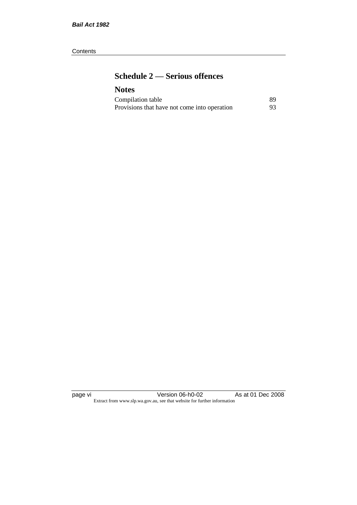#### **Contents**

# **Schedule 2 — Serious offences**

## **Notes**

| Compilation table                            | 89 |
|----------------------------------------------|----|
| Provisions that have not come into operation | 93 |

page vi Version 06-h0-02 As at 01 Dec 2008 Extract from www.slp.wa.gov.au, see that website for further information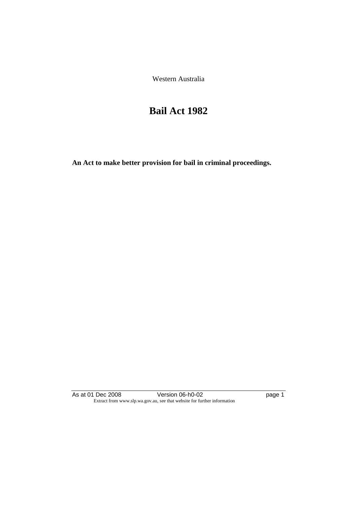Western Australia

# **Bail Act 1982**

**An Act to make better provision for bail in criminal proceedings.** 

As at 01 Dec 2008 **Version 06-h0-02 page 1** Extract from www.slp.wa.gov.au, see that website for further information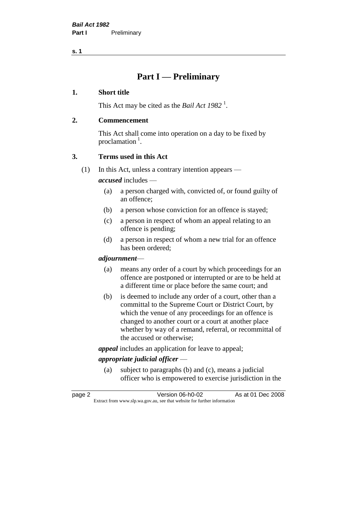# **Part I — Preliminary**

#### **1. Short title**

This Act may be cited as the *Bail Act* 1982<sup>1</sup>.

#### **2. Commencement**

This Act shall come into operation on a day to be fixed by proclamation  $<sup>1</sup>$ .</sup>

### **3. Terms used in this Act**

(1) In this Act, unless a contrary intention appears —

*accused* includes —

- (a) a person charged with, convicted of, or found guilty of an offence;
- (b) a person whose conviction for an offence is stayed;
- (c) a person in respect of whom an appeal relating to an offence is pending;
- (d) a person in respect of whom a new trial for an offence has been ordered;

#### *adjournment*—

- (a) means any order of a court by which proceedings for an offence are postponed or interrupted or are to be held at a different time or place before the same court; and
- (b) is deemed to include any order of a court, other than a committal to the Supreme Court or District Court, by which the venue of any proceedings for an offence is changed to another court or a court at another place whether by way of a remand, referral, or recommittal of the accused or otherwise;

*appeal* includes an application for leave to appeal;

### *appropriate judicial officer* —

(a) subject to paragraphs (b) and (c), means a judicial officer who is empowered to exercise jurisdiction in the

page 2 Version 06-h0-02 As at 01 Dec 2008 Extract from www.slp.wa.gov.au, see that website for further information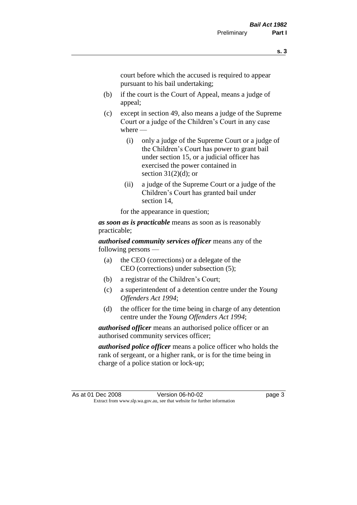court before which the accused is required to appear pursuant to his bail undertaking;

- (b) if the court is the Court of Appeal, means a judge of appeal;
- (c) except in section 49, also means a judge of the Supreme Court or a judge of the Children's Court in any case where —
	- (i) only a judge of the Supreme Court or a judge of the Children's Court has power to grant bail under section 15, or a judicial officer has exercised the power contained in section  $31(2)(d)$ ; or
	- (ii) a judge of the Supreme Court or a judge of the Children's Court has granted bail under section 14,

for the appearance in question;

*as soon as is practicable* means as soon as is reasonably practicable;

*authorised community services officer* means any of the following persons —

- (a) the CEO (corrections) or a delegate of the CEO (corrections) under subsection (5);
- (b) a registrar of the Children's Court;
- (c) a superintendent of a detention centre under the *Young Offenders Act 1994*;
- (d) the officer for the time being in charge of any detention centre under the *Young Offenders Act 1994*;

*authorised officer* means an authorised police officer or an authorised community services officer;

*authorised police officer* means a police officer who holds the rank of sergeant, or a higher rank, or is for the time being in charge of a police station or lock-up;

As at 01 Dec 2008 Version 06-h0-02 page 3 Extract from www.slp.wa.gov.au, see that website for further information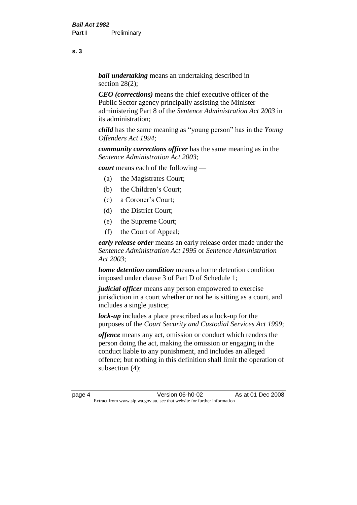*bail undertaking* means an undertaking described in section 28(2):

*CEO (corrections)* means the chief executive officer of the Public Sector agency principally assisting the Minister administering Part 8 of the *Sentence Administration Act 2003* in its administration;

*child* has the same meaning as "young person" has in the *Young Offenders Act 1994*;

*community corrections officer* has the same meaning as in the *Sentence Administration Act 2003*;

*court* means each of the following —

- (a) the Magistrates Court;
- (b) the Children's Court;
- (c) a Coroner's Court;
- (d) the District Court;
- (e) the Supreme Court;
- (f) the Court of Appeal;

*early release order* means an early release order made under the *Sentence Administration Act 1995* or *Sentence Administration Act 2003*;

*home detention condition* means a home detention condition imposed under clause 3 of Part D of Schedule 1;

*judicial officer* means any person empowered to exercise jurisdiction in a court whether or not he is sitting as a court, and includes a single justice;

*lock-up* includes a place prescribed as a lock-up for the purposes of the *Court Security and Custodial Services Act 1999*;

*offence* means any act, omission or conduct which renders the person doing the act, making the omission or engaging in the conduct liable to any punishment, and includes an alleged offence; but nothing in this definition shall limit the operation of subsection (4);

page 4 **Version 06-h0-02** As at 01 Dec 2008 Extract from www.slp.wa.gov.au, see that website for further information

**s. 3**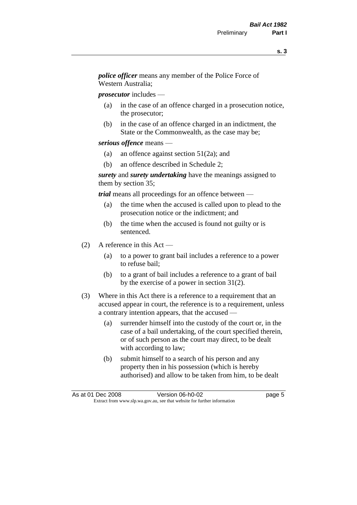*police officer* means any member of the Police Force of Western Australia;

*prosecutor* includes —

- (a) in the case of an offence charged in a prosecution notice, the prosecutor;
- (b) in the case of an offence charged in an indictment, the State or the Commonwealth, as the case may be;

#### *serious offence* means —

- (a) an offence against section 51(2a); and
- (b) an offence described in Schedule 2;

*surety* and *surety undertaking* have the meanings assigned to them by section 35;

*trial* means all proceedings for an offence between —

- (a) the time when the accused is called upon to plead to the prosecution notice or the indictment; and
- (b) the time when the accused is found not guilty or is sentenced.
- (2) A reference in this Act
	- (a) to a power to grant bail includes a reference to a power to refuse bail;
	- (b) to a grant of bail includes a reference to a grant of bail by the exercise of a power in section 31(2).
- (3) Where in this Act there is a reference to a requirement that an accused appear in court, the reference is to a requirement, unless a contrary intention appears, that the accused —
	- (a) surrender himself into the custody of the court or, in the case of a bail undertaking, of the court specified therein, or of such person as the court may direct, to be dealt with according to law;
	- (b) submit himself to a search of his person and any property then in his possession (which is hereby authorised) and allow to be taken from him, to be dealt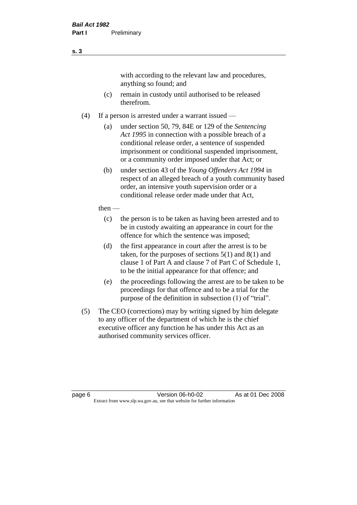with according to the relevant law and procedures, anything so found; and

- (c) remain in custody until authorised to be released therefrom.
- (4) If a person is arrested under a warrant issued
	- (a) under section 50, 79, 84E or 129 of the *Sentencing Act 1995* in connection with a possible breach of a conditional release order, a sentence of suspended imprisonment or conditional suspended imprisonment, or a community order imposed under that Act; or
	- (b) under section 43 of the *Young Offenders Act 1994* in respect of an alleged breach of a youth community based order, an intensive youth supervision order or a conditional release order made under that Act,
	- then
		- (c) the person is to be taken as having been arrested and to be in custody awaiting an appearance in court for the offence for which the sentence was imposed;
		- (d) the first appearance in court after the arrest is to be taken, for the purposes of sections  $5(1)$  and  $8(1)$  and clause 1 of Part A and clause 7 of Part C of Schedule 1, to be the initial appearance for that offence; and
		- (e) the proceedings following the arrest are to be taken to be proceedings for that offence and to be a trial for the purpose of the definition in subsection (1) of "trial".
- (5) The CEO (corrections) may by writing signed by him delegate to any officer of the department of which he is the chief executive officer any function he has under this Act as an authorised community services officer.

page 6 **Version 06-h0-02** As at 01 Dec 2008 Extract from www.slp.wa.gov.au, see that website for further information

**s. 3**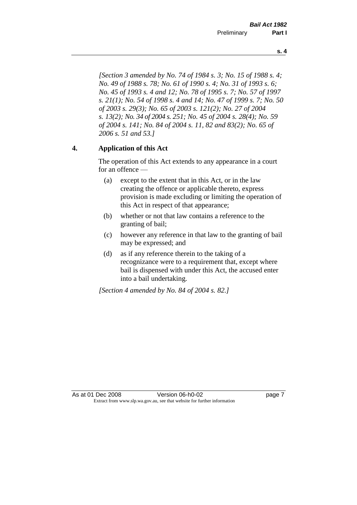*[Section 3 amended by No. 74 of 1984 s. 3; No. 15 of 1988 s. 4; No. 49 of 1988 s. 78; No. 61 of 1990 s. 4; No. 31 of 1993 s. 6; No. 45 of 1993 s. 4 and 12; No. 78 of 1995 s. 7; No. 57 of 1997 s. 21(1); No. 54 of 1998 s. 4 and 14; No. 47 of 1999 s. 7; No. 50* 

*of 2003 s. 29(3); No. 65 of 2003 s. 121(2); No. 27 of 2004 s. 13(2); No. 34 of 2004 s. 251; No. 45 of 2004 s. 28(4); No. 59 of 2004 s. 141; No. 84 of 2004 s. 11, 82 and 83(2); No. 65 of 2006 s. 51 and 53.]* 

#### **4. Application of this Act**

The operation of this Act extends to any appearance in a court for an offence —

- (a) except to the extent that in this Act, or in the law creating the offence or applicable thereto, express provision is made excluding or limiting the operation of this Act in respect of that appearance;
- (b) whether or not that law contains a reference to the granting of bail;
- (c) however any reference in that law to the granting of bail may be expressed; and
- (d) as if any reference therein to the taking of a recognizance were to a requirement that, except where bail is dispensed with under this Act, the accused enter into a bail undertaking.

*[Section 4 amended by No. 84 of 2004 s. 82.]*

**s. 4**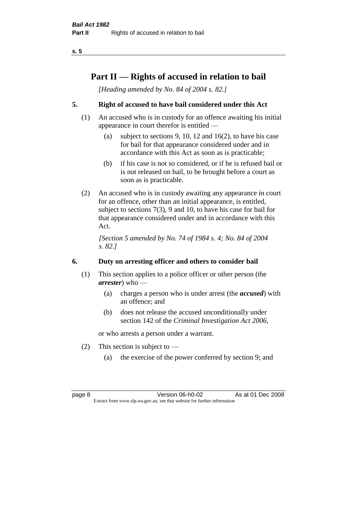# **Part II — Rights of accused in relation to bail**

*[Heading amended by No. 84 of 2004 s. 82.]* 

### **5. Right of accused to have bail considered under this Act**

- (1) An accused who is in custody for an offence awaiting his initial appearance in court therefor is entitled —
	- (a) subject to sections 9, 10, 12 and 16(2), to have his case for bail for that appearance considered under and in accordance with this Act as soon as is practicable;
	- (b) if his case is not so considered, or if he is refused bail or is not released on bail, to be brought before a court as soon as is practicable.
- (2) An accused who is in custody awaiting any appearance in court for an offence, other than an initial appearance, is entitled, subject to sections 7(3), 9 and 10, to have his case for bail for that appearance considered under and in accordance with this Act.

*[Section 5 amended by No. 74 of 1984 s. 4; No. 84 of 2004 s. 82.]* 

### **6. Duty on arresting officer and others to consider bail**

- (1) This section applies to a police officer or other person (the *arrester*) who —
	- (a) charges a person who is under arrest (the *accused*) with an offence; and
	- (b) does not release the accused unconditionally under section 142 of the *Criminal Investigation Act 2006*,

or who arrests a person under a warrant.

- (2) This section is subject to  $-$ 
	- (a) the exercise of the power conferred by section 9; and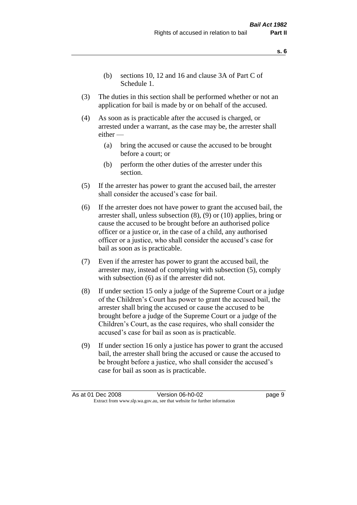- (b) sections 10, 12 and 16 and clause 3A of Part C of Schedule 1.
- (3) The duties in this section shall be performed whether or not an application for bail is made by or on behalf of the accused.
- (4) As soon as is practicable after the accused is charged, or arrested under a warrant, as the case may be, the arrester shall either —
	- (a) bring the accused or cause the accused to be brought before a court; or
	- (b) perform the other duties of the arrester under this section.
- (5) If the arrester has power to grant the accused bail, the arrester shall consider the accused's case for bail.
- (6) If the arrester does not have power to grant the accused bail, the arrester shall, unless subsection (8), (9) or (10) applies, bring or cause the accused to be brought before an authorised police officer or a justice or, in the case of a child, any authorised officer or a justice, who shall consider the accused's case for bail as soon as is practicable.
- (7) Even if the arrester has power to grant the accused bail, the arrester may, instead of complying with subsection (5), comply with subsection  $(6)$  as if the arrester did not.
- (8) If under section 15 only a judge of the Supreme Court or a judge of the Children's Court has power to grant the accused bail, the arrester shall bring the accused or cause the accused to be brought before a judge of the Supreme Court or a judge of the Children's Court, as the case requires, who shall consider the accused's case for bail as soon as is practicable.
- (9) If under section 16 only a justice has power to grant the accused bail, the arrester shall bring the accused or cause the accused to be brought before a justice, who shall consider the accused's case for bail as soon as is practicable.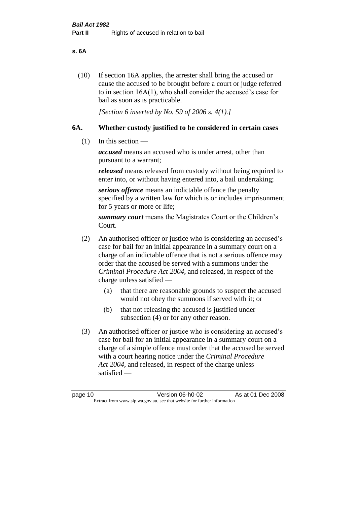#### **s. 6A**

(10) If section 16A applies, the arrester shall bring the accused or cause the accused to be brought before a court or judge referred to in section 16A(1), who shall consider the accused's case for bail as soon as is practicable.

*[Section 6 inserted by No. 59 of 2006 s. 4(1).]* 

#### **6A. Whether custody justified to be considered in certain cases**

(1) In this section —

*accused* means an accused who is under arrest, other than pursuant to a warrant;

*released* means released from custody without being required to enter into, or without having entered into, a bail undertaking;

*serious offence* means an indictable offence the penalty specified by a written law for which is or includes imprisonment for 5 years or more or life;

*summary court* means the Magistrates Court or the Children's Court.

- (2) An authorised officer or justice who is considering an accused's case for bail for an initial appearance in a summary court on a charge of an indictable offence that is not a serious offence may order that the accused be served with a summons under the *Criminal Procedure Act 2004*, and released, in respect of the charge unless satisfied —
	- (a) that there are reasonable grounds to suspect the accused would not obey the summons if served with it; or
	- (b) that not releasing the accused is justified under subsection (4) or for any other reason.
- (3) An authorised officer or justice who is considering an accused's case for bail for an initial appearance in a summary court on a charge of a simple offence must order that the accused be served with a court hearing notice under the *Criminal Procedure Act 2004*, and released, in respect of the charge unless satisfied —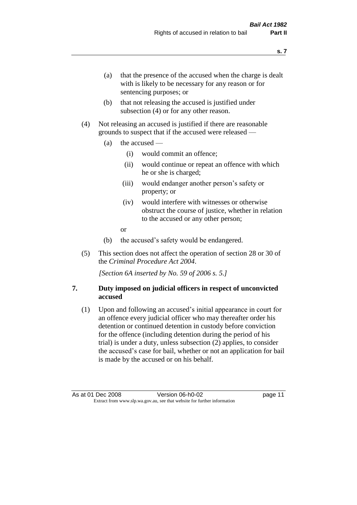- (a) that the presence of the accused when the charge is dealt with is likely to be necessary for any reason or for sentencing purposes; or
- (b) that not releasing the accused is justified under subsection (4) or for any other reason.
- (4) Not releasing an accused is justified if there are reasonable grounds to suspect that if the accused were released —
	- (a) the accused
		- (i) would commit an offence;
		- (ii) would continue or repeat an offence with which he or she is charged;
		- (iii) would endanger another person's safety or property; or
		- (iv) would interfere with witnesses or otherwise obstruct the course of justice, whether in relation to the accused or any other person;
		- or
	- (b) the accused's safety would be endangered.
- (5) This section does not affect the operation of section 28 or 30 of the *Criminal Procedure Act 2004*.

*[Section 6A inserted by No. 59 of 2006 s. 5.]* 

#### **7. Duty imposed on judicial officers in respect of unconvicted accused**

(1) Upon and following an accused's initial appearance in court for an offence every judicial officer who may thereafter order his detention or continued detention in custody before conviction for the offence (including detention during the period of his trial) is under a duty, unless subsection (2) applies, to consider the accused's case for bail, whether or not an application for bail is made by the accused or on his behalf.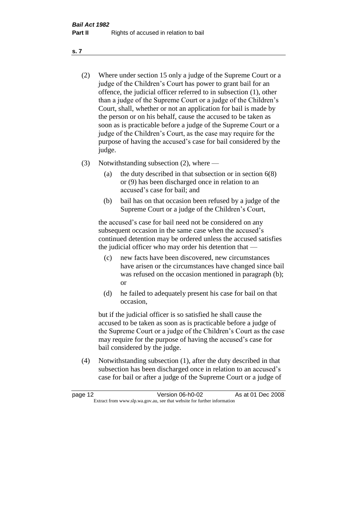- (2) Where under section 15 only a judge of the Supreme Court or a judge of the Children's Court has power to grant bail for an offence, the judicial officer referred to in subsection (1), other than a judge of the Supreme Court or a judge of the Children's Court, shall, whether or not an application for bail is made by the person or on his behalf, cause the accused to be taken as soon as is practicable before a judge of the Supreme Court or a judge of the Children's Court, as the case may require for the purpose of having the accused's case for bail considered by the judge.
- (3) Notwithstanding subsection (2), where
	- (a) the duty described in that subsection or in section 6(8) or (9) has been discharged once in relation to an accused's case for bail; and
	- (b) bail has on that occasion been refused by a judge of the Supreme Court or a judge of the Children's Court,

the accused's case for bail need not be considered on any subsequent occasion in the same case when the accused's continued detention may be ordered unless the accused satisfies the judicial officer who may order his detention that —

- (c) new facts have been discovered, new circumstances have arisen or the circumstances have changed since bail was refused on the occasion mentioned in paragraph (b); or
- (d) he failed to adequately present his case for bail on that occasion,

but if the judicial officer is so satisfied he shall cause the accused to be taken as soon as is practicable before a judge of the Supreme Court or a judge of the Children's Court as the case may require for the purpose of having the accused's case for bail considered by the judge.

(4) Notwithstanding subsection (1), after the duty described in that subsection has been discharged once in relation to an accused's case for bail or after a judge of the Supreme Court or a judge of

| page 12 | Version 06-h0-02                                                         | As at 01 Dec 2008 |
|---------|--------------------------------------------------------------------------|-------------------|
|         | Extract from www.slp.wa.gov.au, see that website for further information |                   |

**s. 7**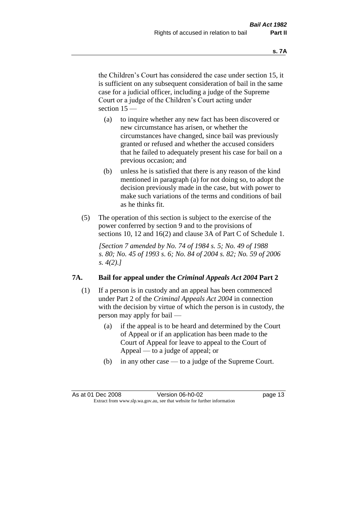the Children's Court has considered the case under section 15, it is sufficient on any subsequent consideration of bail in the same case for a judicial officer, including a judge of the Supreme Court or a judge of the Children's Court acting under section 15 —

- (a) to inquire whether any new fact has been discovered or new circumstance has arisen, or whether the circumstances have changed, since bail was previously granted or refused and whether the accused considers that he failed to adequately present his case for bail on a previous occasion; and
- (b) unless he is satisfied that there is any reason of the kind mentioned in paragraph (a) for not doing so, to adopt the decision previously made in the case, but with power to make such variations of the terms and conditions of bail as he thinks fit.
- (5) The operation of this section is subject to the exercise of the power conferred by section 9 and to the provisions of sections 10, 12 and 16(2) and clause 3A of Part C of Schedule 1.

*[Section 7 amended by No. 74 of 1984 s. 5; No. 49 of 1988 s. 80; No. 45 of 1993 s. 6; No. 84 of 2004 s. 82; No. 59 of 2006 s. 4(2).]* 

#### **7A. Bail for appeal under the** *Criminal Appeals Act 2004* **Part 2**

- (1) If a person is in custody and an appeal has been commenced under Part 2 of the *Criminal Appeals Act 2004* in connection with the decision by virtue of which the person is in custody, the person may apply for bail —
	- (a) if the appeal is to be heard and determined by the Court of Appeal or if an application has been made to the Court of Appeal for leave to appeal to the Court of Appeal — to a judge of appeal; or
	- (b) in any other case to a judge of the Supreme Court.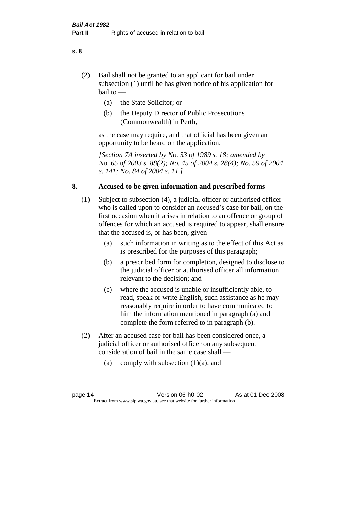- (2) Bail shall not be granted to an applicant for bail under subsection (1) until he has given notice of his application for bail to —
	- (a) the State Solicitor; or
	- (b) the Deputy Director of Public Prosecutions (Commonwealth) in Perth,

as the case may require, and that official has been given an opportunity to be heard on the application.

*[Section 7A inserted by No. 33 of 1989 s. 18; amended by No. 65 of 2003 s. 88(2); No. 45 of 2004 s. 28(4); No. 59 of 2004 s. 141; No. 84 of 2004 s. 11.]* 

#### **8. Accused to be given information and prescribed forms**

- (1) Subject to subsection (4), a judicial officer or authorised officer who is called upon to consider an accused's case for bail, on the first occasion when it arises in relation to an offence or group of offences for which an accused is required to appear, shall ensure that the accused is, or has been, given —
	- (a) such information in writing as to the effect of this Act as is prescribed for the purposes of this paragraph;
	- (b) a prescribed form for completion, designed to disclose to the judicial officer or authorised officer all information relevant to the decision; and
	- (c) where the accused is unable or insufficiently able, to read, speak or write English, such assistance as he may reasonably require in order to have communicated to him the information mentioned in paragraph (a) and complete the form referred to in paragraph (b).
- (2) After an accused case for bail has been considered once, a judicial officer or authorised officer on any subsequent consideration of bail in the same case shall —
	- (a) comply with subsection  $(1)(a)$ ; and

#### **s. 8**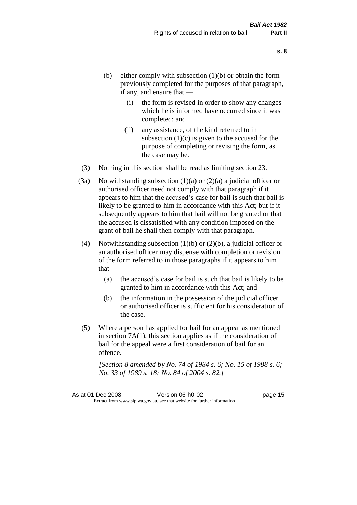- (b) either comply with subsection  $(1)(b)$  or obtain the form previously completed for the purposes of that paragraph, if any, and ensure that —
	- (i) the form is revised in order to show any changes which he is informed have occurred since it was completed; and
	- (ii) any assistance, of the kind referred to in subsection  $(1)(c)$  is given to the accused for the purpose of completing or revising the form, as the case may be.
- (3) Nothing in this section shall be read as limiting section 23.
- (3a) Notwithstanding subsection  $(1)(a)$  or  $(2)(a)$  a judicial officer or authorised officer need not comply with that paragraph if it appears to him that the accused's case for bail is such that bail is likely to be granted to him in accordance with this Act; but if it subsequently appears to him that bail will not be granted or that the accused is dissatisfied with any condition imposed on the grant of bail he shall then comply with that paragraph.
- (4) Notwithstanding subsection  $(1)(b)$  or  $(2)(b)$ , a judicial officer or an authorised officer may dispense with completion or revision of the form referred to in those paragraphs if it appears to him  $that -$ 
	- (a) the accused's case for bail is such that bail is likely to be granted to him in accordance with this Act; and
	- (b) the information in the possession of the judicial officer or authorised officer is sufficient for his consideration of the case.
- (5) Where a person has applied for bail for an appeal as mentioned in section 7A(1), this section applies as if the consideration of bail for the appeal were a first consideration of bail for an offence.

*[Section 8 amended by No. 74 of 1984 s. 6; No. 15 of 1988 s. 6; No. 33 of 1989 s. 18; No. 84 of 2004 s. 82.]*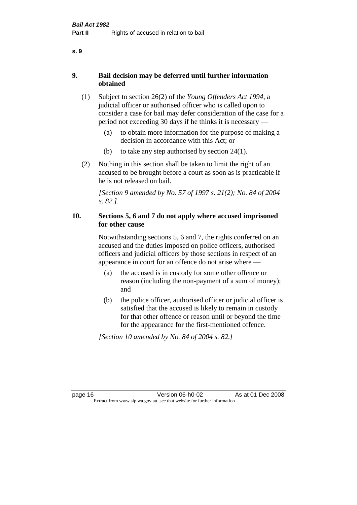### **9. Bail decision may be deferred until further information obtained**

- (1) Subject to section 26(2) of the *Young Offenders Act 1994*, a judicial officer or authorised officer who is called upon to consider a case for bail may defer consideration of the case for a period not exceeding 30 days if he thinks it is necessary —
	- (a) to obtain more information for the purpose of making a decision in accordance with this Act; or
	- (b) to take any step authorised by section 24(1).
- (2) Nothing in this section shall be taken to limit the right of an accused to be brought before a court as soon as is practicable if he is not released on bail.

*[Section 9 amended by No. 57 of 1997 s. 21(2); No. 84 of 2004 s. 82.]*

### **10. Sections 5, 6 and 7 do not apply where accused imprisoned for other cause**

Notwithstanding sections 5, 6 and 7, the rights conferred on an accused and the duties imposed on police officers, authorised officers and judicial officers by those sections in respect of an appearance in court for an offence do not arise where —

- (a) the accused is in custody for some other offence or reason (including the non-payment of a sum of money); and
- (b) the police officer, authorised officer or judicial officer is satisfied that the accused is likely to remain in custody for that other offence or reason until or beyond the time for the appearance for the first-mentioned offence.

*[Section 10 amended by No. 84 of 2004 s. 82.]*

```
s. 9
```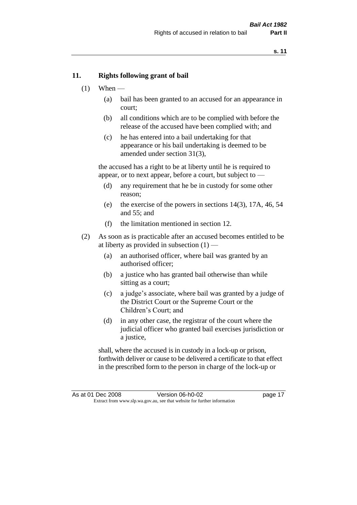#### **11. Rights following grant of bail**

- $(1)$  When
	- (a) bail has been granted to an accused for an appearance in court;
	- (b) all conditions which are to be complied with before the release of the accused have been complied with; and
	- (c) he has entered into a bail undertaking for that appearance or his bail undertaking is deemed to be amended under section 31(3),

the accused has a right to be at liberty until he is required to appear, or to next appear, before a court, but subject to —

- (d) any requirement that he be in custody for some other reason;
- (e) the exercise of the powers in sections 14(3), 17A, 46, 54 and 55; and
- (f) the limitation mentioned in section 12.
- (2) As soon as is practicable after an accused becomes entitled to be at liberty as provided in subsection  $(1)$  —
	- (a) an authorised officer, where bail was granted by an authorised officer;
	- (b) a justice who has granted bail otherwise than while sitting as a court;
	- (c) a judge's associate, where bail was granted by a judge of the District Court or the Supreme Court or the Children's Court; and
	- (d) in any other case, the registrar of the court where the judicial officer who granted bail exercises jurisdiction or a justice,

shall, where the accused is in custody in a lock-up or prison, forthwith deliver or cause to be delivered a certificate to that effect in the prescribed form to the person in charge of the lock-up or

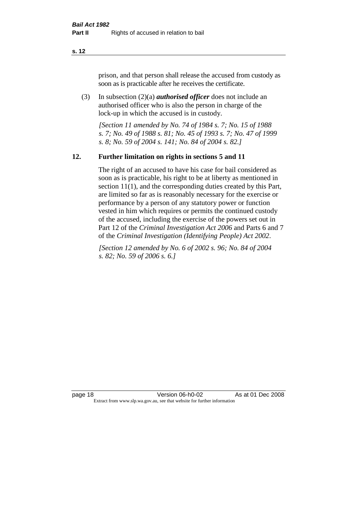prison, and that person shall release the accused from custody as soon as is practicable after he receives the certificate.

(3) In subsection (2)(a) *authorised officer* does not include an authorised officer who is also the person in charge of the lock-up in which the accused is in custody.

*[Section 11 amended by No. 74 of 1984 s. 7; No. 15 of 1988 s. 7; No. 49 of 1988 s. 81; No. 45 of 1993 s. 7; No. 47 of 1999 s. 8; No. 59 of 2004 s. 141; No. 84 of 2004 s. 82.]* 

#### **12. Further limitation on rights in sections 5 and 11**

The right of an accused to have his case for bail considered as soon as is practicable, his right to be at liberty as mentioned in section 11(1), and the corresponding duties created by this Part, are limited so far as is reasonably necessary for the exercise or performance by a person of any statutory power or function vested in him which requires or permits the continued custody of the accused, including the exercise of the powers set out in Part 12 of the *Criminal Investigation Act 2006* and Parts 6 and 7 of the *Criminal Investigation (Identifying People) Act 2002*.

*[Section 12 amended by No. 6 of 2002 s. 96; No. 84 of 2004 s. 82; No. 59 of 2006 s. 6.]*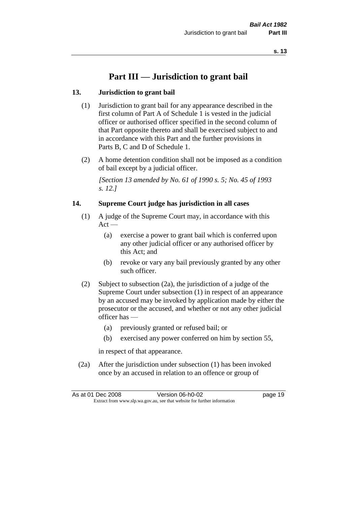# **Part III — Jurisdiction to grant bail**

### **13. Jurisdiction to grant bail**

- (1) Jurisdiction to grant bail for any appearance described in the first column of Part A of Schedule 1 is vested in the judicial officer or authorised officer specified in the second column of that Part opposite thereto and shall be exercised subject to and in accordance with this Part and the further provisions in Parts B, C and D of Schedule 1.
- (2) A home detention condition shall not be imposed as a condition of bail except by a judicial officer.

*[Section 13 amended by No. 61 of 1990 s. 5; No. 45 of 1993 s. 12.]* 

#### **14. Supreme Court judge has jurisdiction in all cases**

- (1) A judge of the Supreme Court may, in accordance with this  $Act -$ 
	- (a) exercise a power to grant bail which is conferred upon any other judicial officer or any authorised officer by this Act; and
	- (b) revoke or vary any bail previously granted by any other such officer.
- (2) Subject to subsection (2a), the jurisdiction of a judge of the Supreme Court under subsection (1) in respect of an appearance by an accused may be invoked by application made by either the prosecutor or the accused, and whether or not any other judicial officer has —
	- (a) previously granted or refused bail; or
	- (b) exercised any power conferred on him by section 55,

in respect of that appearance.

(2a) After the jurisdiction under subsection (1) has been invoked once by an accused in relation to an offence or group of

|  | As at 01 Dec 2008                                                        | Version 06-h0-02 | page 19 |
|--|--------------------------------------------------------------------------|------------------|---------|
|  | Extract from www.slp.wa.gov.au, see that website for further information |                  |         |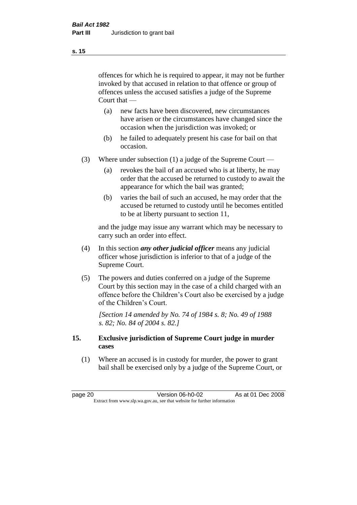offences for which he is required to appear, it may not be further invoked by that accused in relation to that offence or group of offences unless the accused satisfies a judge of the Supreme Court that —

- (a) new facts have been discovered, new circumstances have arisen or the circumstances have changed since the occasion when the jurisdiction was invoked; or
- (b) he failed to adequately present his case for bail on that occasion.
- (3) Where under subsection (1) a judge of the Supreme Court
	- (a) revokes the bail of an accused who is at liberty, he may order that the accused be returned to custody to await the appearance for which the bail was granted;
	- (b) varies the bail of such an accused, he may order that the accused be returned to custody until he becomes entitled to be at liberty pursuant to section 11,

and the judge may issue any warrant which may be necessary to carry such an order into effect.

- (4) In this section *any other judicial officer* means any judicial officer whose jurisdiction is inferior to that of a judge of the Supreme Court.
- (5) The powers and duties conferred on a judge of the Supreme Court by this section may in the case of a child charged with an offence before the Children's Court also be exercised by a judge of the Children's Court.

*[Section 14 amended by No. 74 of 1984 s. 8; No. 49 of 1988 s. 82; No. 84 of 2004 s. 82.]* 

#### **15. Exclusive jurisdiction of Supreme Court judge in murder cases**

(1) Where an accused is in custody for murder, the power to grant bail shall be exercised only by a judge of the Supreme Court, or

page 20 **Version 06-h0-02** As at 01 Dec 2008 Extract from www.slp.wa.gov.au, see that website for further information

**s. 15**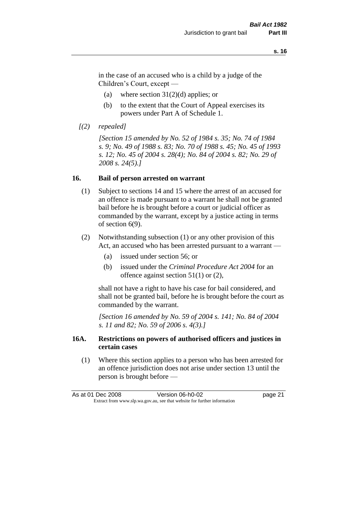in the case of an accused who is a child by a judge of the Children's Court, except —

- (a) where section  $31(2)(d)$  applies; or
- (b) to the extent that the Court of Appeal exercises its powers under Part A of Schedule 1.
- *[(2) repealed]*

*[Section 15 amended by No. 52 of 1984 s. 35; No. 74 of 1984 s. 9; No. 49 of 1988 s. 83; No. 70 of 1988 s. 45; No. 45 of 1993 s. 12; No. 45 of 2004 s. 28(4); No. 84 of 2004 s. 82; No. 29 of 2008 s. 24(5).]* 

#### **16. Bail of person arrested on warrant**

- (1) Subject to sections 14 and 15 where the arrest of an accused for an offence is made pursuant to a warrant he shall not be granted bail before he is brought before a court or judicial officer as commanded by the warrant, except by a justice acting in terms of section 6(9).
- (2) Notwithstanding subsection (1) or any other provision of this Act, an accused who has been arrested pursuant to a warrant —
	- (a) issued under section 56; or
	- (b) issued under the *Criminal Procedure Act 2004* for an offence against section 51(1) or (2),

shall not have a right to have his case for bail considered, and shall not be granted bail, before he is brought before the court as commanded by the warrant.

*[Section 16 amended by No. 59 of 2004 s. 141; No. 84 of 2004 s. 11 and 82; No. 59 of 2006 s. 4(3).]*

#### **16A. Restrictions on powers of authorised officers and justices in certain cases**

(1) Where this section applies to a person who has been arrested for an offence jurisdiction does not arise under section 13 until the person is brought before —

|  | As at 01 Dec 2008                                                        | Version 06-h0-02 | page 21 |
|--|--------------------------------------------------------------------------|------------------|---------|
|  | Extract from www.slp.wa.gov.au, see that website for further information |                  |         |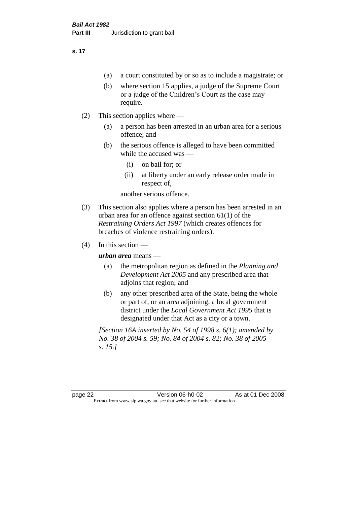- (a) a court constituted by or so as to include a magistrate; or
- (b) where section 15 applies, a judge of the Supreme Court or a judge of the Children's Court as the case may require.
- (2) This section applies where
	- (a) a person has been arrested in an urban area for a serious offence; and
	- (b) the serious offence is alleged to have been committed while the accused was —
		- (i) on bail for; or
		- (ii) at liberty under an early release order made in respect of,

another serious offence.

- (3) This section also applies where a person has been arrested in an urban area for an offence against section 61(1) of the *Restraining Orders Act 1997* (which creates offences for breaches of violence restraining orders).
- $(4)$  In this section —

*urban area* means —

- (a) the metropolitan region as defined in the *Planning and Development Act 2005* and any prescribed area that adjoins that region; and
- (b) any other prescribed area of the State, being the whole or part of, or an area adjoining, a local government district under the *Local Government Act 1995* that is designated under that Act as a city or a town.

*[Section 16A inserted by No. 54 of 1998 s. 6(1); amended by No. 38 of 2004 s. 59; No. 84 of 2004 s. 82; No. 38 of 2005 s. 15.]*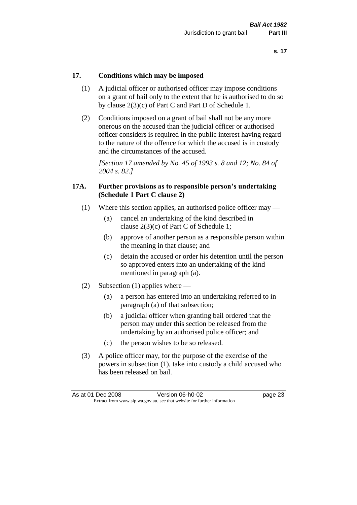#### **17. Conditions which may be imposed**

- (1) A judicial officer or authorised officer may impose conditions on a grant of bail only to the extent that he is authorised to do so by clause 2(3)(c) of Part C and Part D of Schedule 1.
- (2) Conditions imposed on a grant of bail shall not be any more onerous on the accused than the judicial officer or authorised officer considers is required in the public interest having regard to the nature of the offence for which the accused is in custody and the circumstances of the accused.

*[Section 17 amended by No. 45 of 1993 s. 8 and 12; No. 84 of 2004 s. 82.]* 

#### **17A. Further provisions as to responsible person's undertaking (Schedule 1 Part C clause 2)**

- (1) Where this section applies, an authorised police officer may
	- (a) cancel an undertaking of the kind described in clause 2(3)(c) of Part C of Schedule 1;
	- (b) approve of another person as a responsible person within the meaning in that clause; and
	- (c) detain the accused or order his detention until the person so approved enters into an undertaking of the kind mentioned in paragraph (a).
- (2) Subsection (1) applies where
	- (a) a person has entered into an undertaking referred to in paragraph (a) of that subsection;
	- (b) a judicial officer when granting bail ordered that the person may under this section be released from the undertaking by an authorised police officer; and
	- (c) the person wishes to be so released.
- (3) A police officer may, for the purpose of the exercise of the powers in subsection (1), take into custody a child accused who has been released on bail.

|  | As at 01 Dec 2008                                                        | Version 06-h0-02 | page 23 |
|--|--------------------------------------------------------------------------|------------------|---------|
|  | Extract from www.slp.wa.gov.au, see that website for further information |                  |         |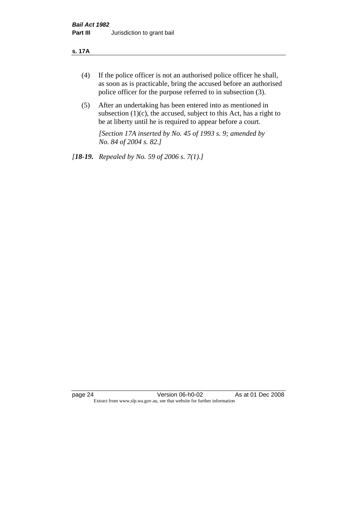#### **s. 17A**

- (4) If the police officer is not an authorised police officer he shall, as soon as is practicable, bring the accused before an authorised police officer for the purpose referred to in subsection (3).
- (5) After an undertaking has been entered into as mentioned in subsection  $(1)(c)$ , the accused, subject to this Act, has a right to be at liberty until he is required to appear before a court.

*[Section 17A inserted by No. 45 of 1993 s. 9; amended by No. 84 of 2004 s. 82.]* 

*[18-19. Repealed by No. 59 of 2006 s. 7(1).]*

page 24 Version 06-h0-02 As at 01 Dec 2008 Extract from www.slp.wa.gov.au, see that website for further information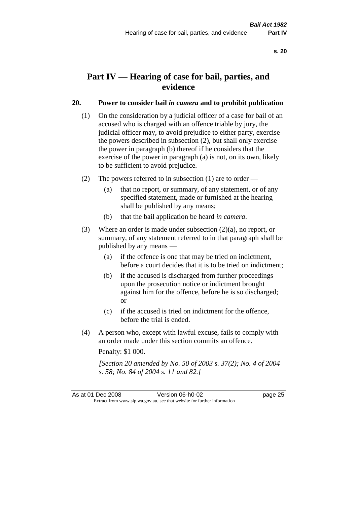# **Part IV — Hearing of case for bail, parties, and evidence**

#### **20. Power to consider bail** *in camera* **and to prohibit publication**

- (1) On the consideration by a judicial officer of a case for bail of an accused who is charged with an offence triable by jury, the judicial officer may, to avoid prejudice to either party, exercise the powers described in subsection (2), but shall only exercise the power in paragraph (b) thereof if he considers that the exercise of the power in paragraph (a) is not, on its own, likely to be sufficient to avoid prejudice.
- (2) The powers referred to in subsection (1) are to order
	- (a) that no report, or summary, of any statement, or of any specified statement, made or furnished at the hearing shall be published by any means;
	- (b) that the bail application be heard *in camera*.
- (3) Where an order is made under subsection (2)(a), no report, or summary, of any statement referred to in that paragraph shall be published by any means —
	- (a) if the offence is one that may be tried on indictment, before a court decides that it is to be tried on indictment;
	- (b) if the accused is discharged from further proceedings upon the prosecution notice or indictment brought against him for the offence, before he is so discharged; or
	- (c) if the accused is tried on indictment for the offence, before the trial is ended.
- (4) A person who, except with lawful excuse, fails to comply with an order made under this section commits an offence.

Penalty: \$1 000.

*[Section 20 amended by No. 50 of 2003 s. 37(2); No. 4 of 2004 s. 58; No. 84 of 2004 s. 11 and 82.]*

As at 01 Dec 2008 Version 06-h0-02 Page 25 Extract from www.slp.wa.gov.au, see that website for further information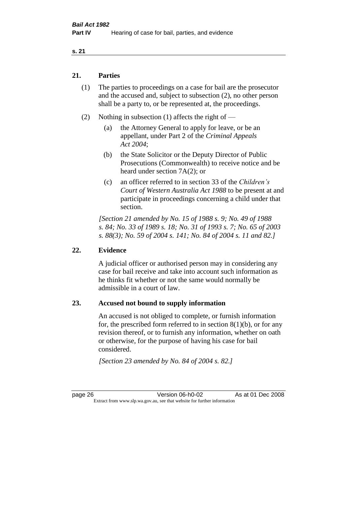#### **21. Parties**

- (1) The parties to proceedings on a case for bail are the prosecutor and the accused and, subject to subsection (2), no other person shall be a party to, or be represented at, the proceedings.
- (2) Nothing in subsection (1) affects the right of
	- (a) the Attorney General to apply for leave, or be an appellant, under Part 2 of the *Criminal Appeals Act 2004*;
	- (b) the State Solicitor or the Deputy Director of Public Prosecutions (Commonwealth) to receive notice and be heard under section 7A(2); or
	- (c) an officer referred to in section 33 of the *Children's Court of Western Australia Act 1988* to be present at and participate in proceedings concerning a child under that section.

*[Section 21 amended by No. 15 of 1988 s. 9; No. 49 of 1988 s. 84; No. 33 of 1989 s. 18; No. 31 of 1993 s. 7; No. 65 of 2003 s. 88(3); No. 59 of 2004 s. 141; No. 84 of 2004 s. 11 and 82.]* 

#### **22. Evidence**

A judicial officer or authorised person may in considering any case for bail receive and take into account such information as he thinks fit whether or not the same would normally be admissible in a court of law.

#### **23. Accused not bound to supply information**

An accused is not obliged to complete, or furnish information for, the prescribed form referred to in section  $8(1)(b)$ , or for any revision thereof, or to furnish any information, whether on oath or otherwise, for the purpose of having his case for bail considered.

*[Section 23 amended by No. 84 of 2004 s. 82.]* 

page 26 Version 06-h0-02 As at 01 Dec 2008 Extract from www.slp.wa.gov.au, see that website for further information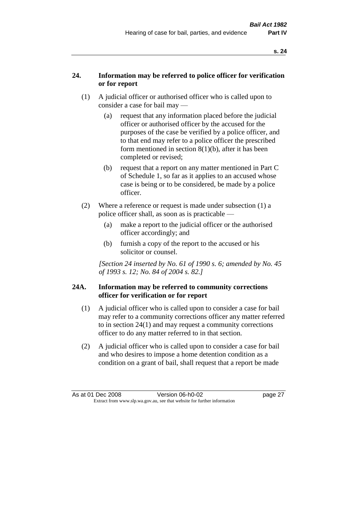### **24. Information may be referred to police officer for verification or for report**

- (1) A judicial officer or authorised officer who is called upon to consider a case for bail may —
	- (a) request that any information placed before the judicial officer or authorised officer by the accused for the purposes of the case be verified by a police officer, and to that end may refer to a police officer the prescribed form mentioned in section 8(1)(b), after it has been completed or revised;
	- (b) request that a report on any matter mentioned in Part C of Schedule 1, so far as it applies to an accused whose case is being or to be considered, be made by a police officer.
- (2) Where a reference or request is made under subsection (1) a police officer shall, as soon as is practicable —
	- (a) make a report to the judicial officer or the authorised officer accordingly; and
	- (b) furnish a copy of the report to the accused or his solicitor or counsel.

*[Section 24 inserted by No. 61 of 1990 s. 6; amended by No. 45 of 1993 s. 12; No. 84 of 2004 s. 82.]* 

#### **24A. Information may be referred to community corrections officer for verification or for report**

- (1) A judicial officer who is called upon to consider a case for bail may refer to a community corrections officer any matter referred to in section 24(1) and may request a community corrections officer to do any matter referred to in that section.
- (2) A judicial officer who is called upon to consider a case for bail and who desires to impose a home detention condition as a condition on a grant of bail, shall request that a report be made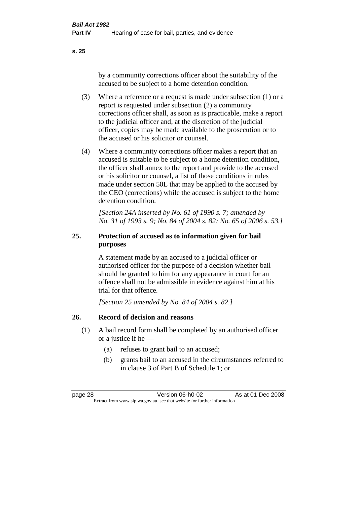by a community corrections officer about the suitability of the accused to be subject to a home detention condition.

- (3) Where a reference or a request is made under subsection (1) or a report is requested under subsection (2) a community corrections officer shall, as soon as is practicable, make a report to the judicial officer and, at the discretion of the judicial officer, copies may be made available to the prosecution or to the accused or his solicitor or counsel.
- (4) Where a community corrections officer makes a report that an accused is suitable to be subject to a home detention condition, the officer shall annex to the report and provide to the accused or his solicitor or counsel, a list of those conditions in rules made under section 50L that may be applied to the accused by the CEO (corrections) while the accused is subject to the home detention condition.

*[Section 24A inserted by No. 61 of 1990 s. 7; amended by No. 31 of 1993 s. 9; No. 84 of 2004 s. 82; No. 65 of 2006 s. 53.]* 

### **25. Protection of accused as to information given for bail purposes**

A statement made by an accused to a judicial officer or authorised officer for the purpose of a decision whether bail should be granted to him for any appearance in court for an offence shall not be admissible in evidence against him at his trial for that offence.

*[Section 25 amended by No. 84 of 2004 s. 82.]* 

### **26. Record of decision and reasons**

- (1) A bail record form shall be completed by an authorised officer or a justice if he —
	- (a) refuses to grant bail to an accused;
	- (b) grants bail to an accused in the circumstances referred to in clause 3 of Part B of Schedule 1; or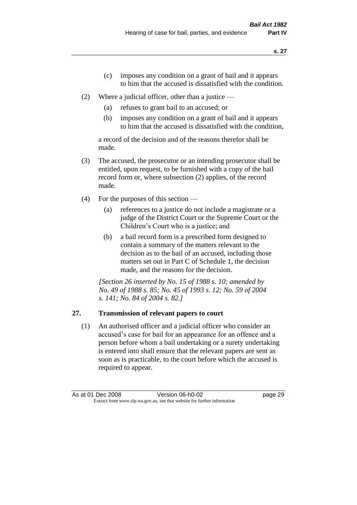- (c) imposes any condition on a grant of bail and it appears to him that the accused is dissatisfied with the condition.
- (2) Where a judicial officer, other than a justice
	- (a) refuses to grant bail to an accused; or
	- (b) imposes any condition on a grant of bail and it appears to him that the accused is dissatisfied with the condition,

a record of the decision and of the reasons therefor shall be made.

- (3) The accused, the prosecutor or an intending prosecutor shall be entitled, upon request, to be furnished with a copy of the bail record form or, where subsection (2) applies, of the record made.
- (4) For the purposes of this section
	- (a) references to a justice do not include a magistrate or a judge of the District Court or the Supreme Court or the Children's Court who is a justice; and
	- (b) a bail record form is a prescribed form designed to contain a summary of the matters relevant to the decision as to the bail of an accused, including those matters set out in Part C of Schedule 1, the decision made, and the reasons for the decision.

*[Section 26 inserted by No. 15 of 1988 s. 10; amended by No. 49 of 1988 s. 85; No. 45 of 1993 s. 12; No. 59 of 2004 s. 141; No. 84 of 2004 s. 82.]* 

# **27. Transmission of relevant papers to court**

(1) An authorised officer and a judicial officer who consider an accused's case for bail for an appearance for an offence and a person before whom a bail undertaking or a surety undertaking is entered into shall ensure that the relevant papers are sent as soon as is practicable, to the court before which the accused is required to appear.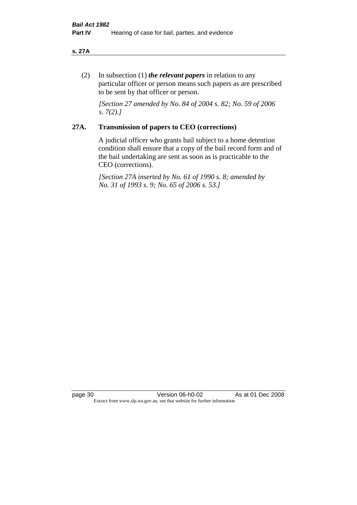#### **s. 27A**

(2) In subsection (1) *the relevant papers* in relation to any particular officer or person means such papers as are prescribed to be sent by that officer or person.

*[Section 27 amended by No. 84 of 2004 s. 82; No. 59 of 2006 s. 7(2).]* 

# **27A. Transmission of papers to CEO (corrections)**

A judicial officer who grants bail subject to a home detention condition shall ensure that a copy of the bail record form and of the bail undertaking are sent as soon as is practicable to the CEO (corrections).

*[Section 27A inserted by No. 61 of 1990 s. 8; amended by No. 31 of 1993 s. 9; No. 65 of 2006 s. 53.]* 

page 30 Version 06-h0-02 As at 01 Dec 2008 Extract from www.slp.wa.gov.au, see that website for further information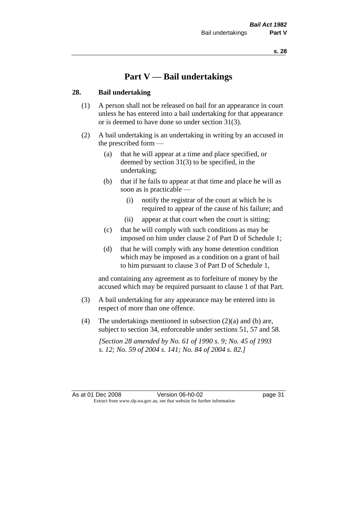# **Part V — Bail undertakings**

# **28. Bail undertaking**

- (1) A person shall not be released on bail for an appearance in court unless he has entered into a bail undertaking for that appearance or is deemed to have done so under section 31(3).
- (2) A bail undertaking is an undertaking in writing by an accused in the prescribed form —
	- (a) that he will appear at a time and place specified, or deemed by section 31(3) to be specified, in the undertaking;
	- (b) that if he fails to appear at that time and place he will as soon as is practicable —
		- (i) notify the registrar of the court at which he is required to appear of the cause of his failure; and
		- (ii) appear at that court when the court is sitting;
	- (c) that he will comply with such conditions as may be imposed on him under clause 2 of Part D of Schedule 1;
	- (d) that he will comply with any home detention condition which may be imposed as a condition on a grant of bail to him pursuant to clause 3 of Part D of Schedule 1,

and containing any agreement as to forfeiture of money by the accused which may be required pursuant to clause 1 of that Part.

- (3) A bail undertaking for any appearance may be entered into in respect of more than one offence.
- (4) The undertakings mentioned in subsection (2)(a) and (b) are, subject to section 34, enforceable under sections 51, 57 and 58.

*[Section 28 amended by No. 61 of 1990 s. 9; No. 45 of 1993 s. 12; No. 59 of 2004 s. 141; No. 84 of 2004 s. 82.]*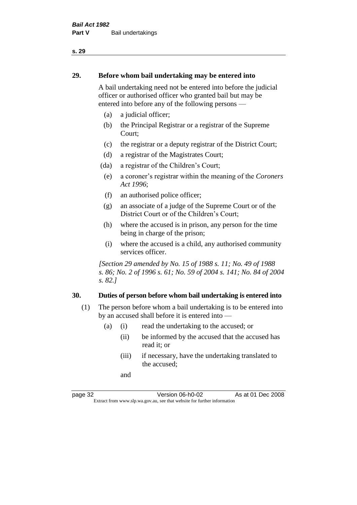### **29. Before whom bail undertaking may be entered into**

A bail undertaking need not be entered into before the judicial officer or authorised officer who granted bail but may be entered into before any of the following persons —

- (a) a judicial officer;
- (b) the Principal Registrar or a registrar of the Supreme Court;
- (c) the registrar or a deputy registrar of the District Court;
- (d) a registrar of the Magistrates Court;
- (da) a registrar of the Children's Court;
- (e) a coroner's registrar within the meaning of the *Coroners Act 1996*;
- (f) an authorised police officer;
- (g) an associate of a judge of the Supreme Court or of the District Court or of the Children's Court;
- (h) where the accused is in prison, any person for the time being in charge of the prison;
- (i) where the accused is a child, any authorised community services officer.

*[Section 29 amended by No. 15 of 1988 s. 11; No. 49 of 1988 s. 86; No. 2 of 1996 s. 61; No. 59 of 2004 s. 141; No. 84 of 2004 s. 82.]* 

#### **30. Duties of person before whom bail undertaking is entered into**

- (1) The person before whom a bail undertaking is to be entered into by an accused shall before it is entered into —
	- (a) (i) read the undertaking to the accused; or
		- (ii) be informed by the accused that the accused has read it; or
		- (iii) if necessary, have the undertaking translated to the accused;

and

page 32 Version 06-h0-02 As at 01 Dec 2008 Extract from www.slp.wa.gov.au, see that website for further information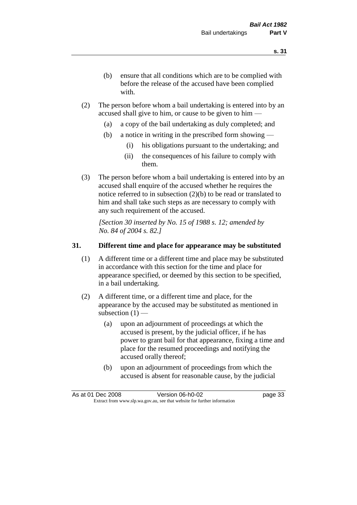- (b) ensure that all conditions which are to be complied with before the release of the accused have been complied with.
- (2) The person before whom a bail undertaking is entered into by an accused shall give to him, or cause to be given to him —
	- (a) a copy of the bail undertaking as duly completed; and
	- (b) a notice in writing in the prescribed form showing
		- (i) his obligations pursuant to the undertaking; and
		- (ii) the consequences of his failure to comply with them.
- (3) The person before whom a bail undertaking is entered into by an accused shall enquire of the accused whether he requires the notice referred to in subsection (2)(b) to be read or translated to him and shall take such steps as are necessary to comply with any such requirement of the accused.

*[Section 30 inserted by No. 15 of 1988 s. 12; amended by No. 84 of 2004 s. 82.]* 

# **31. Different time and place for appearance may be substituted**

- (1) A different time or a different time and place may be substituted in accordance with this section for the time and place for appearance specified, or deemed by this section to be specified, in a bail undertaking.
- (2) A different time, or a different time and place, for the appearance by the accused may be substituted as mentioned in subsection  $(1)$  —
	- (a) upon an adjournment of proceedings at which the accused is present, by the judicial officer, if he has power to grant bail for that appearance, fixing a time and place for the resumed proceedings and notifying the accused orally thereof;
	- (b) upon an adjournment of proceedings from which the accused is absent for reasonable cause, by the judicial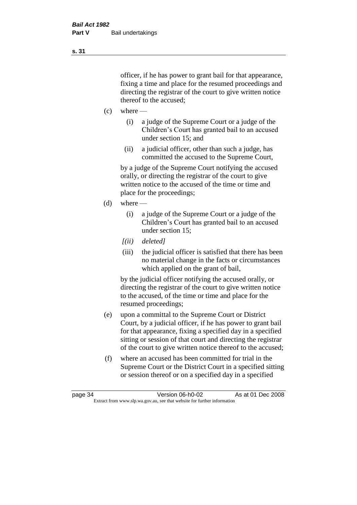officer, if he has power to grant bail for that appearance, fixing a time and place for the resumed proceedings and directing the registrar of the court to give written notice thereof to the accused;

- $(c)$  where
	- (i) a judge of the Supreme Court or a judge of the Children's Court has granted bail to an accused under section 15; and
	- (ii) a judicial officer, other than such a judge, has committed the accused to the Supreme Court,

by a judge of the Supreme Court notifying the accused orally, or directing the registrar of the court to give written notice to the accused of the time or time and place for the proceedings;

- (d) where
	- (i) a judge of the Supreme Court or a judge of the Children's Court has granted bail to an accused under section 15;
	- *[(ii) deleted]*
	- (iii) the judicial officer is satisfied that there has been no material change in the facts or circumstances which applied on the grant of bail,

by the judicial officer notifying the accused orally, or directing the registrar of the court to give written notice to the accused, of the time or time and place for the resumed proceedings;

- (e) upon a committal to the Supreme Court or District Court, by a judicial officer, if he has power to grant bail for that appearance, fixing a specified day in a specified sitting or session of that court and directing the registrar of the court to give written notice thereof to the accused;
- (f) where an accused has been committed for trial in the Supreme Court or the District Court in a specified sitting or session thereof or on a specified day in a specified

**s. 31**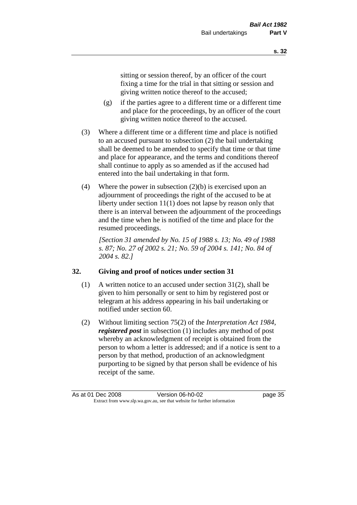sitting or session thereof, by an officer of the court fixing a time for the trial in that sitting or session and giving written notice thereof to the accused;

- (g) if the parties agree to a different time or a different time and place for the proceedings, by an officer of the court giving written notice thereof to the accused.
- (3) Where a different time or a different time and place is notified to an accused pursuant to subsection (2) the bail undertaking shall be deemed to be amended to specify that time or that time and place for appearance, and the terms and conditions thereof shall continue to apply as so amended as if the accused had entered into the bail undertaking in that form.
- (4) Where the power in subsection (2)(b) is exercised upon an adjournment of proceedings the right of the accused to be at liberty under section 11(1) does not lapse by reason only that there is an interval between the adjournment of the proceedings and the time when he is notified of the time and place for the resumed proceedings.

*[Section 31 amended by No. 15 of 1988 s. 13; No. 49 of 1988 s. 87; No. 27 of 2002 s. 21; No. 59 of 2004 s. 141; No. 84 of 2004 s. 82.]* 

# **32. Giving and proof of notices under section 31**

- (1) A written notice to an accused under section 31(2), shall be given to him personally or sent to him by registered post or telegram at his address appearing in his bail undertaking or notified under section 60.
- (2) Without limiting section 75(2) of the *Interpretation Act 1984*, *registered post* in subsection (1) includes any method of post whereby an acknowledgment of receipt is obtained from the person to whom a letter is addressed; and if a notice is sent to a person by that method, production of an acknowledgment purporting to be signed by that person shall be evidence of his receipt of the same.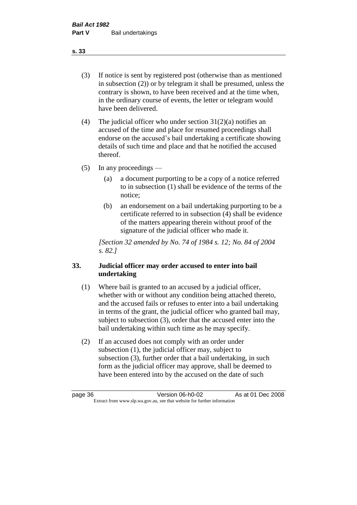(3) If notice is sent by registered post (otherwise than as mentioned in subsection (2)) or by telegram it shall be presumed, unless the contrary is shown, to have been received and at the time when, in the ordinary course of events, the letter or telegram would have been delivered.

(4) The judicial officer who under section  $31(2)(a)$  notifies an accused of the time and place for resumed proceedings shall endorse on the accused's bail undertaking a certificate showing details of such time and place and that he notified the accused thereof.

(5) In any proceedings —

- (a) a document purporting to be a copy of a notice referred to in subsection (1) shall be evidence of the terms of the notice;
- (b) an endorsement on a bail undertaking purporting to be a certificate referred to in subsection (4) shall be evidence of the matters appearing therein without proof of the signature of the judicial officer who made it.

*[Section 32 amended by No. 74 of 1984 s. 12; No. 84 of 2004 s. 82.]* 

# **33. Judicial officer may order accused to enter into bail undertaking**

- (1) Where bail is granted to an accused by a judicial officer, whether with or without any condition being attached thereto, and the accused fails or refuses to enter into a bail undertaking in terms of the grant, the judicial officer who granted bail may, subject to subsection (3), order that the accused enter into the bail undertaking within such time as he may specify.
- (2) If an accused does not comply with an order under subsection (1), the judicial officer may, subject to subsection (3), further order that a bail undertaking, in such form as the judicial officer may approve, shall be deemed to have been entered into by the accused on the date of such

**s. 33**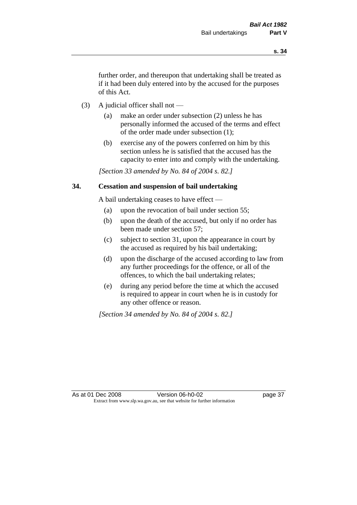further order, and thereupon that undertaking shall be treated as if it had been duly entered into by the accused for the purposes of this Act.

- (3) A judicial officer shall not
	- (a) make an order under subsection (2) unless he has personally informed the accused of the terms and effect of the order made under subsection (1);
	- (b) exercise any of the powers conferred on him by this section unless he is satisfied that the accused has the capacity to enter into and comply with the undertaking.

*[Section 33 amended by No. 84 of 2004 s. 82.]* 

#### **34. Cessation and suspension of bail undertaking**

A bail undertaking ceases to have effect —

- (a) upon the revocation of bail under section 55;
- (b) upon the death of the accused, but only if no order has been made under section 57;
- (c) subject to section 31, upon the appearance in court by the accused as required by his bail undertaking;
- (d) upon the discharge of the accused according to law from any further proceedings for the offence, or all of the offences, to which the bail undertaking relates;
- (e) during any period before the time at which the accused is required to appear in court when he is in custody for any other offence or reason.

*[Section 34 amended by No. 84 of 2004 s. 82.]*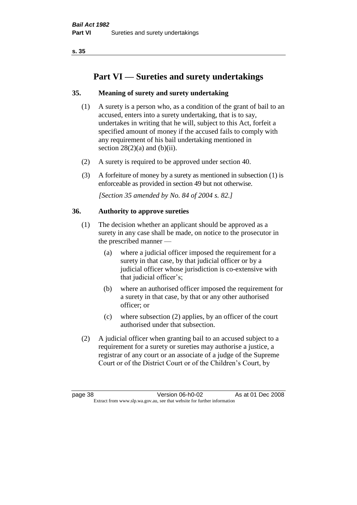# **Part VI — Sureties and surety undertakings**

# **35. Meaning of surety and surety undertaking**

- (1) A surety is a person who, as a condition of the grant of bail to an accused, enters into a surety undertaking, that is to say, undertakes in writing that he will, subject to this Act, forfeit a specified amount of money if the accused fails to comply with any requirement of his bail undertaking mentioned in section  $28(2)(a)$  and  $(b)(ii)$ .
- (2) A surety is required to be approved under section 40.
- (3) A forfeiture of money by a surety as mentioned in subsection (1) is enforceable as provided in section 49 but not otherwise.

*[Section 35 amended by No. 84 of 2004 s. 82.]* 

# **36. Authority to approve sureties**

- (1) The decision whether an applicant should be approved as a surety in any case shall be made, on notice to the prosecutor in the prescribed manner —
	- (a) where a judicial officer imposed the requirement for a surety in that case, by that judicial officer or by a judicial officer whose jurisdiction is co-extensive with that judicial officer's;
	- (b) where an authorised officer imposed the requirement for a surety in that case, by that or any other authorised officer; or
	- (c) where subsection (2) applies, by an officer of the court authorised under that subsection.
- (2) A judicial officer when granting bail to an accused subject to a requirement for a surety or sureties may authorise a justice, a registrar of any court or an associate of a judge of the Supreme Court or of the District Court or of the Children's Court, by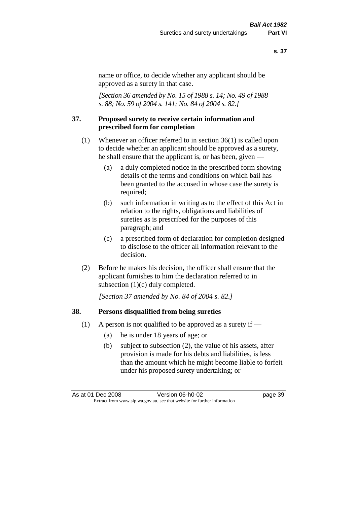name or office, to decide whether any applicant should be approved as a surety in that case.

*[Section 36 amended by No. 15 of 1988 s. 14; No. 49 of 1988 s. 88; No. 59 of 2004 s. 141; No. 84 of 2004 s. 82.]* 

#### **37. Proposed surety to receive certain information and prescribed form for completion**

- (1) Whenever an officer referred to in section 36(1) is called upon to decide whether an applicant should be approved as a surety, he shall ensure that the applicant is, or has been, given —
	- (a) a duly completed notice in the prescribed form showing details of the terms and conditions on which bail has been granted to the accused in whose case the surety is required;
	- (b) such information in writing as to the effect of this Act in relation to the rights, obligations and liabilities of sureties as is prescribed for the purposes of this paragraph; and
	- (c) a prescribed form of declaration for completion designed to disclose to the officer all information relevant to the decision.
- (2) Before he makes his decision, the officer shall ensure that the applicant furnishes to him the declaration referred to in subsection (1)(c) duly completed.

*[Section 37 amended by No. 84 of 2004 s. 82.]* 

## **38. Persons disqualified from being sureties**

- (1) A person is not qualified to be approved as a surety if  $-$ 
	- (a) he is under 18 years of age; or
	- (b) subject to subsection (2), the value of his assets, after provision is made for his debts and liabilities, is less than the amount which he might become liable to forfeit under his proposed surety undertaking; or

As at 01 Dec 2008 Version 06-h0-02 page 39 Extract from www.slp.wa.gov.au, see that website for further information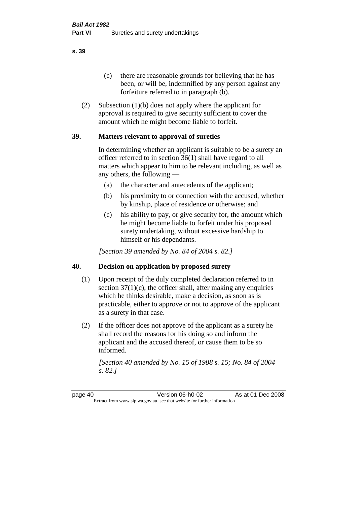(c) there are reasonable grounds for believing that he has been, or will be, indemnified by any person against any forfeiture referred to in paragraph (b).

(2) Subsection (1)(b) does not apply where the applicant for approval is required to give security sufficient to cover the amount which he might become liable to forfeit.

# **39. Matters relevant to approval of sureties**

In determining whether an applicant is suitable to be a surety an officer referred to in section 36(1) shall have regard to all matters which appear to him to be relevant including, as well as any others, the following —

- (a) the character and antecedents of the applicant;
- (b) his proximity to or connection with the accused, whether by kinship, place of residence or otherwise; and
- (c) his ability to pay, or give security for, the amount which he might become liable to forfeit under his proposed surety undertaking, without excessive hardship to himself or his dependants.

*[Section 39 amended by No. 84 of 2004 s. 82.]* 

# **40. Decision on application by proposed surety**

- (1) Upon receipt of the duly completed declaration referred to in section  $37(1)(c)$ , the officer shall, after making any enquiries which he thinks desirable, make a decision, as soon as is practicable, either to approve or not to approve of the applicant as a surety in that case.
- (2) If the officer does not approve of the applicant as a surety he shall record the reasons for his doing so and inform the applicant and the accused thereof, or cause them to be so informed.

*[Section 40 amended by No. 15 of 1988 s. 15; No. 84 of 2004 s. 82.]* 

page 40 Version 06-h0-02 As at 01 Dec 2008 Extract from www.slp.wa.gov.au, see that website for further information

**s. 39**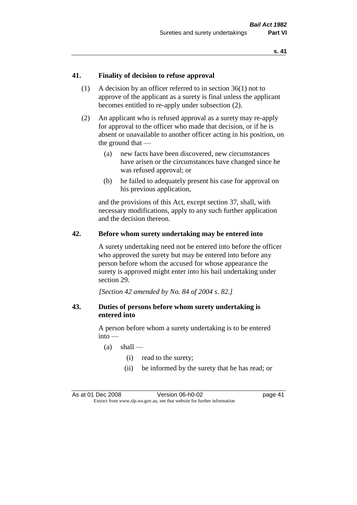# **41. Finality of decision to refuse approval**

- (1) A decision by an officer referred to in section 36(1) not to approve of the applicant as a surety is final unless the applicant becomes entitled to re-apply under subsection (2).
- (2) An applicant who is refused approval as a surety may re-apply for approval to the officer who made that decision, or if he is absent or unavailable to another officer acting in his position, on the ground that —
	- (a) new facts have been discovered, new circumstances have arisen or the circumstances have changed since he was refused approval; or
	- (b) he failed to adequately present his case for approval on his previous application,

and the provisions of this Act, except section 37, shall, with necessary modifications, apply to any such further application and the decision thereon.

## **42. Before whom surety undertaking may be entered into**

A surety undertaking need not be entered into before the officer who approved the surety but may be entered into before any person before whom the accused for whose appearance the surety is approved might enter into his bail undertaking under section 29.

*[Section 42 amended by No. 84 of 2004 s. 82.]* 

# **43. Duties of persons before whom surety undertaking is entered into**

A person before whom a surety undertaking is to be entered into —

- $(a)$  shall
	- (i) read to the surety;
	- (ii) be informed by the surety that he has read; or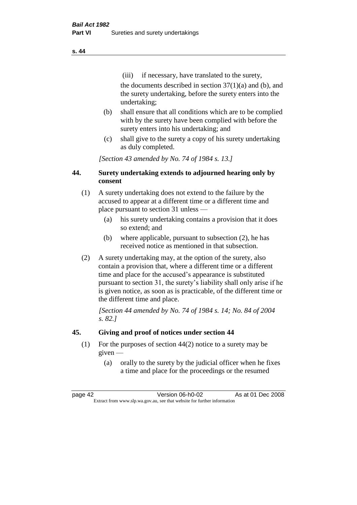(iii) if necessary, have translated to the surety, the documents described in section  $37(1)(a)$  and (b), and the surety undertaking, before the surety enters into the undertaking;

- (b) shall ensure that all conditions which are to be complied with by the surety have been complied with before the surety enters into his undertaking; and
- (c) shall give to the surety a copy of his surety undertaking as duly completed.

*[Section 43 amended by No. 74 of 1984 s. 13.]* 

# **44. Surety undertaking extends to adjourned hearing only by consent**

- (1) A surety undertaking does not extend to the failure by the accused to appear at a different time or a different time and place pursuant to section 31 unless —
	- (a) his surety undertaking contains a provision that it does so extend; and
	- (b) where applicable, pursuant to subsection (2), he has received notice as mentioned in that subsection.
- (2) A surety undertaking may, at the option of the surety, also contain a provision that, where a different time or a different time and place for the accused's appearance is substituted pursuant to section 31, the surety's liability shall only arise if he is given notice, as soon as is practicable, of the different time or the different time and place.

*[Section 44 amended by No. 74 of 1984 s. 14; No. 84 of 2004 s. 82.]* 

# **45. Giving and proof of notices under section 44**

- (1) For the purposes of section 44(2) notice to a surety may be given —
	- (a) orally to the surety by the judicial officer when he fixes a time and place for the proceedings or the resumed

page 42 Version 06-h0-02 As at 01 Dec 2008 Extract from www.slp.wa.gov.au, see that website for further information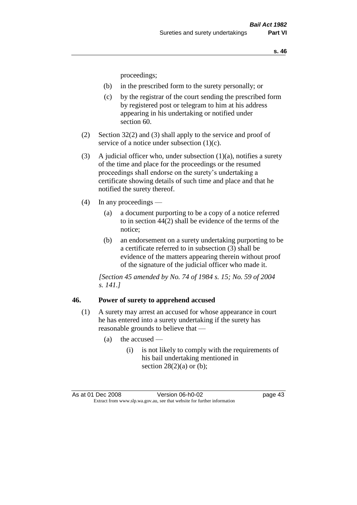proceedings;

- (b) in the prescribed form to the surety personally; or
- (c) by the registrar of the court sending the prescribed form by registered post or telegram to him at his address appearing in his undertaking or notified under section 60.
- (2) Section 32(2) and (3) shall apply to the service and proof of service of a notice under subsection (1)(c).
- (3) A judicial officer who, under subsection  $(1)(a)$ , notifies a surety of the time and place for the proceedings or the resumed proceedings shall endorse on the surety's undertaking a certificate showing details of such time and place and that he notified the surety thereof.
- (4) In any proceedings
	- (a) a document purporting to be a copy of a notice referred to in section 44(2) shall be evidence of the terms of the notice;
	- (b) an endorsement on a surety undertaking purporting to be a certificate referred to in subsection (3) shall be evidence of the matters appearing therein without proof of the signature of the judicial officer who made it.

*[Section 45 amended by No. 74 of 1984 s. 15; No. 59 of 2004 s. 141.]* 

#### **46. Power of surety to apprehend accused**

- (1) A surety may arrest an accused for whose appearance in court he has entered into a surety undertaking if the surety has reasonable grounds to believe that —
	- (a) the accused
		- (i) is not likely to comply with the requirements of his bail undertaking mentioned in section  $28(2)(a)$  or (b);

As at 01 Dec 2008 Version 06-h0-02 page 43 Extract from www.slp.wa.gov.au, see that website for further information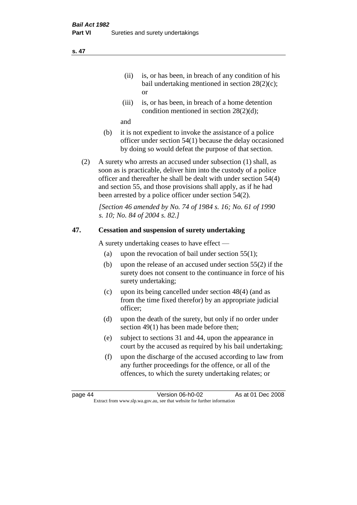- (ii) is, or has been, in breach of any condition of his bail undertaking mentioned in section 28(2)(c); or
- (iii) is, or has been, in breach of a home detention condition mentioned in section 28(2)(d);

and

- (b) it is not expedient to invoke the assistance of a police officer under section 54(1) because the delay occasioned by doing so would defeat the purpose of that section.
- (2) A surety who arrests an accused under subsection (1) shall, as soon as is practicable, deliver him into the custody of a police officer and thereafter he shall be dealt with under section 54(4) and section 55, and those provisions shall apply, as if he had been arrested by a police officer under section 54(2).

*[Section 46 amended by No. 74 of 1984 s. 16; No. 61 of 1990 s. 10; No. 84 of 2004 s. 82.]* 

# **47. Cessation and suspension of surety undertaking**

A surety undertaking ceases to have effect —

- (a) upon the revocation of bail under section  $55(1)$ ;
- (b) upon the release of an accused under section 55(2) if the surety does not consent to the continuance in force of his surety undertaking;
- (c) upon its being cancelled under section 48(4) (and as from the time fixed therefor) by an appropriate judicial officer;
- (d) upon the death of the surety, but only if no order under section 49(1) has been made before then;
- (e) subject to sections 31 and 44, upon the appearance in court by the accused as required by his bail undertaking;
- (f) upon the discharge of the accused according to law from any further proceedings for the offence, or all of the offences, to which the surety undertaking relates; or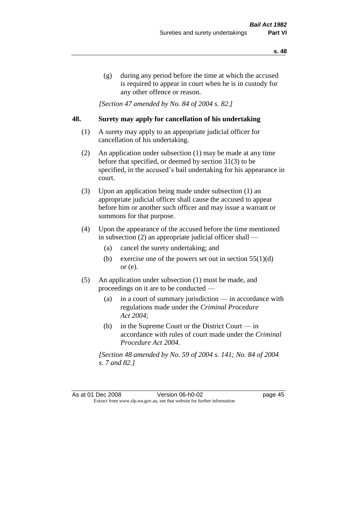(g) during any period before the time at which the accused is required to appear in court when he is in custody for any other offence or reason.

*[Section 47 amended by No. 84 of 2004 s. 82.]* 

# **48. Surety may apply for cancellation of his undertaking**

- (1) A surety may apply to an appropriate judicial officer for cancellation of his undertaking.
- (2) An application under subsection (1) may be made at any time before that specified, or deemed by section 31(3) to be specified, in the accused's bail undertaking for his appearance in court.
- (3) Upon an application being made under subsection (1) an appropriate judicial officer shall cause the accused to appear before him or another such officer and may issue a warrant or summons for that purpose.
- (4) Upon the appearance of the accused before the time mentioned in subsection (2) an appropriate judicial officer shall —
	- (a) cancel the surety undertaking; and
	- (b) exercise one of the powers set out in section  $55(1)(d)$ or (e).
- (5) An application under subsection (1) must be made, and proceedings on it are to be conducted —
	- (a) in a court of summary jurisdiction in accordance with regulations made under the *Criminal Procedure Act 2004*;
	- (b) in the Supreme Court or the District Court  $-\text{in}$ accordance with rules of court made under the *Criminal Procedure Act 2004*.

*[Section 48 amended by No. 59 of 2004 s. 141; No. 84 of 2004 s. 7 and 82.]*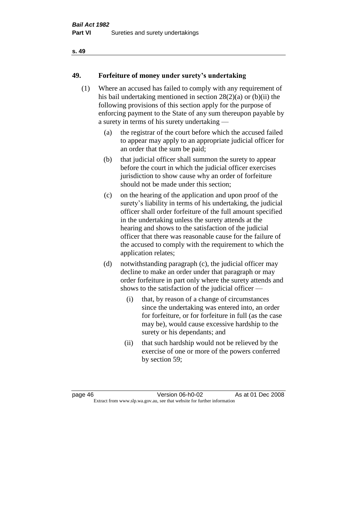# **49. Forfeiture of money under surety's undertaking**

- (1) Where an accused has failed to comply with any requirement of his bail undertaking mentioned in section 28(2)(a) or (b)(ii) the following provisions of this section apply for the purpose of enforcing payment to the State of any sum thereupon payable by a surety in terms of his surety undertaking —
	- (a) the registrar of the court before which the accused failed to appear may apply to an appropriate judicial officer for an order that the sum be paid;
	- (b) that judicial officer shall summon the surety to appear before the court in which the judicial officer exercises jurisdiction to show cause why an order of forfeiture should not be made under this section;
	- (c) on the hearing of the application and upon proof of the surety's liability in terms of his undertaking, the judicial officer shall order forfeiture of the full amount specified in the undertaking unless the surety attends at the hearing and shows to the satisfaction of the judicial officer that there was reasonable cause for the failure of the accused to comply with the requirement to which the application relates;
	- (d) notwithstanding paragraph (c), the judicial officer may decline to make an order under that paragraph or may order forfeiture in part only where the surety attends and shows to the satisfaction of the judicial officer —
		- (i) that, by reason of a change of circumstances since the undertaking was entered into, an order for forfeiture, or for forfeiture in full (as the case may be), would cause excessive hardship to the surety or his dependants; and
		- (ii) that such hardship would not be relieved by the exercise of one or more of the powers conferred by section 59;

page 46 Version 06-h0-02 As at 01 Dec 2008 Extract from www.slp.wa.gov.au, see that website for further information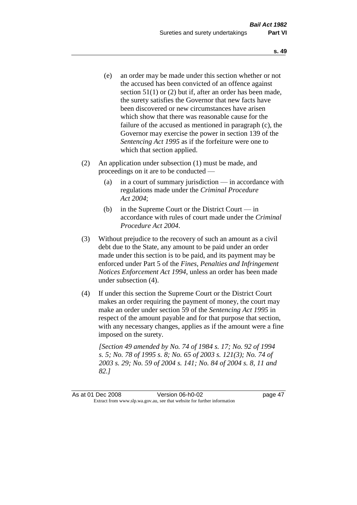- (e) an order may be made under this section whether or not the accused has been convicted of an offence against section 51(1) or (2) but if, after an order has been made, the surety satisfies the Governor that new facts have been discovered or new circumstances have arisen which show that there was reasonable cause for the failure of the accused as mentioned in paragraph (c), the Governor may exercise the power in section 139 of the *Sentencing Act 1995* as if the forfeiture were one to which that section applied.
- (2) An application under subsection (1) must be made, and proceedings on it are to be conducted —
	- (a) in a court of summary jurisdiction in accordance with regulations made under the *Criminal Procedure Act 2004*;
	- (b) in the Supreme Court or the District Court in accordance with rules of court made under the *Criminal Procedure Act 2004*.
- (3) Without prejudice to the recovery of such an amount as a civil debt due to the State, any amount to be paid under an order made under this section is to be paid, and its payment may be enforced under Part 5 of the *Fines, Penalties and Infringement Notices Enforcement Act 1994*, unless an order has been made under subsection (4).
- (4) If under this section the Supreme Court or the District Court makes an order requiring the payment of money, the court may make an order under section 59 of the *Sentencing Act 1995* in respect of the amount payable and for that purpose that section, with any necessary changes, applies as if the amount were a fine imposed on the surety.

*[Section 49 amended by No. 74 of 1984 s. 17; No. 92 of 1994 s. 5; No. 78 of 1995 s. 8; No. 65 of 2003 s. 121(3); No. 74 of 2003 s. 29; No. 59 of 2004 s. 141; No. 84 of 2004 s. 8, 11 and 82.]*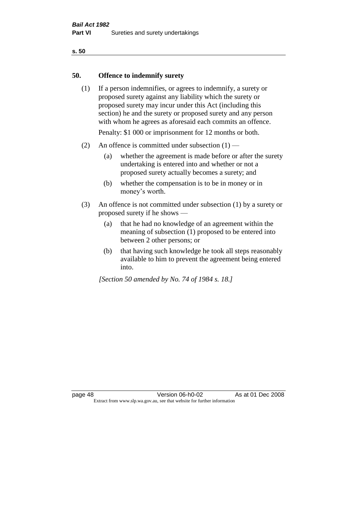### **50. Offence to indemnify surety**

(1) If a person indemnifies, or agrees to indemnify, a surety or proposed surety against any liability which the surety or proposed surety may incur under this Act (including this section) he and the surety or proposed surety and any person with whom he agrees as aforesaid each commits an offence.

Penalty: \$1 000 or imprisonment for 12 months or both.

- (2) An offence is committed under subsection  $(1)$ 
	- (a) whether the agreement is made before or after the surety undertaking is entered into and whether or not a proposed surety actually becomes a surety; and
	- (b) whether the compensation is to be in money or in money's worth.
- (3) An offence is not committed under subsection (1) by a surety or proposed surety if he shows —
	- (a) that he had no knowledge of an agreement within the meaning of subsection (1) proposed to be entered into between 2 other persons; or
	- (b) that having such knowledge he took all steps reasonably available to him to prevent the agreement being entered into.

*[Section 50 amended by No. 74 of 1984 s. 18.]*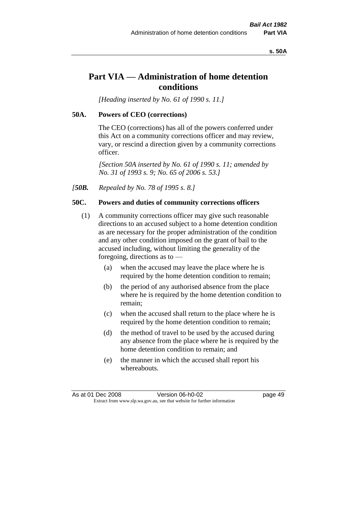#### **s. 50A**

# **Part VIA — Administration of home detention conditions**

*[Heading inserted by No. 61 of 1990 s. 11.]* 

#### **50A. Powers of CEO (corrections)**

The CEO (corrections) has all of the powers conferred under this Act on a community corrections officer and may review, vary, or rescind a direction given by a community corrections officer.

*[Section 50A inserted by No. 61 of 1990 s. 11; amended by No. 31 of 1993 s. 9; No. 65 of 2006 s. 53.]* 

*[50B. Repealed by No. 78 of 1995 s. 8.]* 

### **50C. Powers and duties of community corrections officers**

- (1) A community corrections officer may give such reasonable directions to an accused subject to a home detention condition as are necessary for the proper administration of the condition and any other condition imposed on the grant of bail to the accused including, without limiting the generality of the foregoing, directions as to —
	- (a) when the accused may leave the place where he is required by the home detention condition to remain;
	- (b) the period of any authorised absence from the place where he is required by the home detention condition to remain;
	- (c) when the accused shall return to the place where he is required by the home detention condition to remain;
	- (d) the method of travel to be used by the accused during any absence from the place where he is required by the home detention condition to remain; and
	- (e) the manner in which the accused shall report his whereabouts.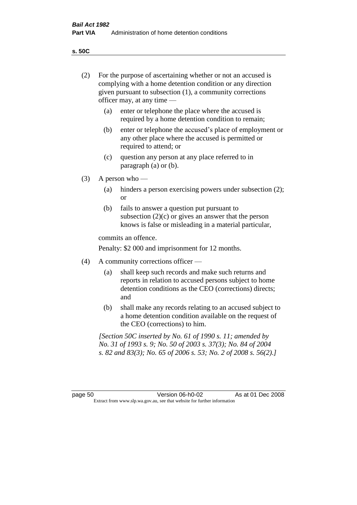**s. 50C**

| (2)     | For the purpose of ascertaining whether or not an accused is<br>complying with a home detention condition or any direction<br>given pursuant to subsection (1), a community corrections<br>officer may, at any time — |                                                                                                                                                                                              |
|---------|-----------------------------------------------------------------------------------------------------------------------------------------------------------------------------------------------------------------------|----------------------------------------------------------------------------------------------------------------------------------------------------------------------------------------------|
|         | (a)                                                                                                                                                                                                                   | enter or telephone the place where the accused is<br>required by a home detention condition to remain;                                                                                       |
|         | (b)                                                                                                                                                                                                                   | enter or telephone the accused's place of employment or<br>any other place where the accused is permitted or<br>required to attend; or                                                       |
|         | (c)                                                                                                                                                                                                                   | question any person at any place referred to in<br>paragraph $(a)$ or $(b)$ .                                                                                                                |
| (3)     | A person who $-$                                                                                                                                                                                                      |                                                                                                                                                                                              |
|         | (a)                                                                                                                                                                                                                   | hinders a person exercising powers under subsection (2);<br><sub>or</sub>                                                                                                                    |
|         | (b)                                                                                                                                                                                                                   | fails to answer a question put pursuant to<br>subsection $(2)(c)$ or gives an answer that the person<br>knows is false or misleading in a material particular,                               |
|         |                                                                                                                                                                                                                       | commits an offence.                                                                                                                                                                          |
|         |                                                                                                                                                                                                                       | Penalty: \$2 000 and imprisonment for 12 months.                                                                                                                                             |
| (4)     | A community corrections officer -                                                                                                                                                                                     |                                                                                                                                                                                              |
|         | (a)                                                                                                                                                                                                                   | shall keep such records and make such returns and<br>reports in relation to accused persons subject to home<br>detention conditions as the CEO (corrections) directs;<br>and                 |
|         | (b)                                                                                                                                                                                                                   | shall make any records relating to an accused subject to<br>a home detention condition available on the request of<br>the CEO (corrections) to him.                                          |
|         |                                                                                                                                                                                                                       | [Section 50C inserted by No. 61 of 1990 s. 11; amended by<br>No. 31 of 1993 s. 9; No. 50 of 2003 s. 37(3); No. 84 of 2004<br>s. 82 and 83(3); No. 65 of 2006 s. 53; No. 2 of 2008 s. 56(2).] |
|         |                                                                                                                                                                                                                       |                                                                                                                                                                                              |
| page 50 |                                                                                                                                                                                                                       | Version 06-h0-02<br>As at 01 Dec 2008<br>Extract from www.slp.wa.gov.au, see that website for further information                                                                            |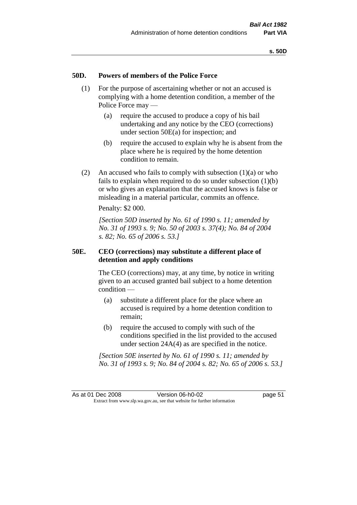### **50D. Powers of members of the Police Force**

- (1) For the purpose of ascertaining whether or not an accused is complying with a home detention condition, a member of the Police Force may —
	- (a) require the accused to produce a copy of his bail undertaking and any notice by the CEO (corrections) under section 50E(a) for inspection; and
	- (b) require the accused to explain why he is absent from the place where he is required by the home detention condition to remain.
- (2) An accused who fails to comply with subsection  $(1)(a)$  or who fails to explain when required to do so under subsection  $(1)(b)$ or who gives an explanation that the accused knows is false or misleading in a material particular, commits an offence.

Penalty: \$2 000.

*[Section 50D inserted by No. 61 of 1990 s. 11; amended by No. 31 of 1993 s. 9; No. 50 of 2003 s. 37(4); No. 84 of 2004 s. 82; No. 65 of 2006 s. 53.]* 

# **50E. CEO (corrections) may substitute a different place of detention and apply conditions**

The CEO (corrections) may, at any time, by notice in writing given to an accused granted bail subject to a home detention condition —

- (a) substitute a different place for the place where an accused is required by a home detention condition to remain;
- (b) require the accused to comply with such of the conditions specified in the list provided to the accused under section 24A(4) as are specified in the notice.

*[Section 50E inserted by No. 61 of 1990 s. 11; amended by No. 31 of 1993 s. 9; No. 84 of 2004 s. 82; No. 65 of 2006 s. 53.]*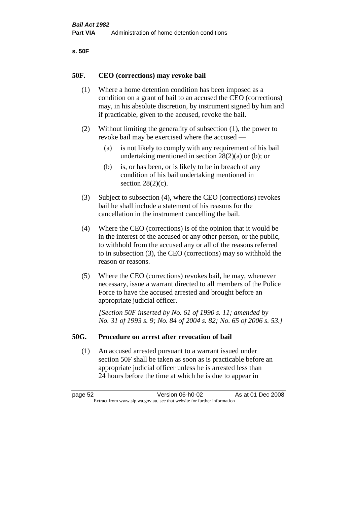| ۰.<br>۰,<br>۰.<br>×<br>× |
|--------------------------|
|--------------------------|

### **50F. CEO (corrections) may revoke bail**

- (1) Where a home detention condition has been imposed as a condition on a grant of bail to an accused the CEO (corrections) may, in his absolute discretion, by instrument signed by him and if practicable, given to the accused, revoke the bail.
- (2) Without limiting the generality of subsection (1), the power to revoke bail may be exercised where the accused —
	- (a) is not likely to comply with any requirement of his bail undertaking mentioned in section  $28(2)(a)$  or (b); or
	- (b) is, or has been, or is likely to be in breach of any condition of his bail undertaking mentioned in section  $28(2)(c)$ .
- (3) Subject to subsection (4), where the CEO (corrections) revokes bail he shall include a statement of his reasons for the cancellation in the instrument cancelling the bail.
- (4) Where the CEO (corrections) is of the opinion that it would be in the interest of the accused or any other person, or the public, to withhold from the accused any or all of the reasons referred to in subsection (3), the CEO (corrections) may so withhold the reason or reasons.
- (5) Where the CEO (corrections) revokes bail, he may, whenever necessary, issue a warrant directed to all members of the Police Force to have the accused arrested and brought before an appropriate judicial officer.

*[Section 50F inserted by No. 61 of 1990 s. 11; amended by No. 31 of 1993 s. 9; No. 84 of 2004 s. 82; No. 65 of 2006 s. 53.]* 

#### **50G. Procedure on arrest after revocation of bail**

(1) An accused arrested pursuant to a warrant issued under section 50F shall be taken as soon as is practicable before an appropriate judicial officer unless he is arrested less than 24 hours before the time at which he is due to appear in

page 52 Version 06-h0-02 As at 01 Dec 2008 Extract from www.slp.wa.gov.au, see that website for further information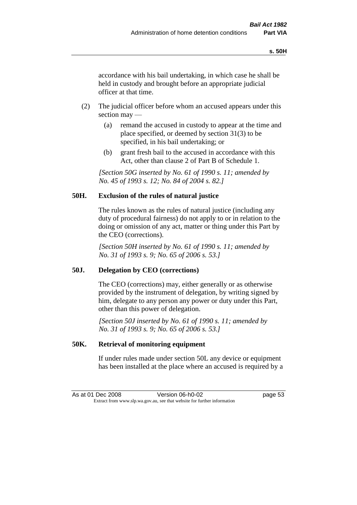accordance with his bail undertaking, in which case he shall be held in custody and brought before an appropriate judicial officer at that time.

- (2) The judicial officer before whom an accused appears under this section may —
	- (a) remand the accused in custody to appear at the time and place specified, or deemed by section 31(3) to be specified, in his bail undertaking; or
	- (b) grant fresh bail to the accused in accordance with this Act, other than clause 2 of Part B of Schedule 1.

*[Section 50G inserted by No. 61 of 1990 s. 11; amended by No. 45 of 1993 s. 12; No. 84 of 2004 s. 82.]* 

# **50H. Exclusion of the rules of natural justice**

The rules known as the rules of natural justice (including any duty of procedural fairness) do not apply to or in relation to the doing or omission of any act, matter or thing under this Part by the CEO (corrections).

*[Section 50H inserted by No. 61 of 1990 s. 11; amended by No. 31 of 1993 s. 9; No. 65 of 2006 s. 53.]* 

# **50J. Delegation by CEO (corrections)**

The CEO (corrections) may, either generally or as otherwise provided by the instrument of delegation, by writing signed by him, delegate to any person any power or duty under this Part, other than this power of delegation.

*[Section 50J inserted by No. 61 of 1990 s. 11; amended by No. 31 of 1993 s. 9; No. 65 of 2006 s. 53.]* 

# **50K. Retrieval of monitoring equipment**

If under rules made under section 50L any device or equipment has been installed at the place where an accused is required by a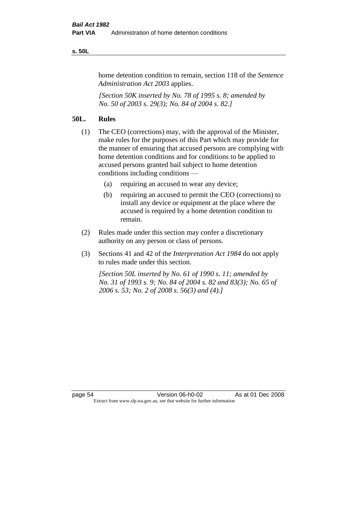#### **s. 50L**

home detention condition to remain, section 118 of the *Sentence Administration Act 2003* applies.

*[Section 50K inserted by No. 78 of 1995 s. 8; amended by No. 50 of 2003 s. 29(3); No. 84 of 2004 s. 82.]* 

# **50L. Rules**

- (1) The CEO (corrections) may, with the approval of the Minister, make rules for the purposes of this Part which may provide for the manner of ensuring that accused persons are complying with home detention conditions and for conditions to be applied to accused persons granted bail subject to home detention conditions including conditions —
	- (a) requiring an accused to wear any device;
	- (b) requiring an accused to permit the CEO (corrections) to install any device or equipment at the place where the accused is required by a home detention condition to remain.
- (2) Rules made under this section may confer a discretionary authority on any person or class of persons.
- (3) Sections 41 and 42 of the *Interpretation Act 1984* do not apply to rules made under this section.

*[Section 50L inserted by No. 61 of 1990 s. 11; amended by No. 31 of 1993 s. 9; No. 84 of 2004 s. 82 and 83(3); No. 65 of 2006 s. 53; No. 2 of 2008 s. 56(3) and (4).]*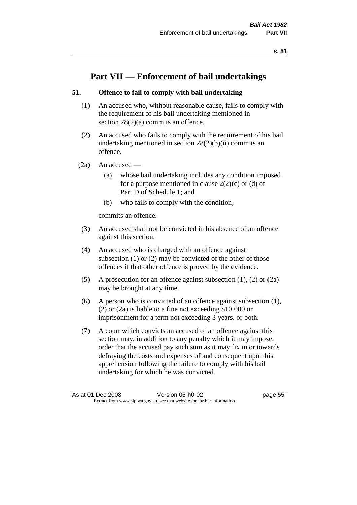# **Part VII — Enforcement of bail undertakings**

# **51. Offence to fail to comply with bail undertaking**

- (1) An accused who, without reasonable cause, fails to comply with the requirement of his bail undertaking mentioned in section 28(2)(a) commits an offence.
- (2) An accused who fails to comply with the requirement of his bail undertaking mentioned in section  $28(2)(b)(ii)$  commits an offence.
- $(2a)$  An accused
	- (a) whose bail undertaking includes any condition imposed for a purpose mentioned in clause  $2(2)(c)$  or (d) of Part D of Schedule 1; and
	- (b) who fails to comply with the condition,

commits an offence.

- (3) An accused shall not be convicted in his absence of an offence against this section.
- (4) An accused who is charged with an offence against subsection (1) or (2) may be convicted of the other of those offences if that other offence is proved by the evidence.
- (5) A prosecution for an offence against subsection (1), (2) or (2a) may be brought at any time.
- (6) A person who is convicted of an offence against subsection (1), (2) or (2a) is liable to a fine not exceeding \$10 000 or imprisonment for a term not exceeding 3 years, or both.
- (7) A court which convicts an accused of an offence against this section may, in addition to any penalty which it may impose, order that the accused pay such sum as it may fix in or towards defraying the costs and expenses of and consequent upon his apprehension following the failure to comply with his bail undertaking for which he was convicted.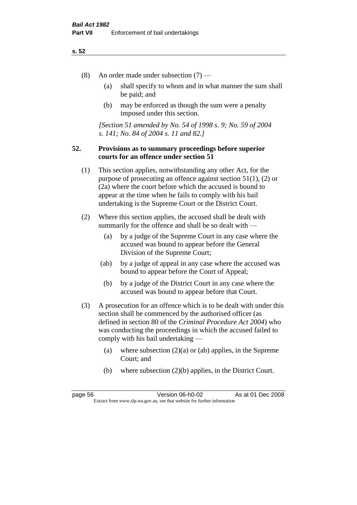- (8) An order made under subsection (7)
	- (a) shall specify to whom and in what manner the sum shall be paid; and
	- (b) may be enforced as though the sum were a penalty imposed under this section.

*[Section 51 amended by No. 54 of 1998 s. 9; No. 59 of 2004 s. 141; No. 84 of 2004 s. 11 and 82.]*

# **52. Provisions as to summary proceedings before superior courts for an offence under section 51**

- (1) This section applies, notwithstanding any other Act, for the purpose of prosecuting an offence against section 51(1), (2) or (2a) where the court before which the accused is bound to appear at the time when he fails to comply with his bail undertaking is the Supreme Court or the District Court.
- (2) Where this section applies, the accused shall be dealt with summarily for the offence and shall be so dealt with —
	- (a) by a judge of the Supreme Court in any case where the accused was bound to appear before the General Division of the Supreme Court;
	- (ab) by a judge of appeal in any case where the accused was bound to appear before the Court of Appeal;
	- (b) by a judge of the District Court in any case where the accused was bound to appear before that Court.
- (3) A prosecution for an offence which is to be dealt with under this section shall be commenced by the authorised officer (as defined in section 80 of the *Criminal Procedure Act 2004*) who was conducting the proceedings in which the accused failed to comply with his bail undertaking —
	- (a) where subsection  $(2)(a)$  or (ab) applies, in the Supreme Court; and
	- (b) where subsection (2)(b) applies, in the District Court.

page 56 Version 06-h0-02 As at 01 Dec 2008 Extract from www.slp.wa.gov.au, see that website for further information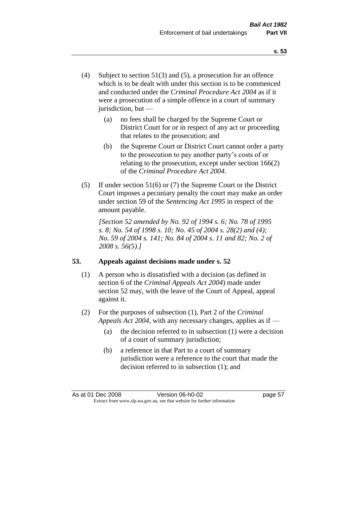- (4) Subject to section 51(3) and (5), a prosecution for an offence which is to be dealt with under this section is to be commenced and conducted under the *Criminal Procedure Act 2004* as if it were a prosecution of a simple offence in a court of summary jurisdiction, but —
	- (a) no fees shall be charged by the Supreme Court or District Court for or in respect of any act or proceeding that relates to the prosecution; and
	- (b) the Supreme Court or District Court cannot order a party to the prosecution to pay another party's costs of or relating to the prosecution, except under section 166(2) of the *Criminal Procedure Act 2004*.
- (5) If under section 51(6) or (7) the Supreme Court or the District Court imposes a pecuniary penalty the court may make an order under section 59 of the *Sentencing Act 1995* in respect of the amount payable.

*[Section 52 amended by No. 92 of 1994 s. 6; No. 78 of 1995 s. 8; No. 54 of 1998 s. 10; No. 45 of 2004 s. 28(2) and (4); No. 59 of 2004 s. 141; No. 84 of 2004 s. 11 and 82; No. 2 of 2008 s. 56(5).]* 

# **53. Appeals against decisions made under s. 52**

- (1) A person who is dissatisfied with a decision (as defined in section 6 of the *Criminal Appeals Act 2004*) made under section 52 may, with the leave of the Court of Appeal, appeal against it.
- (2) For the purposes of subsection (1), Part 2 of the *Criminal Appeals Act 2004*, with any necessary changes, applies as if —
	- (a) the decision referred to in subsection (1) were a decision of a court of summary jurisdiction;
	- (b) a reference in that Part to a court of summary jurisdiction were a reference to the court that made the decision referred to in subsection (1); and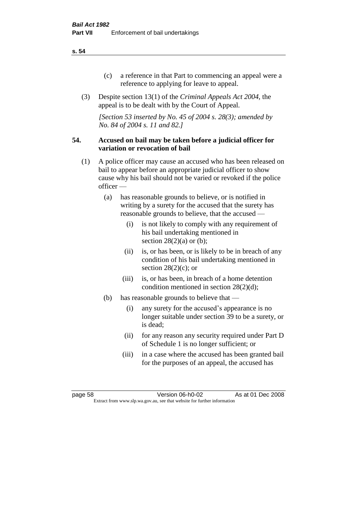- (c) a reference in that Part to commencing an appeal were a reference to applying for leave to appeal.
- (3) Despite section 13(1) of the *Criminal Appeals Act 2004*, the appeal is to be dealt with by the Court of Appeal.

*[Section 53 inserted by No. 45 of 2004 s. 28(3); amended by No. 84 of 2004 s. 11 and 82.]*

### **54. Accused on bail may be taken before a judicial officer for variation or revocation of bail**

- (1) A police officer may cause an accused who has been released on bail to appear before an appropriate judicial officer to show cause why his bail should not be varied or revoked if the police officer —
	- (a) has reasonable grounds to believe, or is notified in writing by a surety for the accused that the surety has reasonable grounds to believe, that the accused —
		- (i) is not likely to comply with any requirement of his bail undertaking mentioned in section  $28(2)(a)$  or (b);
		- (ii) is, or has been, or is likely to be in breach of any condition of his bail undertaking mentioned in section  $28(2)(c)$ ; or
		- (iii) is, or has been, in breach of a home detention condition mentioned in section 28(2)(d);
	- (b) has reasonable grounds to believe that
		- (i) any surety for the accused's appearance is no longer suitable under section 39 to be a surety, or is dead;
		- (ii) for any reason any security required under Part D of Schedule 1 is no longer sufficient; or
		- (iii) in a case where the accused has been granted bail for the purposes of an appeal, the accused has

page 58 Version 06-h0-02 As at 01 Dec 2008 Extract from www.slp.wa.gov.au, see that website for further information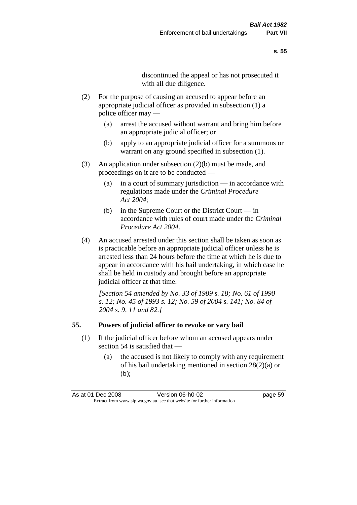discontinued the appeal or has not prosecuted it with all due diligence.

- (2) For the purpose of causing an accused to appear before an appropriate judicial officer as provided in subsection (1) a police officer may —
	- (a) arrest the accused without warrant and bring him before an appropriate judicial officer; or
	- (b) apply to an appropriate judicial officer for a summons or warrant on any ground specified in subsection  $(1)$ .
- (3) An application under subsection (2)(b) must be made, and proceedings on it are to be conducted —
	- (a) in a court of summary jurisdiction in accordance with regulations made under the *Criminal Procedure Act 2004*;
	- (b) in the Supreme Court or the District Court in accordance with rules of court made under the *Criminal Procedure Act 2004*.
- (4) An accused arrested under this section shall be taken as soon as is practicable before an appropriate judicial officer unless he is arrested less than 24 hours before the time at which he is due to appear in accordance with his bail undertaking, in which case he shall be held in custody and brought before an appropriate judicial officer at that time.

*[Section 54 amended by No. 33 of 1989 s. 18; No. 61 of 1990 s. 12; No. 45 of 1993 s. 12; No. 59 of 2004 s. 141; No. 84 of 2004 s. 9, 11 and 82.]* 

#### **55. Powers of judicial officer to revoke or vary bail**

- (1) If the judicial officer before whom an accused appears under section 54 is satisfied that —
	- (a) the accused is not likely to comply with any requirement of his bail undertaking mentioned in section 28(2)(a) or (b);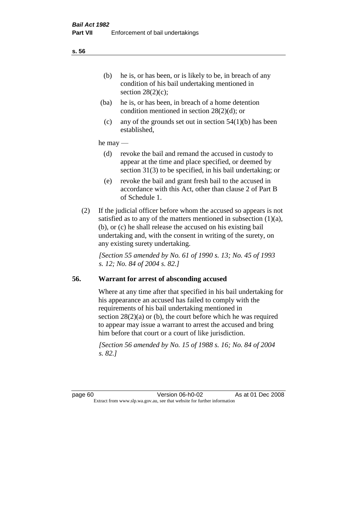- (ba) he is, or has been, in breach of a home detention condition mentioned in section 28(2)(d); or
- (c) any of the grounds set out in section  $54(1)(b)$  has been established,

#### he may —

- (d) revoke the bail and remand the accused in custody to appear at the time and place specified, or deemed by section 31(3) to be specified, in his bail undertaking; or
- (e) revoke the bail and grant fresh bail to the accused in accordance with this Act, other than clause 2 of Part B of Schedule 1.
- (2) If the judicial officer before whom the accused so appears is not satisfied as to any of the matters mentioned in subsection  $(1)(a)$ , (b), or (c) he shall release the accused on his existing bail undertaking and, with the consent in writing of the surety, on any existing surety undertaking.

*[Section 55 amended by No. 61 of 1990 s. 13; No. 45 of 1993 s. 12; No. 84 of 2004 s. 82.]*

# **56. Warrant for arrest of absconding accused**

Where at any time after that specified in his bail undertaking for his appearance an accused has failed to comply with the requirements of his bail undertaking mentioned in section  $28(2)(a)$  or (b), the court before which he was required to appear may issue a warrant to arrest the accused and bring him before that court or a court of like jurisdiction.

*[Section 56 amended by No. 15 of 1988 s. 16; No. 84 of 2004 s. 82.]* 

**s. 56**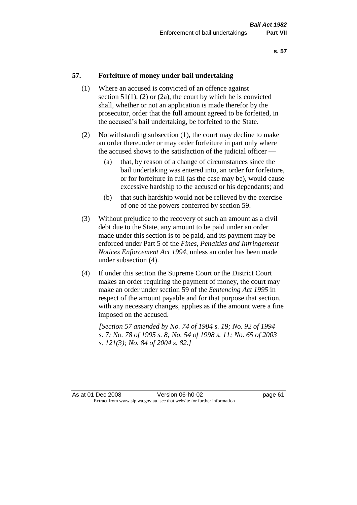#### **57. Forfeiture of money under bail undertaking**

- (1) Where an accused is convicted of an offence against section  $51(1)$ ,  $(2)$  or  $(2a)$ , the court by which he is convicted shall, whether or not an application is made therefor by the prosecutor, order that the full amount agreed to be forfeited, in the accused's bail undertaking, be forfeited to the State.
- (2) Notwithstanding subsection (1), the court may decline to make an order thereunder or may order forfeiture in part only where the accused shows to the satisfaction of the judicial officer —
	- (a) that, by reason of a change of circumstances since the bail undertaking was entered into, an order for forfeiture, or for forfeiture in full (as the case may be), would cause excessive hardship to the accused or his dependants; and
	- (b) that such hardship would not be relieved by the exercise of one of the powers conferred by section 59.
- (3) Without prejudice to the recovery of such an amount as a civil debt due to the State, any amount to be paid under an order made under this section is to be paid, and its payment may be enforced under Part 5 of the *Fines, Penalties and Infringement Notices Enforcement Act 1994*, unless an order has been made under subsection (4).
- (4) If under this section the Supreme Court or the District Court makes an order requiring the payment of money, the court may make an order under section 59 of the *Sentencing Act 1995* in respect of the amount payable and for that purpose that section, with any necessary changes, applies as if the amount were a fine imposed on the accused.

*[Section 57 amended by No. 74 of 1984 s. 19; No. 92 of 1994 s. 7; No. 78 of 1995 s. 8; No. 54 of 1998 s. 11; No. 65 of 2003 s. 121(3); No. 84 of 2004 s. 82.]*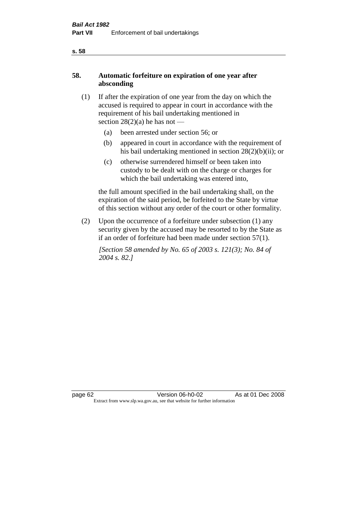# **58. Automatic forfeiture on expiration of one year after absconding**

- (1) If after the expiration of one year from the day on which the accused is required to appear in court in accordance with the requirement of his bail undertaking mentioned in section  $28(2)(a)$  he has not —
	- (a) been arrested under section 56; or
	- (b) appeared in court in accordance with the requirement of his bail undertaking mentioned in section 28(2)(b)(ii); or
	- (c) otherwise surrendered himself or been taken into custody to be dealt with on the charge or charges for which the bail undertaking was entered into,

the full amount specified in the bail undertaking shall, on the expiration of the said period, be forfeited to the State by virtue of this section without any order of the court or other formality.

(2) Upon the occurrence of a forfeiture under subsection (1) any security given by the accused may be resorted to by the State as if an order of forfeiture had been made under section 57(1).

*[Section 58 amended by No. 65 of 2003 s. 121(3); No. 84 of 2004 s. 82.]*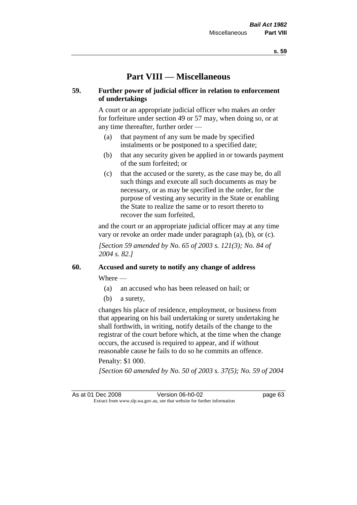# **Part VIII — Miscellaneous**

# **59. Further power of judicial officer in relation to enforcement of undertakings**

A court or an appropriate judicial officer who makes an order for forfeiture under section 49 or 57 may, when doing so, or at any time thereafter, further order —

- (a) that payment of any sum be made by specified instalments or be postponed to a specified date;
- (b) that any security given be applied in or towards payment of the sum forfeited; or
- (c) that the accused or the surety, as the case may be, do all such things and execute all such documents as may be necessary, or as may be specified in the order, for the purpose of vesting any security in the State or enabling the State to realize the same or to resort thereto to recover the sum forfeited,

and the court or an appropriate judicial officer may at any time vary or revoke an order made under paragraph (a), (b), or (c).

*[Section 59 amended by No. 65 of 2003 s. 121(3); No. 84 of 2004 s. 82.]*

# **60. Accused and surety to notify any change of address**

Where —

- (a) an accused who has been released on bail; or
- (b) a surety,

changes his place of residence, employment, or business from that appearing on his bail undertaking or surety undertaking he shall forthwith, in writing, notify details of the change to the registrar of the court before which, at the time when the change occurs, the accused is required to appear, and if without reasonable cause he fails to do so he commits an offence.

#### Penalty: \$1 000.

*[Section 60 amended by No. 50 of 2003 s. 37(5); No. 59 of 2004* 

As at 01 Dec 2008 Version 06-h0-02 page 63 Extract from www.slp.wa.gov.au, see that website for further information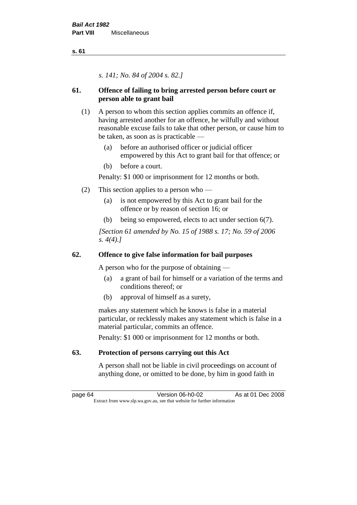*s. 141; No. 84 of 2004 s. 82.]*

# **61. Offence of failing to bring arrested person before court or person able to grant bail**

- (1) A person to whom this section applies commits an offence if, having arrested another for an offence, he wilfully and without reasonable excuse fails to take that other person, or cause him to be taken, as soon as is practicable —
	- (a) before an authorised officer or judicial officer empowered by this Act to grant bail for that offence; or
	- (b) before a court.

Penalty: \$1 000 or imprisonment for 12 months or both.

- (2) This section applies to a person who
	- (a) is not empowered by this Act to grant bail for the offence or by reason of section 16; or
	- (b) being so empowered, elects to act under section 6(7).

*[Section 61 amended by No. 15 of 1988 s. 17; No. 59 of 2006 s. 4(4).]* 

# **62. Offence to give false information for bail purposes**

A person who for the purpose of obtaining —

- (a) a grant of bail for himself or a variation of the terms and conditions thereof; or
- (b) approval of himself as a surety,

makes any statement which he knows is false in a material particular, or recklessly makes any statement which is false in a material particular, commits an offence.

Penalty: \$1 000 or imprisonment for 12 months or both.

# **63. Protection of persons carrying out this Act**

A person shall not be liable in civil proceedings on account of anything done, or omitted to be done, by him in good faith in

page 64 Version 06-h0-02 As at 01 Dec 2008 Extract from www.slp.wa.gov.au, see that website for further information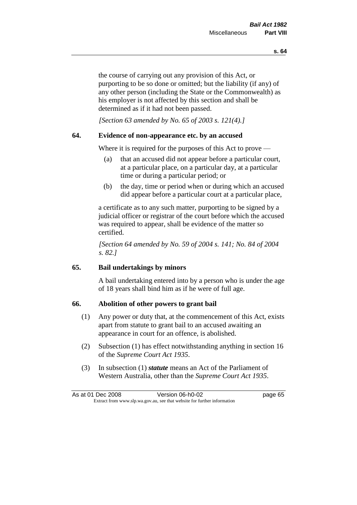the course of carrying out any provision of this Act, or purporting to be so done or omitted; but the liability (if any) of any other person (including the State or the Commonwealth) as his employer is not affected by this section and shall be determined as if it had not been passed.

*[Section 63 amended by No. 65 of 2003 s. 121(4).]*

## **64. Evidence of non-appearance etc. by an accused**

Where it is required for the purposes of this Act to prove —

- (a) that an accused did not appear before a particular court, at a particular place, on a particular day, at a particular time or during a particular period; or
- (b) the day, time or period when or during which an accused did appear before a particular court at a particular place,

a certificate as to any such matter, purporting to be signed by a judicial officer or registrar of the court before which the accused was required to appear, shall be evidence of the matter so certified.

*[Section 64 amended by No. 59 of 2004 s. 141; No. 84 of 2004 s. 82.]* 

## **65. Bail undertakings by minors**

A bail undertaking entered into by a person who is under the age of 18 years shall bind him as if he were of full age.

## **66. Abolition of other powers to grant bail**

- (1) Any power or duty that, at the commencement of this Act, exists apart from statute to grant bail to an accused awaiting an appearance in court for an offence, is abolished.
- (2) Subsection (1) has effect notwithstanding anything in section 16 of the *Supreme Court Act 1935*.
- (3) In subsection (1) *statute* means an Act of the Parliament of Western Australia, other than the *Supreme Court Act 1935*.

|  | As at 01 Dec 2008 | Version 06-h0-02                                                         | page 65 |
|--|-------------------|--------------------------------------------------------------------------|---------|
|  |                   | Extract from www.slp.wa.gov.au, see that website for further information |         |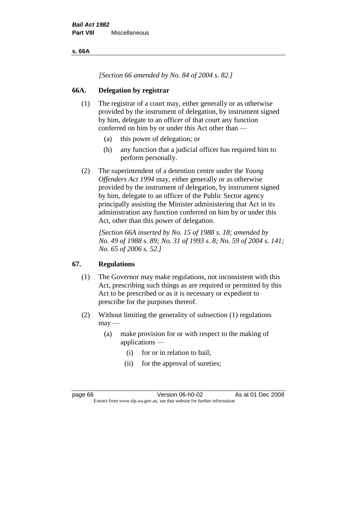**s. 66A**

*[Section 66 amended by No. 84 of 2004 s. 82.]*

# **66A. Delegation by registrar**

- (1) The registrar of a court may, either generally or as otherwise provided by the instrument of delegation, by instrument signed by him, delegate to an officer of that court any function conferred on him by or under this Act other than —
	- (a) this power of delegation; or
	- (b) any function that a judicial officer has required him to perform personally.
- (2) The superintendent of a detention centre under the *Young Offenders Act 1994* may, either generally or as otherwise provided by the instrument of delegation, by instrument signed by him, delegate to an officer of the Public Sector agency principally assisting the Minister administering that Act in its administration any function conferred on him by or under this Act, other than this power of delegation.

*[Section 66A inserted by No. 15 of 1988 s. 18; amended by No. 49 of 1988 s. 89; No. 31 of 1993 s. 8; No. 59 of 2004 s. 141; No. 65 of 2006 s. 52.]* 

# **67. Regulations**

- (1) The Governor may make regulations, not inconsistent with this Act, prescribing such things as are required or permitted by this Act to be prescribed or as it is necessary or expedient to prescribe for the purposes thereof.
- (2) Without limiting the generality of subsection (1) regulations  $may -$ 
	- (a) make provision for or with respect to the making of applications —
		- (i) for or in relation to bail;
		- (ii) for the approval of sureties;

page 66 **Version 06-h0-02** As at 01 Dec 2008 Extract from www.slp.wa.gov.au, see that website for further information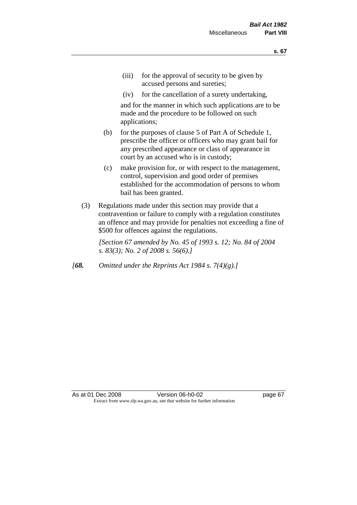- (iii) for the approval of security to be given by accused persons and sureties;
- (iv) for the cancellation of a surety undertaking,

and for the manner in which such applications are to be made and the procedure to be followed on such applications;

- (b) for the purposes of clause 5 of Part A of Schedule 1, prescribe the officer or officers who may grant bail for any prescribed appearance or class of appearance in court by an accused who is in custody;
- (c) make provision for, or with respect to the management, control, supervision and good order of premises established for the accommodation of persons to whom bail has been granted.
- (3) Regulations made under this section may provide that a contravention or failure to comply with a regulation constitutes an offence and may provide for penalties not exceeding a fine of \$500 for offences against the regulations.

*[Section 67 amended by No. 45 of 1993 s. 12; No. 84 of 2004 s. 83(3); No. 2 of 2008 s. 56(6).]* 

*[68. Omitted under the Reprints Act 1984 s. 7(4)(g).]*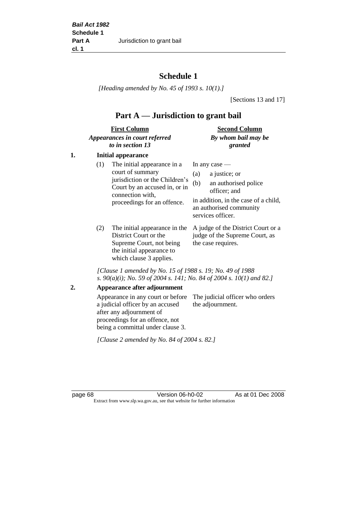# **Schedule 1**

*[Heading amended by No. 45 of 1993 s. 10(1).]*

[Sections 13 and 17]

# **Part A — Jurisdiction to grant bail**

| <b>First Column</b>           | <b>Second Column</b> |
|-------------------------------|----------------------|
| Appearances in court referred | By whom bail may be  |
| to in section 13              | granted              |

# **1. Initial appearance**

| (1) | The initial appearance in a<br>court of summary<br>jurisdiction or the Children's<br>Court by an accused in, or in<br>connection with,<br>proceedings for an offence. | In any case $-$<br>a justice; or<br>(a)<br>an authorised police<br>(b)<br>officer; and<br>in addition, in the case of a child,<br>an authorised community<br>services officer. |
|-----|-----------------------------------------------------------------------------------------------------------------------------------------------------------------------|--------------------------------------------------------------------------------------------------------------------------------------------------------------------------------|
|     |                                                                                                                                                                       |                                                                                                                                                                                |

District Court or the Supreme Court, not being the initial appearance to which clause 3 applies.

(2) The initial appearance in the A judge of the District Court or a judge of the Supreme Court, as the case requires.

*[Clause 1 amended by No. 15 of 1988 s. 19; No. 49 of 1988 s. 90(a)(i); No. 59 of 2004 s. 141; No. 84 of 2004 s. 10(1) and 82.]*

### **2. Appearance after adjournment**

Appearance in any court or before The judicial officer who orders a judicial officer by an accused after any adjournment of proceedings for an offence, not being a committal under clause 3. the adjournment.

*[Clause 2 amended by No. 84 of 2004 s. 82.]*

page 68 Version 06-h0-02 As at 01 Dec 2008 Extract from www.slp.wa.gov.au, see that website for further information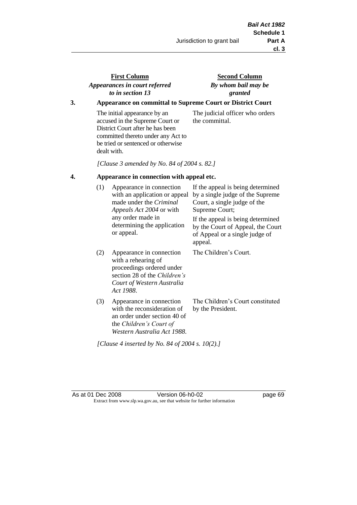# **First Column** *Appearances in court referred to in section 13*

**Second Column** *By whom bail may be granted*

# **3. Appearance on committal to Supreme Court or District Court**

The initial appearance by an accused in the Supreme Court or District Court after he has been committed thereto under any Act to be tried or sentenced or otherwise dealt with.

The judicial officer who orders the committal.

*[Clause 3 amended by No. 84 of 2004 s. 82.]*

### **4. Appearance in connection with appeal etc.**

| (1) | Appearance in connection<br>with an application or appeal<br>made under the <i>Criminal</i><br><i>Appeals Act 2004</i> or with<br>any order made in<br>determining the application<br>or appeal. | If the appeal is being determined<br>by a single judge of the Supreme<br>Court, a single judge of the<br>Supreme Court;<br>If the appeal is being determined<br>by the Court of Appeal, the Court<br>of Appeal or a single judge of<br>appeal. |
|-----|--------------------------------------------------------------------------------------------------------------------------------------------------------------------------------------------------|------------------------------------------------------------------------------------------------------------------------------------------------------------------------------------------------------------------------------------------------|
| (2) | Appearance in connection<br>with a rehearing of<br>proceedings ordered under<br>section 28 of the <i>Children's</i><br>Court of Western Australia<br>Act 1988.                                   | The Children's Court.                                                                                                                                                                                                                          |
| (3) | Appearance in connection<br>with the reconsideration of<br>an order under section 40 of<br>the Children's Court of<br>Western Australia Act 1988.                                                | The Children's Court constituted<br>by the President.                                                                                                                                                                                          |

*[Clause 4 inserted by No. 84 of 2004 s. 10(2).]*

As at 01 Dec 2008 Version 06-h0-02 page 69 Extract from www.slp.wa.gov.au, see that website for further information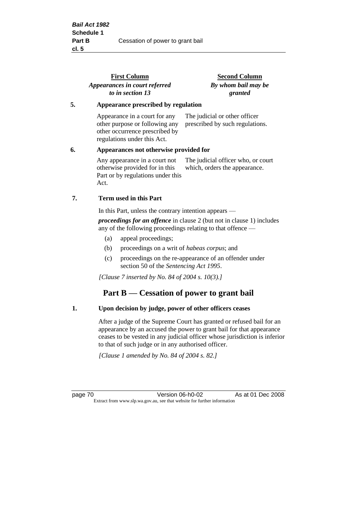|                                              | <b>First Column</b><br>Appearances in court referred<br>to in section 13                                                         | <b>Second Column</b><br>By whom bail may be<br>granted              |
|----------------------------------------------|----------------------------------------------------------------------------------------------------------------------------------|---------------------------------------------------------------------|
| 5.                                           | Appearance prescribed by regulation                                                                                              |                                                                     |
|                                              | Appearance in a court for any<br>other purpose or following any<br>other occurrence prescribed by<br>regulations under this Act. | The judicial or other officer<br>prescribed by such regulations.    |
| 6.<br>Appearances not otherwise provided for |                                                                                                                                  |                                                                     |
|                                              | Any appearance in a court not<br>otherwise provided for in this<br>Part or by regulations under this<br>Act.                     | The judicial officer who, or court<br>which, orders the appearance. |
| 7.                                           | Term used in this Part                                                                                                           |                                                                     |
|                                              | In this Part, unless the contrary intention appears —                                                                            |                                                                     |
|                                              |                                                                                                                                  |                                                                     |

*proceedings for an offence* in clause 2 (but not in clause 1) includes any of the following proceedings relating to that offence —

- (a) appeal proceedings;
- (b) proceedings on a writ of *habeas corpus*; and
- (c) proceedings on the re-appearance of an offender under section 50 of the *Sentencing Act 1995*.

*[Clause 7 inserted by No. 84 of 2004 s. 10(3).]*

# **Part B — Cessation of power to grant bail**

### **1. Upon decision by judge, power of other officers ceases**

After a judge of the Supreme Court has granted or refused bail for an appearance by an accused the power to grant bail for that appearance ceases to be vested in any judicial officer whose jurisdiction is inferior to that of such judge or in any authorised officer.

*[Clause 1 amended by No. 84 of 2004 s. 82.]*

page 70 **Version 06-h0-02** As at 01 Dec 2008 Extract from www.slp.wa.gov.au, see that website for further information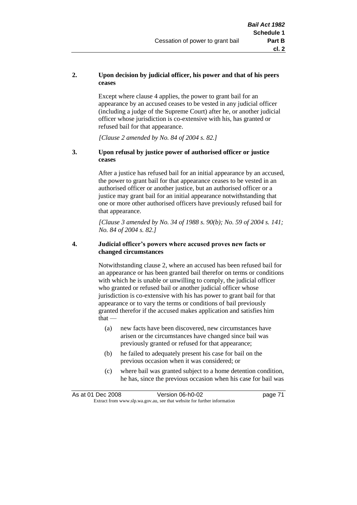### **2. Upon decision by judicial officer, his power and that of his peers ceases**

Except where clause 4 applies, the power to grant bail for an appearance by an accused ceases to be vested in any judicial officer (including a judge of the Supreme Court) after he, or another judicial officer whose jurisdiction is co-extensive with his, has granted or refused bail for that appearance.

*[Clause 2 amended by No. 84 of 2004 s. 82.]*

### **3. Upon refusal by justice power of authorised officer or justice ceases**

After a justice has refused bail for an initial appearance by an accused, the power to grant bail for that appearance ceases to be vested in an authorised officer or another justice, but an authorised officer or a justice may grant bail for an initial appearance notwithstanding that one or more other authorised officers have previously refused bail for that appearance.

*[Clause 3 amended by No. 34 of 1988 s. 90(b); No. 59 of 2004 s. 141; No. 84 of 2004 s. 82.]*

#### **4. Judicial officer's powers where accused proves new facts or changed circumstances**

Notwithstanding clause 2, where an accused has been refused bail for an appearance or has been granted bail therefor on terms or conditions with which he is unable or unwilling to comply, the judicial officer who granted or refused bail or another judicial officer whose jurisdiction is co-extensive with his has power to grant bail for that appearance or to vary the terms or conditions of bail previously granted therefor if the accused makes application and satisfies him  $that -$ 

- (a) new facts have been discovered, new circumstances have arisen or the circumstances have changed since bail was previously granted or refused for that appearance;
- (b) he failed to adequately present his case for bail on the previous occasion when it was considered; or
- (c) where bail was granted subject to a home detention condition, he has, since the previous occasion when his case for bail was

|                                                                          | As at 01 Dec 2008 | Version 06-h0-02 | page 71 |
|--------------------------------------------------------------------------|-------------------|------------------|---------|
| Extract from www.slp.wa.gov.au, see that website for further information |                   |                  |         |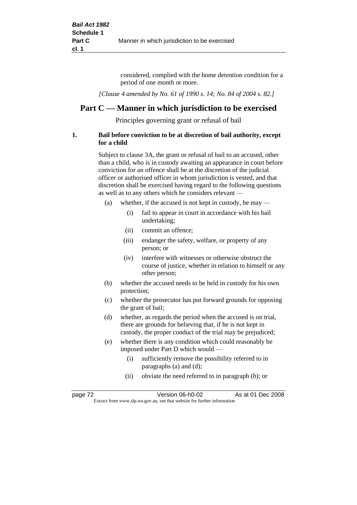considered, complied with the home detention condition for a period of one month or more.

*[Clause 4 amended by No. 61 of 1990 s. 14; No. 84 of 2004 s. 82.]*

# **Part C — Manner in which jurisdiction to be exercised**

Principles governing grant or refusal of bail

### **1. Bail before conviction to be at discretion of bail authority, except for a child**

Subject to clause 3A, the grant or refusal of bail to an accused, other than a child, who is in custody awaiting an appearance in court before conviction for an offence shall be at the discretion of the judicial officer or authorised officer in whom jurisdiction is vested, and that discretion shall be exercised having regard to the following questions as well as to any others which he considers relevant —

- (a) whether, if the accused is not kept in custody, he may  $-$ 
	- (i) fail to appear in court in accordance with his bail undertaking;
	- (ii) commit an offence;
	- (iii) endanger the safety, welfare, or property of any person; or
	- (iv) interfere with witnesses or otherwise obstruct the course of justice, whether in relation to himself or any other person;
- (b) whether the accused needs to be held in custody for his own protection;
- (c) whether the prosecutor has put forward grounds for opposing the grant of bail;
- (d) whether, as regards the period when the accused is on trial, there are grounds for believing that, if he is not kept in custody, the proper conduct of the trial may be prejudiced;
- (e) whether there is any condition which could reasonably be imposed under Part D which would —
	- (i) sufficiently remove the possibility referred to in paragraphs (a) and (d);
	- (ii) obviate the need referred to in paragraph (b); or

| page 72 | Version 06-h0-02                                                         | As at 01 Dec 2008 |
|---------|--------------------------------------------------------------------------|-------------------|
|         | Extract from www.slp.wa.gov.au, see that website for further information |                   |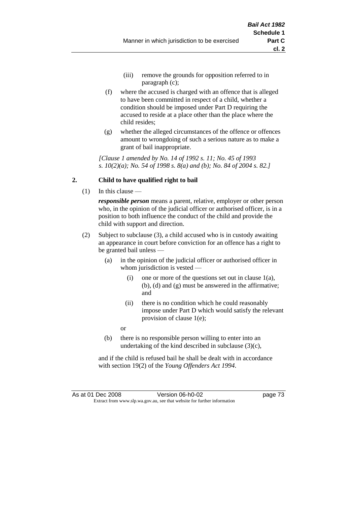- (iii) remove the grounds for opposition referred to in paragraph (c);
- (f) where the accused is charged with an offence that is alleged to have been committed in respect of a child, whether a condition should be imposed under Part D requiring the accused to reside at a place other than the place where the child resides;
- (g) whether the alleged circumstances of the offence or offences amount to wrongdoing of such a serious nature as to make a grant of bail inappropriate.

*[Clause 1 amended by No. 14 of 1992 s. 11; No. 45 of 1993 s. 10(2)(a); No. 54 of 1998 s. 8(a) and (b); No. 84 of 2004 s. 82.]*

## **2. Child to have qualified right to bail**

(1) In this clause —

*responsible person* means a parent, relative, employer or other person who, in the opinion of the judicial officer or authorised officer, is in a position to both influence the conduct of the child and provide the child with support and direction.

- (2) Subject to subclause (3), a child accused who is in custody awaiting an appearance in court before conviction for an offence has a right to be granted bail unless —
	- (a) in the opinion of the judicial officer or authorised officer in whom jurisdiction is vested —
		- (i) one or more of the questions set out in clause  $1(a)$ , (b), (d) and (g) must be answered in the affirmative; and
		- (ii) there is no condition which he could reasonably impose under Part D which would satisfy the relevant provision of clause 1(e);
		- or
	- (b) there is no responsible person willing to enter into an undertaking of the kind described in subclause (3)(c),

and if the child is refused bail he shall be dealt with in accordance with section 19(2) of the *Young Offenders Act 1994*.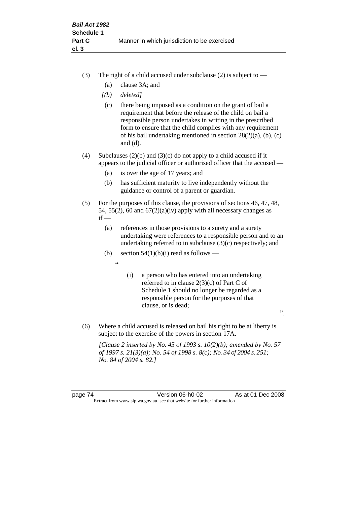- (3) The right of a child accused under subclause (2) is subject to  $-$ 
	- (a) clause 3A; and
	- *[(b) deleted]*
	- (c) there being imposed as a condition on the grant of bail a requirement that before the release of the child on bail a responsible person undertakes in writing in the prescribed form to ensure that the child complies with any requirement of his bail undertaking mentioned in section 28(2)(a), (b), (c) and (d).
- (4) Subclauses (2)(b) and (3)(c) do not apply to a child accused if it appears to the judicial officer or authorised officer that the accused —
	- (a) is over the age of 17 years; and
	- (b) has sufficient maturity to live independently without the guidance or control of a parent or guardian.
- (5) For the purposes of this clause, the provisions of sections 46, 47, 48, 54, 55(2), 60 and  $67(2)(a)(iv)$  apply with all necessary changes as  $if -$ 
	- (a) references in those provisions to a surety and a surety undertaking were references to a responsible person and to an undertaking referred to in subclause (3)(c) respectively; and
	- (b) section  $54(1)(b)(i)$  read as follows
		- $\epsilon$
- (i) a person who has entered into an undertaking referred to in clause 2(3)(c) of Part C of Schedule 1 should no longer be regarded as a responsible person for the purposes of that clause, or is dead;

".

(6) Where a child accused is released on bail his right to be at liberty is subject to the exercise of the powers in section 17A.

*[Clause 2 inserted by No. 45 of 1993 s. 10(2)(b); amended by No. 57 of 1997 s. 21(3)(a); No. 54 of 1998 s. 8(c); No. 34 of 2004 s. 251; No. 84 of 2004 s. 82.]*

page 74 Version 06-h0-02 As at 01 Dec 2008 Extract from www.slp.wa.gov.au, see that website for further information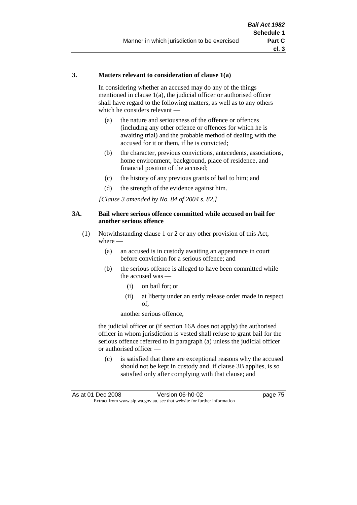#### **3. Matters relevant to consideration of clause 1(a)**

In considering whether an accused may do any of the things mentioned in clause 1(a), the judicial officer or authorised officer shall have regard to the following matters, as well as to any others which he considers relevant —

- (a) the nature and seriousness of the offence or offences (including any other offence or offences for which he is awaiting trial) and the probable method of dealing with the accused for it or them, if he is convicted;
- (b) the character, previous convictions, antecedents, associations, home environment, background, place of residence, and financial position of the accused;
- (c) the history of any previous grants of bail to him; and
- (d) the strength of the evidence against him.

*[Clause 3 amended by No. 84 of 2004 s. 82.]*

#### **3A. Bail where serious offence committed while accused on bail for another serious offence**

- (1) Notwithstanding clause 1 or 2 or any other provision of this Act, where —
	- (a) an accused is in custody awaiting an appearance in court before conviction for a serious offence; and
	- (b) the serious offence is alleged to have been committed while the accused was —
		- (i) on bail for; or
		- (ii) at liberty under an early release order made in respect of,

another serious offence,

the judicial officer or (if section 16A does not apply) the authorised officer in whom jurisdiction is vested shall refuse to grant bail for the serious offence referred to in paragraph (a) unless the judicial officer or authorised officer —

(c) is satisfied that there are exceptional reasons why the accused should not be kept in custody and, if clause 3B applies, is so satisfied only after complying with that clause; and

|                                                                          | As at 01 Dec 2008 | Version 06-h0-02 | page 75 |
|--------------------------------------------------------------------------|-------------------|------------------|---------|
| Extract from www.slp.wa.gov.au, see that website for further information |                   |                  |         |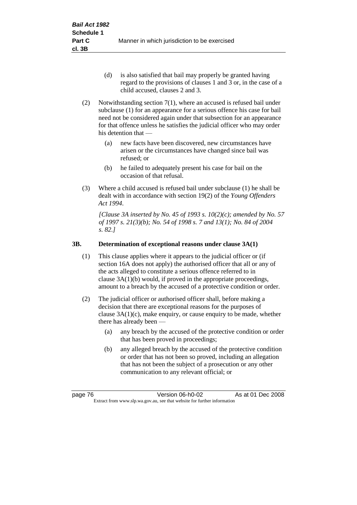- (d) is also satisfied that bail may properly be granted having regard to the provisions of clauses 1 and 3 or, in the case of a child accused, clauses 2 and 3.
- (2) Notwithstanding section 7(1), where an accused is refused bail under subclause (1) for an appearance for a serious offence his case for bail need not be considered again under that subsection for an appearance for that offence unless he satisfies the judicial officer who may order his detention that —
	- (a) new facts have been discovered, new circumstances have arisen or the circumstances have changed since bail was refused; or
	- (b) he failed to adequately present his case for bail on the occasion of that refusal.
- (3) Where a child accused is refused bail under subclause (1) he shall be dealt with in accordance with section 19(2) of the *Young Offenders Act 1994*.

*[Clause 3A inserted by No. 45 of 1993 s. 10(2)(c); amended by No. 57 of 1997 s. 21(3)(b); No. 54 of 1998 s. 7 and 13(1); No. 84 of 2004 s. 82.]*

## **3B. Determination of exceptional reasons under clause 3A(1)**

- (1) This clause applies where it appears to the judicial officer or (if section 16A does not apply) the authorised officer that all or any of the acts alleged to constitute a serious offence referred to in clause 3A(1)(b) would, if proved in the appropriate proceedings, amount to a breach by the accused of a protective condition or order.
- (2) The judicial officer or authorised officer shall, before making a decision that there are exceptional reasons for the purposes of clause  $3A(1)(c)$ , make enquiry, or cause enquiry to be made, whether there has already been -
	- (a) any breach by the accused of the protective condition or order that has been proved in proceedings;
	- (b) any alleged breach by the accused of the protective condition or order that has not been so proved, including an allegation that has not been the subject of a prosecution or any other communication to any relevant official; or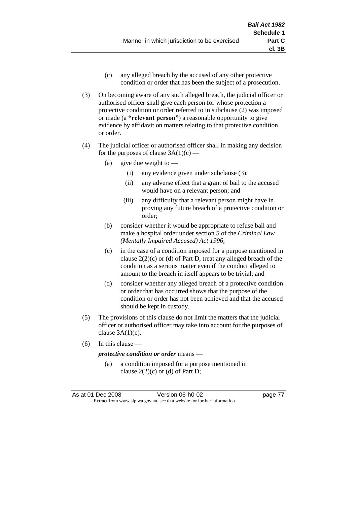- (c) any alleged breach by the accused of any other protective condition or order that has been the subject of a prosecution.
- (3) On becoming aware of any such alleged breach, the judicial officer or authorised officer shall give each person for whose protection a protective condition or order referred to in subclause (2) was imposed or made (a **"relevant person"**) a reasonable opportunity to give evidence by affidavit on matters relating to that protective condition or order.
- (4) The judicial officer or authorised officer shall in making any decision for the purposes of clause  $3A(1)(c)$  —
	- (a) give due weight to  $-$ 
		- (i) any evidence given under subclause (3);
		- (ii) any adverse effect that a grant of bail to the accused would have on a relevant person; and
		- (iii) any difficulty that a relevant person might have in proving any future breach of a protective condition or order;
	- (b) consider whether it would be appropriate to refuse bail and make a hospital order under section 5 of the *Criminal Law (Mentally Impaired Accused) Act 1996*;
	- (c) in the case of a condition imposed for a purpose mentioned in clause  $2(2)(c)$  or (d) of Part D, treat any alleged breach of the condition as a serious matter even if the conduct alleged to amount to the breach in itself appears to be trivial; and
	- (d) consider whether any alleged breach of a protective condition or order that has occurred shows that the purpose of the condition or order has not been achieved and that the accused should be kept in custody.
- (5) The provisions of this clause do not limit the matters that the judicial officer or authorised officer may take into account for the purposes of clause  $3A(1)(c)$ .
- (6) In this clause —

*protective condition or order* means —

(a) a condition imposed for a purpose mentioned in clause  $2(2)(c)$  or (d) of Part D;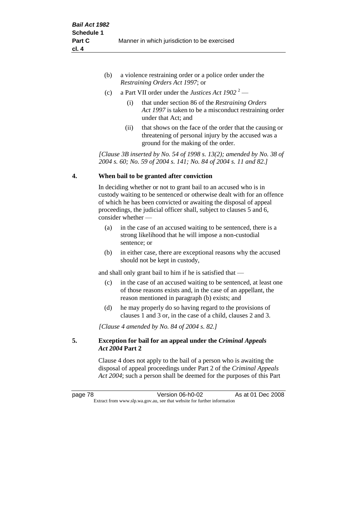- (b) a violence restraining order or a police order under the *Restraining Orders Act 1997*; or
- (c) a Part VII order under the *Justices Act 1902* <sup>2</sup>
	- (i) that under section 86 of the *Restraining Orders Act 1997* is taken to be a misconduct restraining order under that Act; and
	- (ii) that shows on the face of the order that the causing or threatening of personal injury by the accused was a ground for the making of the order.

*[Clause 3B inserted by No. 54 of 1998 s. 13(2); amended by No. 38 of 2004 s. 60; No. 59 of 2004 s. 141; No. 84 of 2004 s. 11 and 82.]*

## **4. When bail to be granted after conviction**

In deciding whether or not to grant bail to an accused who is in custody waiting to be sentenced or otherwise dealt with for an offence of which he has been convicted or awaiting the disposal of appeal proceedings, the judicial officer shall, subject to clauses 5 and 6, consider whether —

- (a) in the case of an accused waiting to be sentenced, there is a strong likelihood that he will impose a non-custodial sentence; or
- (b) in either case, there are exceptional reasons why the accused should not be kept in custody,

and shall only grant bail to him if he is satisfied that —

- (c) in the case of an accused waiting to be sentenced, at least one of those reasons exists and, in the case of an appellant, the reason mentioned in paragraph (b) exists; and
- (d) he may properly do so having regard to the provisions of clauses 1 and 3 or, in the case of a child, clauses 2 and 3.

*[Clause 4 amended by No. 84 of 2004 s. 82.]*

## **5. Exception for bail for an appeal under the** *Criminal Appeals Act 2004* **Part 2**

Clause 4 does not apply to the bail of a person who is awaiting the disposal of appeal proceedings under Part 2 of the *Criminal Appeals Act 2004*; such a person shall be deemed for the purposes of this Part

page 78 Version 06-h0-02 As at 01 Dec 2008 Extract from www.slp.wa.gov.au, see that website for further information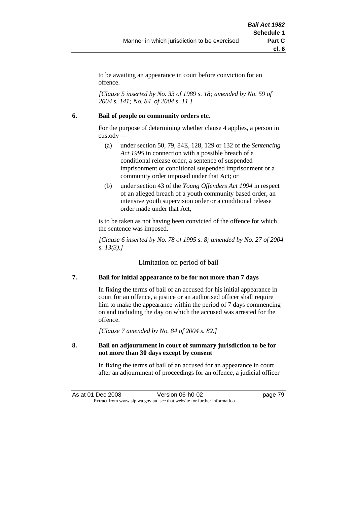to be awaiting an appearance in court before conviction for an offence.

*[Clause 5 inserted by No. 33 of 1989 s. 18; amended by No. 59 of 2004 s. 141; No. 84 of 2004 s. 11.]*

### **6. Bail of people on community orders etc.**

For the purpose of determining whether clause 4 applies, a person in custody —

- (a) under section 50, 79, 84E, 128, 129 or 132 of the *Sentencing Act 1995* in connection with a possible breach of a conditional release order, a sentence of suspended imprisonment or conditional suspended imprisonment or a community order imposed under that Act; or
- (b) under section 43 of the *Young Offenders Act 1994* in respect of an alleged breach of a youth community based order, an intensive youth supervision order or a conditional release order made under that Act,

is to be taken as not having been convicted of the offence for which the sentence was imposed.

*[Clause 6 inserted by No. 78 of 1995 s. 8; amended by No. 27 of 2004 s. 13(3).]*

Limitation on period of bail

## **7. Bail for initial appearance to be for not more than 7 days**

In fixing the terms of bail of an accused for his initial appearance in court for an offence, a justice or an authorised officer shall require him to make the appearance within the period of 7 days commencing on and including the day on which the accused was arrested for the offence.

*[Clause 7 amended by No. 84 of 2004 s. 82.]*

### **8. Bail on adjournment in court of summary jurisdiction to be for not more than 30 days except by consent**

In fixing the terms of bail of an accused for an appearance in court after an adjournment of proceedings for an offence, a judicial officer

As at 01 Dec 2008 Version 06-h0-02 Page 79 Extract from www.slp.wa.gov.au, see that website for further information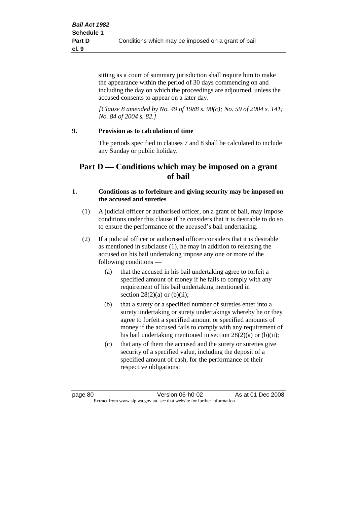sitting as a court of summary jurisdiction shall require him to make the appearance within the period of 30 days commencing on and including the day on which the proceedings are adjourned, unless the accused consents to appear on a later day.

*[Clause 8 amended by No. 49 of 1988 s. 90(c); No. 59 of 2004 s. 141; No. 84 of 2004 s. 82.]*

## **9. Provision as to calculation of time**

The periods specified in clauses 7 and 8 shall be calculated to include any Sunday or public holiday.

# **Part D — Conditions which may be imposed on a grant of bail**

### **1. Conditions as to forfeiture and giving security may be imposed on the accused and sureties**

- (1) A judicial officer or authorised officer, on a grant of bail, may impose conditions under this clause if he considers that it is desirable to do so to ensure the performance of the accused's bail undertaking.
- (2) If a judicial officer or authorised officer considers that it is desirable as mentioned in subclause (1), he may in addition to releasing the accused on his bail undertaking impose any one or more of the following conditions —
	- (a) that the accused in his bail undertaking agree to forfeit a specified amount of money if he fails to comply with any requirement of his bail undertaking mentioned in section  $28(2)(a)$  or  $(b)(ii)$ ;
	- (b) that a surety or a specified number of sureties enter into a surety undertaking or surety undertakings whereby he or they agree to forfeit a specified amount or specified amounts of money if the accused fails to comply with any requirement of his bail undertaking mentioned in section 28(2)(a) or (b)(ii);
	- (c) that any of them the accused and the surety or sureties give security of a specified value, including the deposit of a specified amount of cash, for the performance of their respective obligations;

page 80 Version 06-h0-02 As at 01 Dec 2008 Extract from www.slp.wa.gov.au, see that website for further information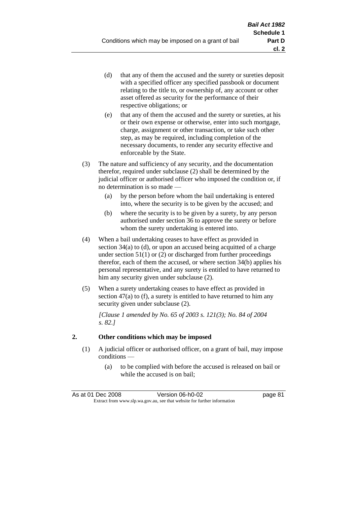- (d) that any of them the accused and the surety or sureties deposit with a specified officer any specified passbook or document relating to the title to, or ownership of, any account or other asset offered as security for the performance of their respective obligations; or
- (e) that any of them the accused and the surety or sureties, at his or their own expense or otherwise, enter into such mortgage, charge, assignment or other transaction, or take such other step, as may be required, including completion of the necessary documents, to render any security effective and enforceable by the State.
- (3) The nature and sufficiency of any security, and the documentation therefor, required under subclause (2) shall be determined by the judicial officer or authorised officer who imposed the condition or, if no determination is so made —
	- (a) by the person before whom the bail undertaking is entered into, where the security is to be given by the accused; and
	- (b) where the security is to be given by a surety, by any person authorised under section 36 to approve the surety or before whom the surety undertaking is entered into.
- (4) When a bail undertaking ceases to have effect as provided in section 34(a) to (d), or upon an accused being acquitted of a charge under section  $51(1)$  or (2) or discharged from further proceedings therefor, each of them the accused, or where section 34(b) applies his personal representative, and any surety is entitled to have returned to him any security given under subclause (2).
- (5) When a surety undertaking ceases to have effect as provided in section 47(a) to (f), a surety is entitled to have returned to him any security given under subclause  $(2)$ .

*[Clause 1 amended by No. 65 of 2003 s. 121(3); No. 84 of 2004 s. 82.]*

## **2. Other conditions which may be imposed**

- (1) A judicial officer or authorised officer, on a grant of bail, may impose conditions —
	- (a) to be complied with before the accused is released on bail or while the accused is on bail;

| As at 01 Dec 2008                                                        | Version 06-h0-02 | page 81 |
|--------------------------------------------------------------------------|------------------|---------|
| Extract from www.slp.wa.gov.au, see that website for further information |                  |         |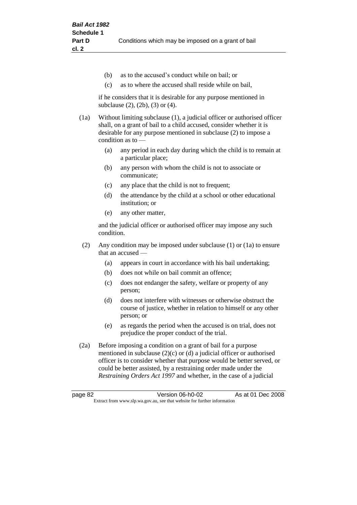- (b) as to the accused's conduct while on bail; or
- (c) as to where the accused shall reside while on bail,

if he considers that it is desirable for any purpose mentioned in subclause (2), (2b), (3) or (4).

(1a) Without limiting subclause (1), a judicial officer or authorised officer shall, on a grant of bail to a child accused, consider whether it is desirable for any purpose mentioned in subclause (2) to impose a condition as to —

- (a) any period in each day during which the child is to remain at a particular place;
- (b) any person with whom the child is not to associate or communicate;
- (c) any place that the child is not to frequent;
- (d) the attendance by the child at a school or other educational institution; or
- (e) any other matter,

and the judicial officer or authorised officer may impose any such condition.

- (2) Any condition may be imposed under subclause (1) or (1a) to ensure that an accused —
	- (a) appears in court in accordance with his bail undertaking;
	- (b) does not while on bail commit an offence;
	- (c) does not endanger the safety, welfare or property of any person;
	- (d) does not interfere with witnesses or otherwise obstruct the course of justice, whether in relation to himself or any other person; or
	- (e) as regards the period when the accused is on trial, does not prejudice the proper conduct of the trial.
- (2a) Before imposing a condition on a grant of bail for a purpose mentioned in subclause (2)(c) or (d) a judicial officer or authorised officer is to consider whether that purpose would be better served, or could be better assisted, by a restraining order made under the *Restraining Orders Act 1997* and whether, in the case of a judicial

page 82 **Version 06-h0-02** As at 01 Dec 2008 Extract from www.slp.wa.gov.au, see that website for further information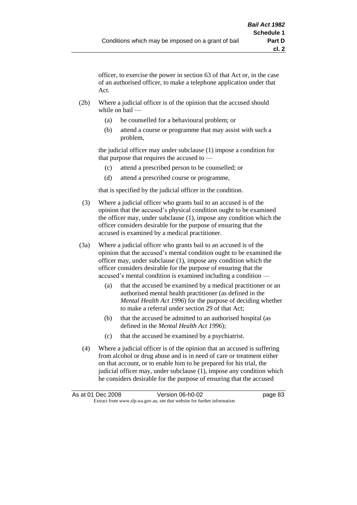officer, to exercise the power in section 63 of that Act or, in the case of an authorised officer, to make a telephone application under that Act.

- (2b) Where a judicial officer is of the opinion that the accused should while on bail —
	- (a) be counselled for a behavioural problem; or
	- (b) attend a course or programme that may assist with such a problem,

the judicial officer may under subclause (1) impose a condition for that purpose that requires the accused to —

- (c) attend a prescribed person to be counselled; or
- (d) attend a prescribed course or programme,

that is specified by the judicial officer in the condition.

- (3) Where a judicial officer who grants bail to an accused is of the opinion that the accused's physical condition ought to be examined the officer may, under subclause (1), impose any condition which the officer considers desirable for the purpose of ensuring that the accused is examined by a medical practitioner.
- (3a) Where a judicial officer who grants bail to an accused is of the opinion that the accused's mental condition ought to be examined the officer may, under subclause (1), impose any condition which the officer considers desirable for the purpose of ensuring that the accused's mental condition is examined including a condition —
	- (a) that the accused be examined by a medical practitioner or an authorised mental health practitioner (as defined in the *Mental Health Act 1996*) for the purpose of deciding whether to make a referral under section 29 of that Act;
	- (b) that the accused be admitted to an authorised hospital (as defined in the *Mental Health Act 1996*);
	- (c) that the accused be examined by a psychiatrist.
- (4) Where a judicial officer is of the opinion that an accused is suffering from alcohol or drug abuse and is in need of care or treatment either on that account, or to enable him to be prepared for his trial, the judicial officer may, under subclause (1), impose any condition which he considers desirable for the purpose of ensuring that the accused

| As at 01 Dec 2008 | Version 06-h0-02                                                         | page 83 |
|-------------------|--------------------------------------------------------------------------|---------|
|                   | Extract from www.slp.wa.gov.au, see that website for further information |         |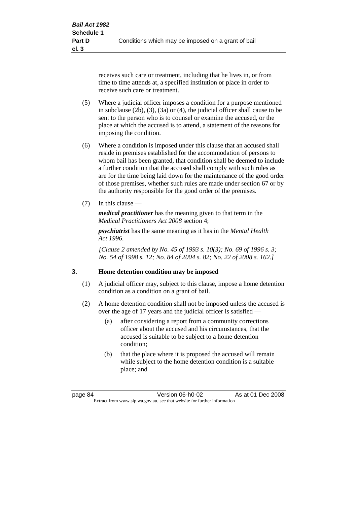receives such care or treatment, including that he lives in, or from time to time attends at, a specified institution or place in order to receive such care or treatment.

- (5) Where a judicial officer imposes a condition for a purpose mentioned in subclause (2b), (3), (3a) or (4), the judicial officer shall cause to be sent to the person who is to counsel or examine the accused, or the place at which the accused is to attend, a statement of the reasons for imposing the condition.
- (6) Where a condition is imposed under this clause that an accused shall reside in premises established for the accommodation of persons to whom bail has been granted, that condition shall be deemed to include a further condition that the accused shall comply with such rules as are for the time being laid down for the maintenance of the good order of those premises, whether such rules are made under section 67 or by the authority responsible for the good order of the premises.
- (7) In this clause —

*medical practitioner* has the meaning given to that term in the *Medical Practitioners Act 2008* section 4;

*psychiatrist* has the same meaning as it has in the *Mental Health Act 1996*.

*[Clause 2 amended by No. 45 of 1993 s. 10(3); No. 69 of 1996 s. 3; No. 54 of 1998 s. 12; No. 84 of 2004 s. 82; No. 22 of 2008 s. 162.]*

#### **3. Home detention condition may be imposed**

- (1) A judicial officer may, subject to this clause, impose a home detention condition as a condition on a grant of bail.
- (2) A home detention condition shall not be imposed unless the accused is over the age of 17 years and the judicial officer is satisfied —
	- (a) after considering a report from a community corrections officer about the accused and his circumstances, that the accused is suitable to be subject to a home detention condition;
	- (b) that the place where it is proposed the accused will remain while subject to the home detention condition is a suitable place; and

page 84 Version 06-h0-02 As at 01 Dec 2008 Extract from www.slp.wa.gov.au, see that website for further information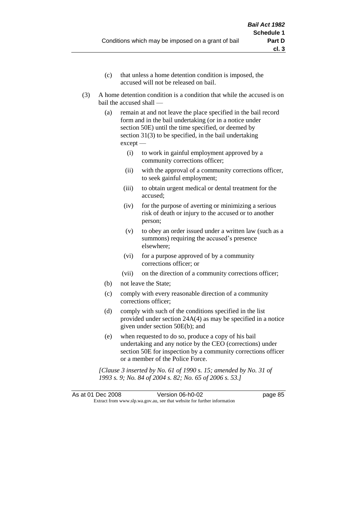- (c) that unless a home detention condition is imposed, the accused will not be released on bail.
- (3) A home detention condition is a condition that while the accused is on bail the accused shall —
	- (a) remain at and not leave the place specified in the bail record form and in the bail undertaking (or in a notice under section 50E) until the time specified, or deemed by section 31(3) to be specified, in the bail undertaking except —
		- (i) to work in gainful employment approved by a community corrections officer;
		- (ii) with the approval of a community corrections officer, to seek gainful employment;
		- (iii) to obtain urgent medical or dental treatment for the accused;
		- (iv) for the purpose of averting or minimizing a serious risk of death or injury to the accused or to another person;
		- (v) to obey an order issued under a written law (such as a summons) requiring the accused's presence elsewhere;
		- (vi) for a purpose approved of by a community corrections officer; or
		- (vii) on the direction of a community corrections officer;
	- (b) not leave the State;
	- (c) comply with every reasonable direction of a community corrections officer;
	- (d) comply with such of the conditions specified in the list provided under section 24A(4) as may be specified in a notice given under section 50E(b); and
	- (e) when requested to do so, produce a copy of his bail undertaking and any notice by the CEO (corrections) under section 50E for inspection by a community corrections officer or a member of the Police Force.

*[Clause 3 inserted by No. 61 of 1990 s. 15; amended by No. 31 of 1993 s. 9; No. 84 of 2004 s. 82; No. 65 of 2006 s. 53.]*

As at 01 Dec 2008 Version 06-h0-02 page 85 Extract from www.slp.wa.gov.au, see that website for further information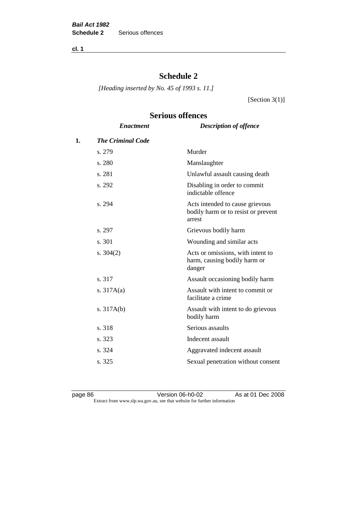**cl. 1**

# **Schedule 2**

*[Heading inserted by No. 45 of 1993 s. 11.]*

[Section 3(1)]

# **Serious offences**

|    | <b>Enactment</b>         | <b>Description of offence</b>                                                    |
|----|--------------------------|----------------------------------------------------------------------------------|
| 1. | <b>The Criminal Code</b> |                                                                                  |
|    | s. 279                   | Murder                                                                           |
|    | s. 280                   | Manslaughter                                                                     |
|    | s. 281                   | Unlawful assault causing death                                                   |
|    | s. 292                   | Disabling in order to commit<br>indictable offence                               |
|    | s. 294                   | Acts intended to cause grievous<br>bodily harm or to resist or prevent<br>arrest |
|    | s. 297                   | Grievous bodily harm                                                             |
|    | s. 301                   | Wounding and similar acts                                                        |
|    | s. $304(2)$              | Acts or omissions, with intent to<br>harm, causing bodily harm or<br>danger      |
|    | s. 317                   | Assault occasioning bodily harm                                                  |
|    | s. $317A(a)$             | Assault with intent to commit or<br>facilitate a crime                           |
|    | s. $317A(b)$             | Assault with intent to do grievous<br>bodily harm                                |
|    | s. 318                   | Serious assaults                                                                 |
|    | s. 323                   | Indecent assault                                                                 |
|    | s. 324                   | Aggravated indecent assault                                                      |
|    | s. 325                   | Sexual penetration without consent                                               |
|    |                          |                                                                                  |

page 86 Version 06-h0-02 As at 01 Dec 2008 Extract from www.slp.wa.gov.au, see that website for further information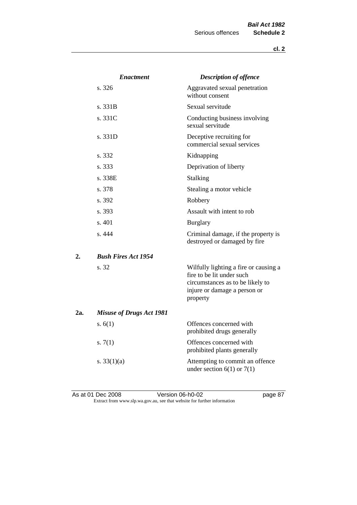|     | <b>Enactment</b>                | <b>Description of offence</b>                                                                                                                      |
|-----|---------------------------------|----------------------------------------------------------------------------------------------------------------------------------------------------|
|     | s. 326                          | Aggravated sexual penetration<br>without consent                                                                                                   |
|     | s. 331B                         | Sexual servitude                                                                                                                                   |
|     | s. 331C                         | Conducting business involving<br>sexual servitude                                                                                                  |
|     | s. 331D                         | Deceptive recruiting for<br>commercial sexual services                                                                                             |
|     | s. 332                          | Kidnapping                                                                                                                                         |
|     | s. 333                          | Deprivation of liberty                                                                                                                             |
|     | s. 338E                         | Stalking                                                                                                                                           |
|     | s. 378                          | Stealing a motor vehicle                                                                                                                           |
|     | s. 392                          | Robbery                                                                                                                                            |
|     | s. 393                          | Assault with intent to rob                                                                                                                         |
|     | s. 401                          | <b>Burglary</b>                                                                                                                                    |
|     | s. 444                          | Criminal damage, if the property is<br>destroyed or damaged by fire                                                                                |
| 2.  | <b>Bush Fires Act 1954</b>      |                                                                                                                                                    |
|     | s. 32                           | Wilfully lighting a fire or causing a<br>fire to be lit under such<br>circumstances as to be likely to<br>injure or damage a person or<br>property |
| 2a. | <b>Misuse of Drugs Act 1981</b> |                                                                                                                                                    |
|     | s. $6(1)$                       | Offences concerned with<br>prohibited drugs generally                                                                                              |
|     | s. $7(1)$                       | Offences concerned with<br>prohibited plants generally                                                                                             |
|     | s. $33(1)(a)$                   | Attempting to commit an offence<br>under section $6(1)$ or $7(1)$                                                                                  |

As at 01 Dec 2008 **Version 06-h0-02 page 87** Extract from www.slp.wa.gov.au, see that website for further information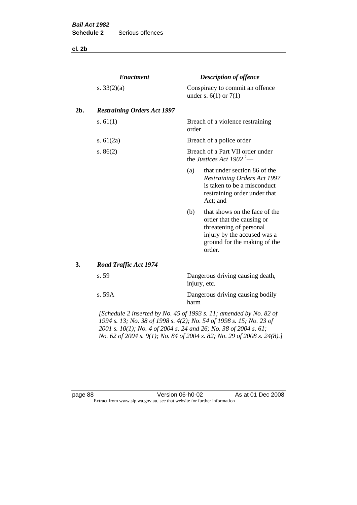**cl. 2b**

|     | <b>Enactment</b>                                                   |       | <b>Description of offence</b>                                                                                                                                  |
|-----|--------------------------------------------------------------------|-------|----------------------------------------------------------------------------------------------------------------------------------------------------------------|
|     | s. $33(2)(a)$                                                      |       | Conspiracy to commit an offence<br>under s. $6(1)$ or $7(1)$                                                                                                   |
| 2b. | <b>Restraining Orders Act 1997</b>                                 |       |                                                                                                                                                                |
|     | s. $61(1)$                                                         | order | Breach of a violence restraining                                                                                                                               |
|     | s. $61(2a)$                                                        |       | Breach of a police order                                                                                                                                       |
|     | s. $86(2)$                                                         |       | Breach of a Part VII order under<br>the Justices Act 1902 <sup>2</sup> —                                                                                       |
|     |                                                                    | (a)   | that under section 86 of the<br>Restraining Orders Act 1997<br>is taken to be a misconduct<br>restraining order under that<br>Act; and                         |
|     |                                                                    | (b)   | that shows on the face of the<br>order that the causing or<br>threatening of personal<br>injury by the accused was a<br>ground for the making of the<br>order. |
| 3.  | <b>Road Traffic Act 1974</b>                                       |       |                                                                                                                                                                |
|     | s. 59                                                              |       | Dangerous driving causing death,<br>injury, etc.                                                                                                               |
|     | s. 59A                                                             | harm  | Dangerous driving causing bodily                                                                                                                               |
|     | [Schedule 2 inserted by No. 45 of 1993 s. 11; amended by No. 82 of |       |                                                                                                                                                                |

*1994 s. 13; No. 38 of 1998 s. 4(2); No. 54 of 1998 s. 15; No. 23 of 2001 s. 10(1); No. 4 of 2004 s. 24 and 26; No. 38 of 2004 s. 61; No. 62 of 2004 s. 9(1); No. 84 of 2004 s. 82; No. 29 of 2008 s. 24(8).]* 

page 88 **Version 06-h0-02** As at 01 Dec 2008 Extract from www.slp.wa.gov.au, see that website for further information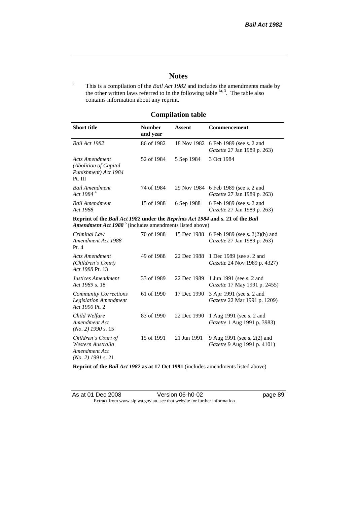# **Notes**

<sup>1</sup> This is a compilation of the *Bail Act 1982* and includes the amendments made by the other written laws referred to in the following table  $\frac{1}{a}$ , The table also contains information about any reprint.

# **Compilation table**

| <b>Short title</b>                                                                                                                                   | <b>Number</b><br>and year | Assent     | Commencement                                                                |
|------------------------------------------------------------------------------------------------------------------------------------------------------|---------------------------|------------|-----------------------------------------------------------------------------|
| Bail Act 1982                                                                                                                                        | 86 of 1982                |            | 18 Nov 1982 6 Feb 1989 (see s. 2 and<br><i>Gazette</i> 27 Jan 1989 p. 263)  |
| Acts Amendment<br>(Abolition of Capital)<br>Punishment) Act 1984<br>Pt. III                                                                          | 52 of 1984                | 5 Sep 1984 | 3 Oct 1984                                                                  |
| Bail Amendment<br>Act 1984 <sup>4</sup>                                                                                                              | 74 of 1984                |            | 29 Nov 1984 6 Feb 1989 (see s. 2 and<br><i>Gazette</i> 27 Jan 1989 p. 263)  |
| <b>Bail Amendment</b><br>Act 1988                                                                                                                    | 15 of 1988                | 6 Sep 1988 | 6 Feb 1989 (see s. 2 and<br><i>Gazette</i> 27 Jan 1989 p. 263)              |
| Reprint of the Bail Act 1982 under the Reprints Act 1984 and s. 21 of the Bail<br>Amendment Act 1988 <sup>5</sup> (includes amendments listed above) |                           |            |                                                                             |
| Criminal Law<br>Amondmont Act 1988                                                                                                                   | 70 of 1988                |            | 15 Dec 1988 6 Feb 1989 (see s. 2(2)(b) and<br>$Gazotto 77$ Ian 1989 n $263$ |

| Criminai Law<br>Amendment Act 1988<br>Pt.4                                        | 70.01.1988 |             | 13 Dec 1988 6 Feb 1989 (see s. $2(2)(0)$ and<br>Gazette 27 Jan 1989 p. 263) |
|-----------------------------------------------------------------------------------|------------|-------------|-----------------------------------------------------------------------------|
| <b>Acts Amendment</b><br>(Children's Court)<br>Act 1988 Pt. 13                    | 49 of 1988 | 22 Dec 1988 | 1 Dec 1989 (see s. 2 and<br><i>Gazette</i> 24 Nov 1989 p. 4327)             |
| Justices Amendment<br>Act 1989 s. 18                                              | 33 of 1989 | 22 Dec 1989 | 1 Jun 1991 (see s. 2 and<br><i>Gazette</i> 17 May 1991 p. 2455)             |
| <b>Community Corrections</b><br><b>Legislation Amendment</b><br>Act 1990 Pt. 2    | 61 of 1990 | 17 Dec 1990 | 3 Apr 1991 (see s. 2 and<br><i>Gazette</i> 22 Mar 1991 p. 1209)             |
| Child Welfare<br>Amendment Act<br>$(No. 2)$ 1990 s. 15                            | 83 of 1990 | 22 Dec 1990 | 1 Aug 1991 (see s. 2 and<br>Gazette 1 Aug 1991 p. 3983)                     |
| Children's Court of<br>Western Australia<br>Amendment Act<br>$(No. 2)$ 1991 s. 21 | 15 of 1991 | 21 Jun 1991 | 9 Aug 1991 (see s. 2(2) and<br>Gazette 9 Aug 1991 p. 4101)                  |

**Reprint of the** *Bail Act 1982* **as at 17 Oct 1991** (includes amendments listed above)

| As at 01 Dec 2008 | Version 06-h0-02                                                         |
|-------------------|--------------------------------------------------------------------------|
|                   | Extract from www.slp.wa.gov.au, see that website for further information |

page 89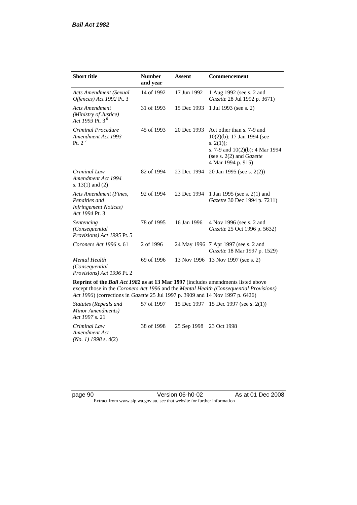| <b>Short title</b>                                                                         | <b>Number</b><br>and year | <b>Assent</b> | <b>Commencement</b>                                                                                                                                                        |
|--------------------------------------------------------------------------------------------|---------------------------|---------------|----------------------------------------------------------------------------------------------------------------------------------------------------------------------------|
| <b>Acts Amendment (Sexual</b><br>Offences) Act 1992 Pt. 3                                  | 14 of 1992                | 17 Jun 1992   | 1 Aug 1992 (see s. 2 and<br>Gazette 28 Jul 1992 p. 3671)                                                                                                                   |
| <b>Acts Amendment</b><br>(Ministry of Justice)<br>Act 1993 Pt. 3 <sup>6</sup>              | 31 of 1993                | 15 Dec 1993   | 1 Jul 1993 (see s. 2)                                                                                                                                                      |
| Criminal Procedure<br>Amendment Act 1993<br>Pt. $2^7$                                      | 45 of 1993                | 20 Dec 1993   | Act other than s. 7-9 and<br>$10(2)(b)$ : 17 Jan 1994 (see<br>s. $2(1)$ ;<br>s. 7-9 and $10(2)(b)$ : 4 Mar 1994<br>(see s. $2(2)$ and <i>Gazette</i><br>4 Mar 1994 p. 915) |
| Criminal Law<br>Amendment Act 1994<br>s. $13(1)$ and $(2)$                                 | 82 of 1994                | 23 Dec 1994   | 20 Jan 1995 (see s. 2(2))                                                                                                                                                  |
| Acts Amendment (Fines,<br>Penalties and<br><b>Infringement Notices</b> )<br>Act 1994 Pt. 3 | 92 of 1994                | 23 Dec 1994   | 1 Jan 1995 (see s. 2(1) and<br>Gazette 30 Dec 1994 p. 7211)                                                                                                                |
| Sentencing<br>(Consequential)<br>Provisions) Act 1995 Pt. 5                                | 78 of 1995                | 16 Jan 1996   | 4 Nov 1996 (see s. 2 and<br>Gazette 25 Oct 1996 p. 5632)                                                                                                                   |
| Coroners Act 1996 s. 61                                                                    | 2 of 1996                 |               | 24 May 1996 7 Apr 1997 (see s. 2 and<br>Gazette 18 Mar 1997 p. 1529)                                                                                                       |
| <b>Mental Health</b><br>(Consequential)<br>Provisions) Act 1996 Pt. 2                      | 69 of 1996                | 13 Nov 1996   | 13 Nov 1997 (see s. 2)                                                                                                                                                     |

**Reprint of the** *Bail Act 1982* **as at 13 Mar 1997** (includes amendments listed above except those in the *Coroners Act 1996* and the *Mental Health (Consequential Provisions) Act 1996*) (corrections in *Gazette* 25 Jul 1997 p. 3909 and 14 Nov 1997 p. 6426)

*Statutes (Repeals and Minor Amendments) Act 1997* s. 21 57 of 1997 15 Dec 1997 15 Dec 1997 (see s. 2(1)) *Criminal Law Amendment Act (No. 1) 1998* s. 4(2) 38 of 1998 25 Sep 1998 23 Oct 1998

page 90 **Version 06-h0-02** As at 01 Dec 2008 Extract from www.slp.wa.gov.au, see that website for further information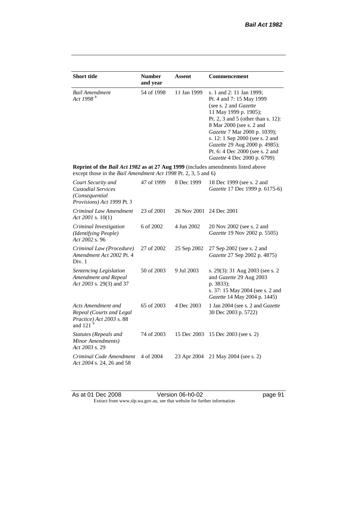| <b>Short title</b>                                                                                                                                 | <b>Number</b> | Assent      | <b>Commencement</b>                                                                                                                                                                                                                                                                                                                                     |
|----------------------------------------------------------------------------------------------------------------------------------------------------|---------------|-------------|---------------------------------------------------------------------------------------------------------------------------------------------------------------------------------------------------------------------------------------------------------------------------------------------------------------------------------------------------------|
|                                                                                                                                                    | and year      |             |                                                                                                                                                                                                                                                                                                                                                         |
| <b>Bail Amendment</b><br>Act 1998 <sup>8</sup>                                                                                                     | 54 of 1998    | 11 Jan 1999 | s. 1 and 2: 11 Jan 1999;<br>Pt. 4 and 7: 15 May 1999<br>(see s. 2 and <i>Gazette</i> )<br>11 May 1999 p. 1905);<br>Pt. 2, 3 and 5 (other than s. 12):<br>8 Mar 2000 (see s. 2 and<br>Gazette 7 Mar 2000 p. 1039);<br>s. 12: 1 Sep 2000 (see s. 2 and<br>Gazette 29 Aug 2000 p. 4985);<br>Pt. 6: 4 Dec 2000 (see s. 2 and<br>Gazette 4 Dec 2000 p. 6799) |
| Reprint of the Bail Act 1982 as at 27 Aug 1999 (includes amendments listed above<br>except those in the Bail Amendment Act 1998 Pt. 2, 3, 5 and 6) |               |             |                                                                                                                                                                                                                                                                                                                                                         |
| Court Security and<br><b>Custodial Services</b><br>(Consequential<br>Provisions) Act 1999 Pt. 3                                                    | 47 of 1999    | 8 Dec 1999  | 18 Dec 1999 (see s. 2 and<br>Gazette 17 Dec 1999 p. 6175-6)                                                                                                                                                                                                                                                                                             |
| Criminal Law Amendment<br>Act 2001 s. $10(1)$                                                                                                      | 23 of 2001    | 26 Nov 2001 | 24 Dec 2001                                                                                                                                                                                                                                                                                                                                             |
| Criminal Investigation<br>(Identifying People)<br>Act 2002 s. 96                                                                                   | 6 of 2002     | 4 Jun 2002  | 20 Nov 2002 (see s. 2 and<br>Gazette 19 Nov 2002 p. 5505)                                                                                                                                                                                                                                                                                               |
| Criminal Law (Procedure)<br>Amendment Act 2002 Pt. 4<br>Div. 1                                                                                     | 27 of 2002    | 25 Sep 2002 | 27 Sep 2002 (see s. 2 and<br>Gazette 27 Sep 2002 p. 4875)                                                                                                                                                                                                                                                                                               |
| Sentencing Legislation<br>Amendment and Repeal<br>Act 2003 s. 29(3) and 37                                                                         | 50 of 2003    | 9 Jul 2003  | s. 29(3): 31 Aug 2003 (see s. 2<br>and Gazette 29 Aug 2003<br>p. 3833);<br>s. 37: 15 May 2004 (see s. 2 and<br>Gazette 14 May 2004 p. 1445)                                                                                                                                                                                                             |
| Acts Amendment and<br>Repeal (Courts and Legal<br>Practice) Act 2003 s. 88<br>and 121 <sup>9</sup>                                                 | 65 of 2003    | 4 Dec 2003  | 1 Jan 2004 (see s. 2 and <i>Gazette</i><br>30 Dec 2003 p. 5722)                                                                                                                                                                                                                                                                                         |
| Statutes (Repeals and<br>Minor Amendments)<br>Act 2003 s. 29                                                                                       | 74 of 2003    | 15 Dec 2003 | 15 Dec 2003 (see s. 2)                                                                                                                                                                                                                                                                                                                                  |
| Criminal Code Amendment<br>Act 2004 s. 24, 26 and 58                                                                                               | 4 of 2004     | 23 Apr 2004 | 21 May 2004 (see s. 2)                                                                                                                                                                                                                                                                                                                                  |

As at 01 Dec 2008 **Version 06-h0-02 page 91** Extract from www.slp.wa.gov.au, see that website for further information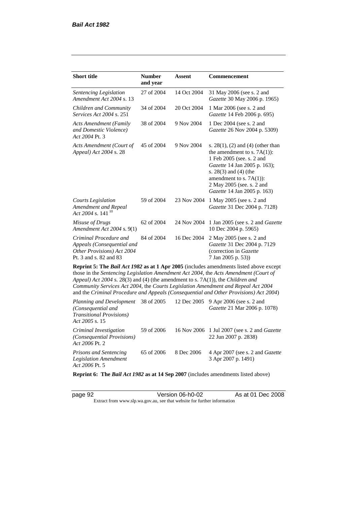| <b>Short title</b>                                                                                                                                                   | <b>Number</b><br>and year | Assent      | Commencement                                                                                                                                                                                                                                                            |
|----------------------------------------------------------------------------------------------------------------------------------------------------------------------|---------------------------|-------------|-------------------------------------------------------------------------------------------------------------------------------------------------------------------------------------------------------------------------------------------------------------------------|
| Sentencing Legislation<br>Amendment Act 2004 s. 13                                                                                                                   | 27 of 2004                | 14 Oct 2004 | 31 May 2006 (see s. 2 and<br>Gazette 30 May 2006 p. 1965)                                                                                                                                                                                                               |
| Children and Community<br><i>Services Act 2004 s. 251</i>                                                                                                            | 34 of 2004                | 20 Oct 2004 | 1 Mar 2006 (see s. 2 and<br>Gazette 14 Feb 2006 p. 695)                                                                                                                                                                                                                 |
| <b>Acts Amendment (Family</b><br>and Domestic Violence)<br>Act 2004 Pt. 3                                                                                            | 38 of 2004                | 9 Nov 2004  | 1 Dec 2004 (see s. 2 and<br>Gazette 26 Nov 2004 p. 5309)                                                                                                                                                                                                                |
| Acts Amendment (Court of<br>Appeal) Act 2004 s. 28                                                                                                                   | 45 of 2004                | 9 Nov 2004  | s. $28(1)$ , (2) and (4) (other than<br>the amendment to s. $7A(1)$ :<br>1 Feb 2005 (see. s. 2 and<br>Gazette 14 Jan 2005 p. 163);<br>s. 28(3) and (4) (the<br>amendment to s. $7A(1)$ :<br>2 May 2005 (see. s. 2 and<br>Gazette 14 Jan 2005 p. 163)                    |
| <b>Courts Legislation</b><br>Amendment and Repeal<br>Act 2004 s. 141 $10$                                                                                            | 59 of 2004                | 23 Nov 2004 | 1 May 2005 (see s. 2 and<br>Gazette 31 Dec 2004 p. 7128)                                                                                                                                                                                                                |
| Misuse of Drugs<br>Amendment Act 2004 s. 9(1)                                                                                                                        | 62 of 2004                | 24 Nov 2004 | 1 Jan 2005 (see s. 2 and Gazette<br>10 Dec 2004 p. 5965)                                                                                                                                                                                                                |
| Criminal Procedure and<br>Appeals (Consequential and<br>Other Provisions) Act 2004<br>Pt. 3 and s. 82 and 83                                                         | 84 of 2004                | 16 Dec 2004 | 2 May 2005 (see s. 2 and<br>Gazette 31 Dec 2004 p. 7129<br>(correction in Gazette<br>7 Jan 2005 p. 53))                                                                                                                                                                 |
| Appeal) Act 2004 s. 28(3) and (4) (the amendment to s. 7A(1)), the Children and<br>Community Services Act 2004, the Courts Legislation Amendment and Repeal Act 2004 |                           |             | Reprint 5: The Bail Act 1982 as at 1 Apr 2005 (includes amendments listed above except<br>those in the Sentencing Legislation Amendment Act 2004, the Acts Amendment (Court of<br>and the Criminal Procedure and Appeals (Consequential and Other Provisions) Act 2004) |
| Planning and Development<br>(Consequential and<br><b>Transitional Provisions)</b><br>Act 2005 s. 15                                                                  | 38 of 2005                | 12 Dec 2005 | 9 Apr 2006 (see s. 2 and<br>Gazette 21 Mar 2006 p. 1078)                                                                                                                                                                                                                |
| Criminal Investigation<br>(Consequential Provisions)                                                                                                                 | 59 of 2006                | 16 Nov 2006 | 1 Jul 2007 (see s. 2 and Gazette<br>22 Jun 2007 p. 2838)                                                                                                                                                                                                                |

*Act 2006* Pt. 2 *Prisons and Sentencing Legislation Amendment Act 2006* Pt. 5 65 of 2006 8 Dec 2006 4 Apr 2007 (see s. 2 and *Gazette* 3 Apr 2007 p. 1491)

**Reprint 6: The** *Bail Act 1982* **as at 14 Sep 2007** (includes amendments listed above)

page 92 Version 06-h0-02 As at 01 Dec 2008 Extract from www.slp.wa.gov.au, see that website for further information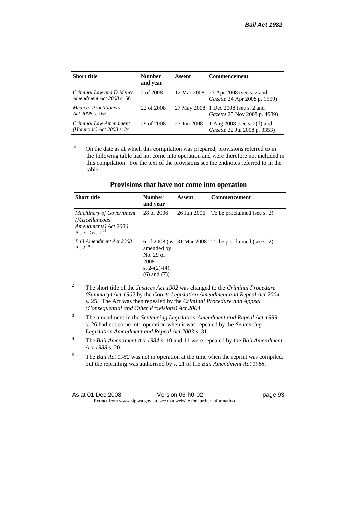| <b>Short title</b>                                    | Number<br>and year | Assent      | <b>Commencement</b>                                                   |
|-------------------------------------------------------|--------------------|-------------|-----------------------------------------------------------------------|
| Criminal Law and Evidence<br>Amendment Act 2008 s. 56 | 2 of 2008          |             | 12 Mar 2008 27 Apr 2008 (see s. 2 and<br>Gazette 24 Apr 2008 p. 1559) |
| <i>Medical Practitioners</i><br>Act $2008$ s. 162     | 22 of 2008         |             | 27 May 2008 1 Dec 2008 (see s. 2 and<br>Gazette 25 Nov 2008 p. 4989)  |
| Criminal Law Amendment<br>(Homicide) Act $2008$ s. 24 | 29 of 2008         | 27 Jun 2008 | 1 Aug $2008$ (see s. $2(d)$ and<br>Gazette 22 Jul 2008 p. 3353)       |

<sup>1a</sup> On the date as at which this compilation was prepared, provisions referred to in the following table had not come into operation and were therefore not included in this compilation. For the text of the provisions see the endnotes referred to in the table.

| <b>Short title</b>                                                                              | <b>Number</b><br>and year                                                | Assent      | <b>Commencement</b>                                     |
|-------------------------------------------------------------------------------------------------|--------------------------------------------------------------------------|-------------|---------------------------------------------------------|
| <b>Machinery of Government</b><br>(Miscellaneous<br>Amendments) Act 2006<br>Pt. 3 Div. $1^{11}$ | 28 of 2006                                                               | 26 Jun 2006 | To be proclaimed (see s. 2)                             |
| Bail Amendment Act 2008<br>Pt. $2^{14}$                                                         | amended by<br>No. 29 of<br>2008<br>s. $24(2)-(4)$ ,<br>$(6)$ and $(7)$ ) |             | 6 of 2008 (as $31$ Mar 2008 To be proclaimed (see s. 2) |

**Provisions that have not come into operation**

<sup>2</sup> The short title of the *Justices Act 1902* was changed to the *Criminal Procedure (Summary) Act 1902* by the *Courts Legislation Amendment and Repeal Act 2004*  s. 25. The Act was then repealed by the *Criminal Procedure and Appeal (Consequential and Other Provisions) Act 2004.*

- <sup>3</sup> The amendment in the *Sentencing Legislation Amendment and Repeal Act 1999* s. 26 had not come into operation when it was repealed by the *Sentencing Legislation Amendment and Repeal Act 2003* s. 31.
- <sup>4</sup> The *Bail Amendment Act 1984* s. 10 and 11 were repealed by the *Bail Amendment Act 1988* s. 20.
- <sup>5</sup> The *Bail Act 1982* was not in operation at the time when the reprint was compiled, but the reprinting was authorised by s. 21 of the *Bail Amendment Act 1988*.

| As at 01 Dec 2008 | Version 06-h0-02                                                         | page 93 |
|-------------------|--------------------------------------------------------------------------|---------|
|                   | Extract from www.slp.wa.gov.au, see that website for further information |         |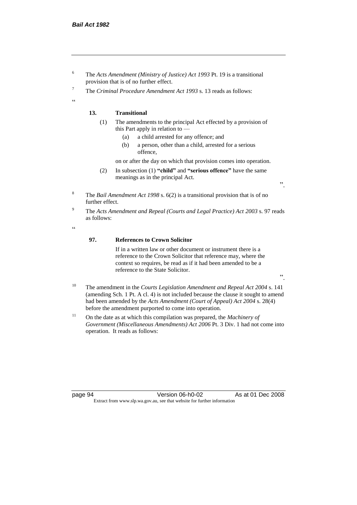- <sup>6</sup> The *Acts Amendment (Ministry of Justice) Act 1993* Pt. 19 is a transitional provision that is of no further effect.
- <sup>7</sup> The *Criminal Procedure Amendment Act 1993* s. 13 reads as follows:

#### **13. Transitional**

- (1) The amendments to the principal Act effected by a provision of this Part apply in relation to —
	- (a) a child arrested for any offence; and
	- (b) a person, other than a child, arrested for a serious offence,

on or after the day on which that provision comes into operation.

(2) In subsection (1) **"child"** and **"serious offence"** have the same meanings as in the principal Act.

".

".

- <sup>8</sup> The *Bail Amendment Act 1998* s. 6(2) is a transitional provision that is of no further effect.
- <sup>9</sup> The *Acts Amendment and Repeal (Courts and Legal Practice) Act 2003* s. 97 reads as follows:

.<br>.

.<br>cc

#### **97. References to Crown Solicitor**

If in a written law or other document or instrument there is a reference to the Crown Solicitor that reference may, where the context so requires, be read as if it had been amended to be a reference to the State Solicitor.

- <sup>10</sup> The amendment in the *Courts Legislation Amendment and Repeal Act 2004* s. 141 (amending Sch. 1 Pt. A cl. 4) is not included because the clause it sought to amend had been amended by the *Acts Amendment (Court of Appeal) Act 2004* s. 28(4) before the amendment purported to come into operation.
- <sup>11</sup> On the date as at which this compilation was prepared, the *Machinery of Government (Miscellaneous Amendments) Act 2006* Pt. 3 Div. 1 had not come into operation. It reads as follows:

page 94 Version 06-h0-02 As at 01 Dec 2008 Extract from www.slp.wa.gov.au, see that website for further information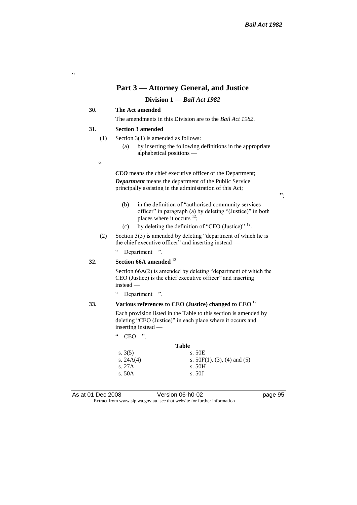#### **Part 3 — Attorney General, and Justice**

#### **Division 1 —** *Bail Act 1982*

#### **30. The Act amended**

The amendments in this Division are to the *Bail Act 1982*.

#### **31. Section 3 amended**

- (1) Section 3(1) is amended as follows:
	- (a) by inserting the following definitions in the appropriate alphabetical positions —
- $\epsilon$

"

*CEO* means the chief executive officer of the Department; *Department* means the department of the Public Service principally assisting in the administration of this Act;

- (b) in the definition of "authorised community services officer" in paragraph (a) by deleting "(Justice)" in both places where it occurs  $12$ ;
- (c) by deleting the definition of "CEO (Justice)"  $^{12}$ .
- (2) Section 3(5) is amended by deleting "department of which he is the chief executive officer" and inserting instead —

" Department ".

#### **32. Section 66A amended** <sup>12</sup>

Section 66A(2) is amended by deleting "department of which the CEO (Justice) is the chief executive officer" and inserting instead —

" Department ".

# **33. Various references to CEO (Justice) changed to CEO** <sup>12</sup>

Each provision listed in the Table to this section is amended by deleting "CEO (Justice)" in each place where it occurs and inserting instead —

"  $CEO$  ".

s.  $3(5)$ 

s. 27A s. 50A

|           | Table                          |
|-----------|--------------------------------|
| s. $3(5)$ | s. 50E                         |
| s. 24A(4) | s. $50F(1)$ , (3), (4) and (5) |
| s. 27A    | s. 50H                         |
| s. 50A    | s. 50J                         |
|           |                                |

As at 01 Dec 2008 Version 06-h0-02 page 95

Extract from www.slp.wa.gov.au, see that website for further information

";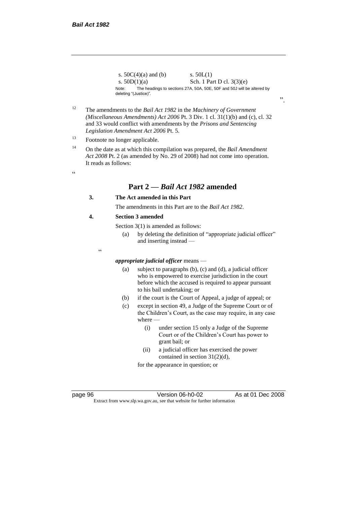$\epsilon$ 

s.  $50C(4)(a)$  and (b) s.  $50L(1)$ s.  $50D(1)(a)$  Sch. 1 Part D cl.  $3(3)(e)$ Note: The headings to sections 27A, 50A, 50E, 50F and 50J will be altered by deleting "(Justice)".

- <sup>12</sup> The amendments to the *Bail Act 1982* in the *Machinery of Government (Miscellaneous Amendments) Act 2006* Pt. 3 Div. 1 cl. 31(1)(b) and (c), cl. 32 and 33 would conflict with amendments by the *Prisons and Sentencing Legislation Amendment Act 2006* Pt. 5.
- <sup>13</sup> Footnote no longer applicable.
- <sup>14</sup> On the date as at which this compilation was prepared, the *Bail Amendment Act 2008* Pt. 2 (as amended by No. 29 of 2008) had not come into operation. It reads as follows:
	- **Part 2 —** *Bail Act 1982* **amended**

#### **3. The Act amended in this Part**

The amendments in this Part are to the *Bail Act 1982*.

#### **4. Section 3 amended**

 $\epsilon$ 

Section 3(1) is amended as follows:

- (a) by deleting the definition of "appropriate judicial officer" and inserting instead —
- *appropriate judicial officer* means
	- (a) subject to paragraphs (b), (c) and (d), a judicial officer who is empowered to exercise jurisdiction in the court before which the accused is required to appear pursuant to his bail undertaking; or
	- (b) if the court is the Court of Appeal, a judge of appeal; or
	- (c) except in section 49, a Judge of the Supreme Court or of the Children's Court, as the case may require, in any case where —
		- (i) under section 15 only a Judge of the Supreme Court or of the Children's Court has power to grant bail; or
		- (ii) a judicial officer has exercised the power contained in section 31(2)(d),

for the appearance in question; or

page 96 **Version 06-h0-02** As at 01 Dec 2008

Extract from www.slp.wa.gov.au, see that website for further information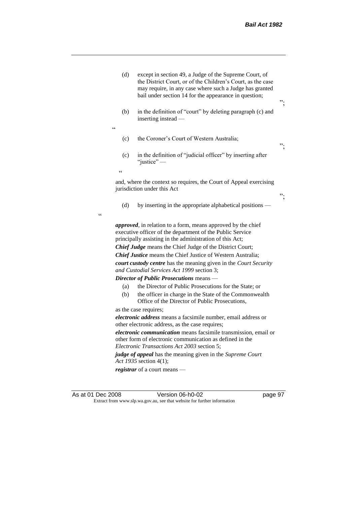| (d)               | except in section 49, a Judge of the Supreme Court, of<br>the District Court, or of the Children's Court, as the case<br>may require, in any case where such a Judge has granted<br>bail under section 14 for the appearance in question;                                                                                                                                                                                                                                                                                                                                                                                                                                                                                                                                                                                                                                                                                                                                                                                                                                | ". |
|-------------------|--------------------------------------------------------------------------------------------------------------------------------------------------------------------------------------------------------------------------------------------------------------------------------------------------------------------------------------------------------------------------------------------------------------------------------------------------------------------------------------------------------------------------------------------------------------------------------------------------------------------------------------------------------------------------------------------------------------------------------------------------------------------------------------------------------------------------------------------------------------------------------------------------------------------------------------------------------------------------------------------------------------------------------------------------------------------------|----|
| (b)<br>$\epsilon$ | in the definition of "court" by deleting paragraph (c) and<br>inserting instead -                                                                                                                                                                                                                                                                                                                                                                                                                                                                                                                                                                                                                                                                                                                                                                                                                                                                                                                                                                                        |    |
| (c)               | the Coroner's Court of Western Australia;                                                                                                                                                                                                                                                                                                                                                                                                                                                                                                                                                                                                                                                                                                                                                                                                                                                                                                                                                                                                                                | ". |
| (c)               | in the definition of "judicial officer" by inserting after<br>"justice" -                                                                                                                                                                                                                                                                                                                                                                                                                                                                                                                                                                                                                                                                                                                                                                                                                                                                                                                                                                                                |    |
| $\epsilon$        |                                                                                                                                                                                                                                                                                                                                                                                                                                                                                                                                                                                                                                                                                                                                                                                                                                                                                                                                                                                                                                                                          |    |
|                   | and, where the context so requires, the Court of Appeal exercising<br>jurisdiction under this Act                                                                                                                                                                                                                                                                                                                                                                                                                                                                                                                                                                                                                                                                                                                                                                                                                                                                                                                                                                        | ". |
| (d)               | by inserting in the appropriate alphabetical positions —                                                                                                                                                                                                                                                                                                                                                                                                                                                                                                                                                                                                                                                                                                                                                                                                                                                                                                                                                                                                                 |    |
| (a)<br>(b)        | <i>approved</i> , in relation to a form, means approved by the chief<br>executive officer of the department of the Public Service<br>principally assisting in the administration of this Act;<br><b>Chief Judge</b> means the Chief Judge of the District Court;<br><b>Chief Justice</b> means the Chief Justice of Western Australia;<br>court custody centre has the meaning given in the Court Security<br>and Custodial Services Act 1999 section 3;<br>Director of Public Prosecutions means -<br>the Director of Public Prosecutions for the State; or<br>the officer in charge in the State of the Commonwealth<br>Office of the Director of Public Prosecutions,<br>as the case requires;<br><i>electronic address</i> means a facsimile number, email address or<br>other electronic address, as the case requires;<br>electronic communication means facsimile transmission, email or<br>other form of electronic communication as defined in the<br>Electronic Transactions Act 2003 section 5;<br>judge of appeal has the meaning given in the Supreme Court |    |
|                   | Act 1935 section 4(1);                                                                                                                                                                                                                                                                                                                                                                                                                                                                                                                                                                                                                                                                                                                                                                                                                                                                                                                                                                                                                                                   |    |
|                   | registrar of a court means —                                                                                                                                                                                                                                                                                                                                                                                                                                                                                                                                                                                                                                                                                                                                                                                                                                                                                                                                                                                                                                             |    |

 $\epsilon$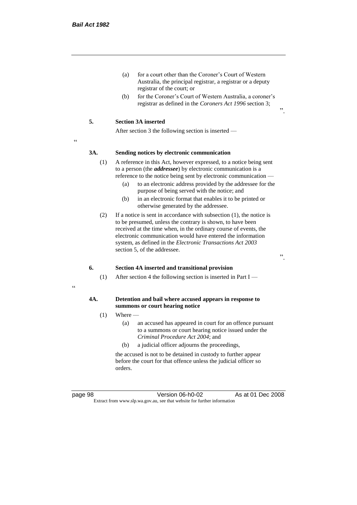- (a) for a court other than the Coroner's Court of Western Australia, the principal registrar, a registrar or a deputy registrar of the court; or
- (b) for the Coroner's Court of Western Australia, a coroner's registrar as defined in the *Coroners Act 1996* section 3;

#### **5. Section 3A inserted**

After section 3 the following section is inserted —

<u>،</u>

#### **3A. Sending notices by electronic communication**

- (1) A reference in this Act, however expressed, to a notice being sent to a person (the *addressee*) by electronic communication is a reference to the notice being sent by electronic communication —
	- (a) to an electronic address provided by the addressee for the purpose of being served with the notice; and
	- (b) in an electronic format that enables it to be printed or otherwise generated by the addressee.
- (2) If a notice is sent in accordance with subsection (1), the notice is to be presumed, unless the contrary is shown, to have been received at the time when, in the ordinary course of events, the electronic communication would have entered the information system, as defined in the *Electronic Transactions Act 2003* section 5, of the addressee.

".

".

#### **6. Section 4A inserted and transitional provision**

(1) After section 4 the following section is inserted in Part I —

#### "

#### **4A. Detention and bail where accused appears in response to summons or court hearing notice**

- $(1)$  Where
	- (a) an accused has appeared in court for an offence pursuant to a summons or court hearing notice issued under the *Criminal Procedure Act 2004*; and
	- (b) a judicial officer adjourns the proceedings,

the accused is not to be detained in custody to further appear before the court for that offence unless the judicial officer so orders.

page 98 Version 06-h0-02 As at 01 Dec 2008 Extract from www.slp.wa.gov.au, see that website for further information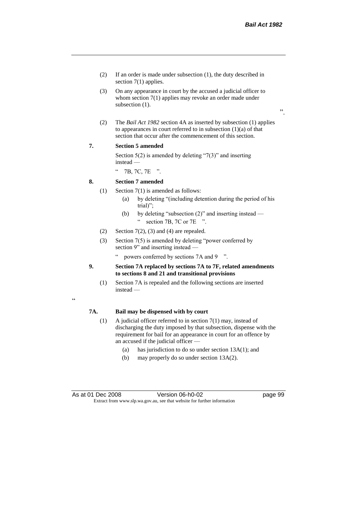".

- (2) If an order is made under subsection (1), the duty described in section 7(1) applies.
- (3) On any appearance in court by the accused a judicial officer to whom section 7(1) applies may revoke an order made under subsection (1).
- (2) The *Bail Act 1982* section 4A as inserted by subsection (1) applies to appearances in court referred to in subsection  $(1)(a)$  of that section that occur after the commencement of this section.

#### **7. Section 5 amended**

Section  $5(2)$  is amended by deleting "7(3)" and inserting instead —

" 7B, 7C, 7E ".

#### **8. Section 7 amended**

- (1) Section 7(1) is amended as follows:
	- (a) by deleting "(including detention during the period of his trial)";
	- (b) by deleting "subsection (2)" and inserting instead " section 7B, 7C or 7E ".
- (2) Section  $7(2)$ , (3) and (4) are repealed.
- (3) Section 7(5) is amended by deleting "power conferred by section 9" and inserting instead
	- powers conferred by sections 7A and 9  $\degree$ ".
- **9. Section 7A replaced by sections 7A to 7F, related amendments to sections 8 and 21 and transitional provisions**
	- (1) Section 7A is repealed and the following sections are inserted instead —

### "

#### **7A. Bail may be dispensed with by court**

- (1) A judicial officer referred to in section 7(1) may, instead of discharging the duty imposed by that subsection, dispense with the requirement for bail for an appearance in court for an offence by an accused if the judicial officer —
	- (a) has jurisdiction to do so under section 13A(1); and
	- (b) may properly do so under section 13A(2).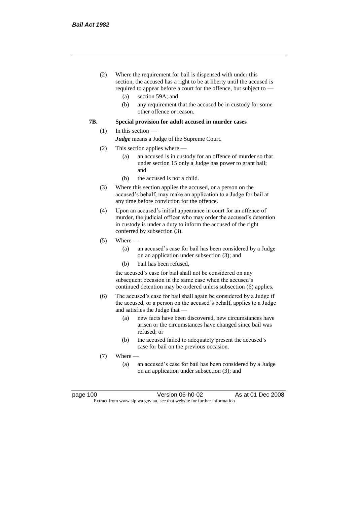- (2) Where the requirement for bail is dispensed with under this section, the accused has a right to be at liberty until the accused is required to appear before a court for the offence, but subject to —
	- (a) section 59A; and
	- (b) any requirement that the accused be in custody for some other offence or reason.

#### **7B. Special provision for adult accused in murder cases**

#### (1) In this section —

*Judge* means a Judge of the Supreme Court.

- (2) This section applies where
	- (a) an accused is in custody for an offence of murder so that under section 15 only a Judge has power to grant bail; and
	- (b) the accused is not a child.
- (3) Where this section applies the accused, or a person on the accused's behalf, may make an application to a Judge for bail at any time before conviction for the offence.
- (4) Upon an accused's initial appearance in court for an offence of murder, the judicial officer who may order the accused's detention in custody is under a duty to inform the accused of the right conferred by subsection (3).
- $(5)$  Where
	- (a) an accused's case for bail has been considered by a Judge on an application under subsection (3); and
	- (b) bail has been refused,

the accused's case for bail shall not be considered on any subsequent occasion in the same case when the accused's continued detention may be ordered unless subsection (6) applies.

- (6) The accused's case for bail shall again be considered by a Judge if the accused, or a person on the accused's behalf, applies to a Judge and satisfies the Judge that —
	- (a) new facts have been discovered, new circumstances have arisen or the circumstances have changed since bail was refused; or
	- (b) the accused failed to adequately present the accused's case for bail on the previous occasion.
- (7) Where
	- (a) an accused's case for bail has been considered by a Judge on an application under subsection (3); and

| page 100 |  |
|----------|--|
|----------|--|

page 100 Version 06-h0-02 As at 01 Dec 2008 Extract from www.slp.wa.gov.au, see that website for further information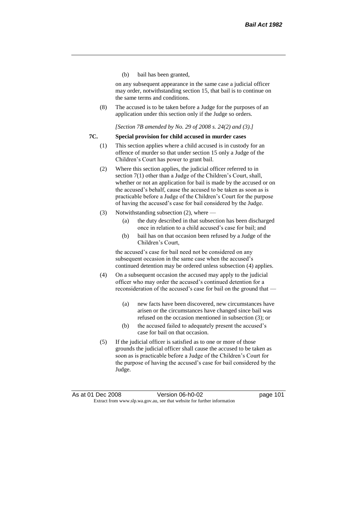(b) bail has been granted,

on any subsequent appearance in the same case a judicial officer may order, notwithstanding section 15, that bail is to continue on the same terms and conditions.

(8) The accused is to be taken before a Judge for the purposes of an application under this section only if the Judge so orders.

*[Section 7B amended by No. 29 of 2008 s. 24(2) and (3).]*

#### **7C. Special provision for child accused in murder cases**

- (1) This section applies where a child accused is in custody for an offence of murder so that under section 15 only a Judge of the Children's Court has power to grant bail.
- (2) Where this section applies, the judicial officer referred to in section 7(1) other than a Judge of the Children's Court, shall, whether or not an application for bail is made by the accused or on the accused's behalf, cause the accused to be taken as soon as is practicable before a Judge of the Children's Court for the purpose of having the accused's case for bail considered by the Judge.
- (3) Notwithstanding subsection (2), where
	- (a) the duty described in that subsection has been discharged once in relation to a child accused's case for bail; and
	- (b) bail has on that occasion been refused by a Judge of the Children's Court,

the accused's case for bail need not be considered on any subsequent occasion in the same case when the accused's continued detention may be ordered unless subsection (4) applies.

- (4) On a subsequent occasion the accused may apply to the judicial officer who may order the accused's continued detention for a reconsideration of the accused's case for bail on the ground that —
	- (a) new facts have been discovered, new circumstances have arisen or the circumstances have changed since bail was refused on the occasion mentioned in subsection (3); or
	- (b) the accused failed to adequately present the accused's case for bail on that occasion.
- (5) If the judicial officer is satisfied as to one or more of those grounds the judicial officer shall cause the accused to be taken as soon as is practicable before a Judge of the Children's Court for the purpose of having the accused's case for bail considered by the Judge.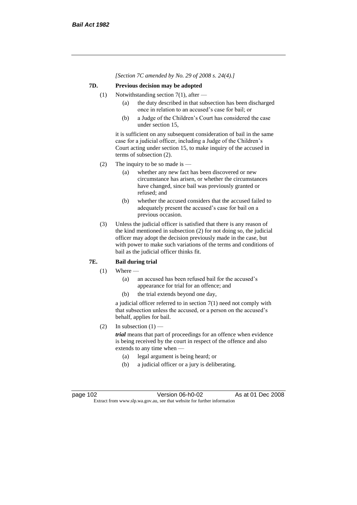*[Section 7C amended by No. 29 of 2008 s. 24(4).]*

## **7D. Previous decision may be adopted**

- (1) Notwithstanding section 7(1), after
	- (a) the duty described in that subsection has been discharged once in relation to an accused's case for bail; or
	- (b) a Judge of the Children's Court has considered the case under section 15,

it is sufficient on any subsequent consideration of bail in the same case for a judicial officer, including a Judge of the Children's Court acting under section 15, to make inquiry of the accused in terms of subsection (2).

- (2) The inquiry to be so made is  $-$ 
	- (a) whether any new fact has been discovered or new circumstance has arisen, or whether the circumstances have changed, since bail was previously granted or refused; and
	- (b) whether the accused considers that the accused failed to adequately present the accused's case for bail on a previous occasion.
- (3) Unless the judicial officer is satisfied that there is any reason of the kind mentioned in subsection (2) for not doing so, the judicial officer may adopt the decision previously made in the case, but with power to make such variations of the terms and conditions of bail as the judicial officer thinks fit.

## **7E. Bail during trial**

- $(1)$  Where
	- (a) an accused has been refused bail for the accused's appearance for trial for an offence; and
	- (b) the trial extends beyond one day,

a judicial officer referred to in section 7(1) need not comply with that subsection unless the accused, or a person on the accused's behalf, applies for bail.

(2) In subsection  $(1)$  —

*trial* means that part of proceedings for an offence when evidence is being received by the court in respect of the offence and also extends to any time when —

- (a) legal argument is being heard; or
- (b) a judicial officer or a jury is deliberating.

page 102 Version 06-h0-02 As at 01 Dec 2008 Extract from www.slp.wa.gov.au, see that website for further information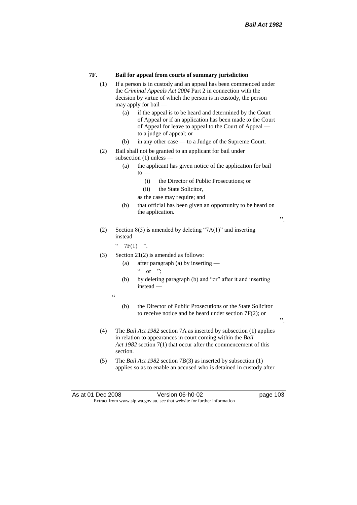#### **7F. Bail for appeal from courts of summary jurisdiction**

- (1) If a person is in custody and an appeal has been commenced under the *Criminal Appeals Act 2004* Part 2 in connection with the decision by virtue of which the person is in custody, the person may apply for bail —
	- (a) if the appeal is to be heard and determined by the Court of Appeal or if an application has been made to the Court of Appeal for leave to appeal to the Court of Appeal to a judge of appeal; or
	- (b) in any other case to a Judge of the Supreme Court.
- (2) Bail shall not be granted to an applicant for bail under subsection (1) unless —
	- (a) the applicant has given notice of the application for bail  $\mathsf{to}$  —
		- (i) the Director of Public Prosecutions; or
		- (ii) the State Solicitor,
		- as the case may require; and
	- (b) that official has been given an opportunity to be heard on the application.

".

".

(2) Section 8(5) is amended by deleting "7A(1)" and inserting instead —

 $"$  7F(1) ".

- (3) Section 21(2) is amended as follows:
	- (a) after paragraph (a) by inserting
		- $\alpha$  or ";
	- (b) by deleting paragraph (b) and "or" after it and inserting instead —
	- "
- (b) the Director of Public Prosecutions or the State Solicitor to receive notice and be heard under section 7F(2); or
- (4) The *Bail Act 1982* section 7A as inserted by subsection (1) applies in relation to appearances in court coming within the *Bail Act 1982* section 7(1) that occur after the commencement of this section.
- (5) The *Bail Act 1982* section 7B(3) as inserted by subsection (1) applies so as to enable an accused who is detained in custody after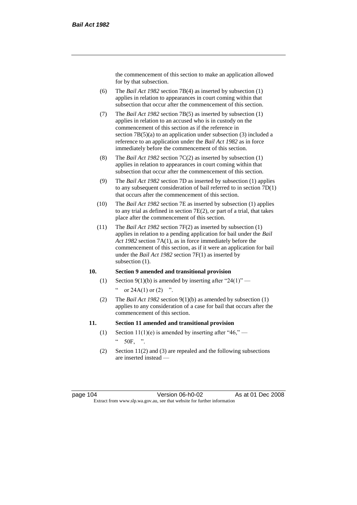the commencement of this section to make an application allowed for by that subsection.

- (6) The *Bail Act 1982* section 7B(4) as inserted by subsection (1) applies in relation to appearances in court coming within that subsection that occur after the commencement of this section.
- (7) The *Bail Act 1982* section 7B(5) as inserted by subsection (1) applies in relation to an accused who is in custody on the commencement of this section as if the reference in section 7B(5)(a) to an application under subsection (3) included a reference to an application under the *Bail Act 1982* as in force immediately before the commencement of this section.
- (8) The *Bail Act 1982* section 7C(2) as inserted by subsection (1) applies in relation to appearances in court coming within that subsection that occur after the commencement of this section.
- (9) The *Bail Act 1982* section 7D as inserted by subsection (1) applies to any subsequent consideration of bail referred to in section 7D(1) that occurs after the commencement of this section.
- (10) The *Bail Act 1982* section 7E as inserted by subsection (1) applies to any trial as defined in section 7E(2), or part of a trial, that takes place after the commencement of this section.
- (11) The *Bail Act 1982* section 7F(2) as inserted by subsection (1) applies in relation to a pending application for bail under the *Bail Act 1982* section 7A(1), as in force immediately before the commencement of this section, as if it were an application for bail under the *Bail Act 1982* section 7F(1) as inserted by subsection  $(1)$ .

## **10. Section 9 amended and transitional provision**

- (1) Section 9(1)(b) is amended by inserting after "24(1)" " or  $24A(1)$  or  $(2)$  ".
- (2) The *Bail Act 1982* section 9(1)(b) as amended by subsection (1) applies to any consideration of a case for bail that occurs after the commencement of this section.

#### **11. Section 11 amended and transitional provision**

- (1) Section 11(1)(e) is amended by inserting after "46,"  $\degree$  50F, ".
- (2) Section 11(2) and (3) are repealed and the following subsections are inserted instead —

page 104 Version 06-h0-02 As at 01 Dec 2008 Extract from www.slp.wa.gov.au, see that website for further information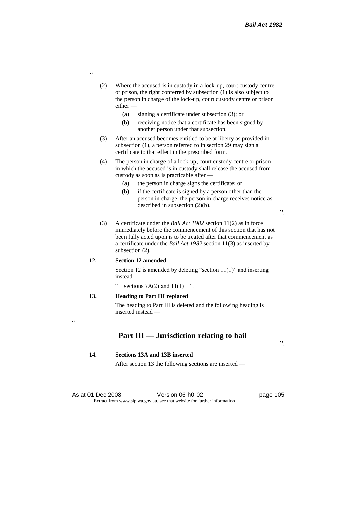- (2) Where the accused is in custody in a lock-up, court custody centre or prison, the right conferred by subsection (1) is also subject to the person in charge of the lock-up, court custody centre or prison either —
	- (a) signing a certificate under subsection (3); or
	- (b) receiving notice that a certificate has been signed by another person under that subsection.
- (3) After an accused becomes entitled to be at liberty as provided in subsection (1), a person referred to in section 29 may sign a certificate to that effect in the prescribed form.
- (4) The person in charge of a lock-up, court custody centre or prison in which the accused is in custody shall release the accused from custody as soon as is practicable after —
	- (a) the person in charge signs the certificate; or
	- (b) if the certificate is signed by a person other than the person in charge, the person in charge receives notice as described in subsection (2)(b).
- (3) A certificate under the *Bail Act 1982* section 11(2) as in force immediately before the commencement of this section that has not been fully acted upon is to be treated after that commencement as a certificate under the *Bail Act 1982* section 11(3) as inserted by subsection (2).

#### **12. Section 12 amended**

Section 12 is amended by deleting "section 11(1)" and inserting instead —

sections  $7A(2)$  and  $11(1)$  ".

### **13. Heading to Part III replaced**

The heading to Part III is deleted and the following heading is inserted instead —

 $\epsilon$ 

# **Part III — Jurisdiction relating to bail**

#### **14. Sections 13A and 13B inserted**

After section 13 the following sections are inserted —

".

".

"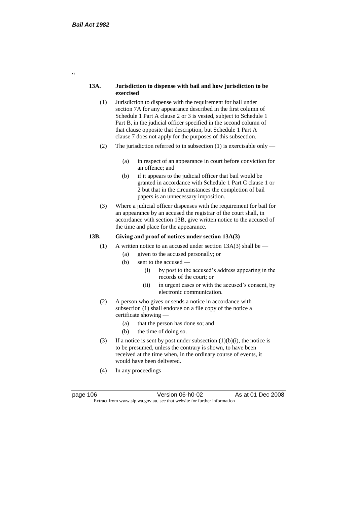### **13A. Jurisdiction to dispense with bail and how jurisdiction to be exercised**

- (1) Jurisdiction to dispense with the requirement for bail under section 7A for any appearance described in the first column of Schedule 1 Part A clause 2 or 3 is vested, subject to Schedule 1 Part B, in the judicial officer specified in the second column of that clause opposite that description, but Schedule 1 Part A clause 7 does not apply for the purposes of this subsection.
- (2) The jurisdiction referred to in subsection (1) is exercisable only
	- (a) in respect of an appearance in court before conviction for an offence; and
	- (b) if it appears to the judicial officer that bail would be granted in accordance with Schedule 1 Part C clause 1 or 2 but that in the circumstances the completion of bail papers is an unnecessary imposition.
- (3) Where a judicial officer dispenses with the requirement for bail for an appearance by an accused the registrar of the court shall, in accordance with section 13B, give written notice to the accused of the time and place for the appearance.

### **13B. Giving and proof of notices under section 13A(3)**

- (1) A written notice to an accused under section  $13A(3)$  shall be
	- (a) given to the accused personally; or
	- $(b)$  sent to the accused
		- (i) by post to the accused's address appearing in the records of the court; or
		- (ii) in urgent cases or with the accused's consent, by electronic communication.
- (2) A person who gives or sends a notice in accordance with subsection (1) shall endorse on a file copy of the notice a certificate showing —
	- (a) that the person has done so; and
	- (b) the time of doing so.
- (3) If a notice is sent by post under subsection  $(1)(b)(i)$ , the notice is to be presumed, unless the contrary is shown, to have been received at the time when, in the ordinary course of events, it would have been delivered.
- (4) In any proceedings —

page 106 **Version 06-h0-02** As at 01 Dec 2008 Extract from www.slp.wa.gov.au, see that website for further information

 $\epsilon$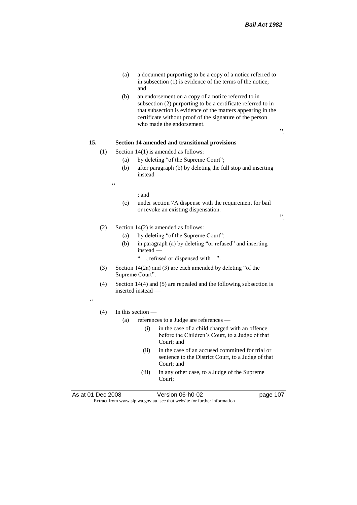- (a) a document purporting to be a copy of a notice referred to in subsection (1) is evidence of the terms of the notice; and
- (b) an endorsement on a copy of a notice referred to in subsection (2) purporting to be a certificate referred to in that subsection is evidence of the matters appearing in the certificate without proof of the signature of the person who made the endorsement.

### **15. Section 14 amended and transitional provisions**

- (1) Section 14(1) is amended as follows:
	- (a) by deleting "of the Supreme Court";
	- (b) after paragraph (b) by deleting the full stop and inserting instead —

 $\epsilon$ 

#### ; and

(c) under section 7A dispense with the requirement for bail or revoke an existing dispensation.

".

".

## (2) Section 14(2) is amended as follows:

- (a) by deleting "of the Supreme Court";
- (b) in paragraph (a) by deleting "or refused" and inserting instead —
	- " , refused or dispensed with ".
- (3) Section 14(2a) and (3) are each amended by deleting "of the Supreme Court".
- (4) Section 14(4) and (5) are repealed and the following subsection is inserted instead —

 $\epsilon$ 

#### (4) In this section —

- (a) references to a Judge are references
	- (i) in the case of a child charged with an offence before the Children's Court, to a Judge of that Court; and
	- (ii) in the case of an accused committed for trial or sentence to the District Court, to a Judge of that Court; and
	- (iii) in any other case, to a Judge of the Supreme Court;

As at 01 Dec 2008 Version 06-h0-02 page 107 Extract from www.slp.wa.gov.au, see that website for further information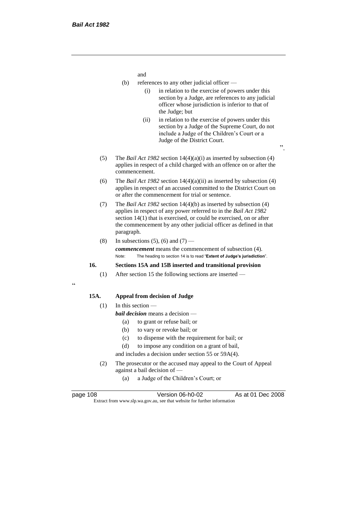and

- (b) references to any other judicial officer
	- (i) in relation to the exercise of powers under this section by a Judge, are references to any judicial officer whose jurisdiction is inferior to that of the Judge; but
	- (ii) in relation to the exercise of powers under this section by a Judge of the Supreme Court, do not include a Judge of the Children's Court or a Judge of the District Court.
- (5) The *Bail Act 1982* section 14(4)(a)(i) as inserted by subsection (4) applies in respect of a child charged with an offence on or after the commencement.
- (6) The *Bail Act 1982* section 14(4)(a)(ii) as inserted by subsection (4) applies in respect of an accused committed to the District Court on or after the commencement for trial or sentence.
- (7) The *Bail Act 1982* section 14(4)(b) as inserted by subsection (4) applies in respect of any power referred to in the *Bail Act 1982* section 14(1) that is exercised, or could be exercised, on or after the commencement by any other judicial officer as defined in that paragraph.
- (8) In subsections (5), (6) and (7) —

*commencement* means the commencement of subsection (4). Note: The heading to section 14 is to read "**Extent of Judge's jurisdiction**".

## **16. Sections 15A and 15B inserted and transitional provision**

(1) After section 15 the following sections are inserted —

#### $\epsilon$

## **15A. Appeal from decision of Judge**

## $(1)$  In this section —

- *bail decision* means a decision
	- (a) to grant or refuse bail; or
	- (b) to vary or revoke bail; or
	- (c) to dispense with the requirement for bail; or
	- (d) to impose any condition on a grant of bail,

and includes a decision under section 55 or 59A(4).

- (2) The prosecutor or the accused may appeal to the Court of Appeal against a bail decision of —
	- (a) a Judge of the Children's Court; or

| page 108 |  |
|----------|--|
|          |  |

page 108 Version 06-h0-02 As at 01 Dec 2008 Extract from www.slp.wa.gov.au, see that website for further information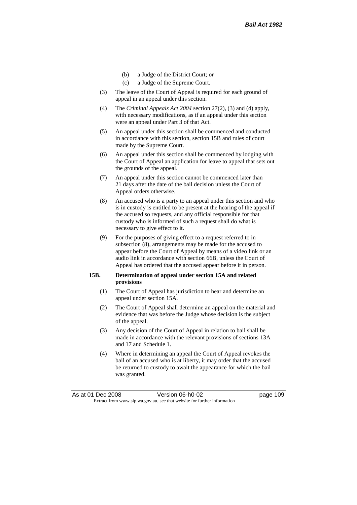- (b) a Judge of the District Court; or
- (c) a Judge of the Supreme Court.
- (3) The leave of the Court of Appeal is required for each ground of appeal in an appeal under this section.
- (4) The *Criminal Appeals Act 2004* section 27(2), (3) and (4) apply, with necessary modifications, as if an appeal under this section were an appeal under Part 3 of that Act.
- (5) An appeal under this section shall be commenced and conducted in accordance with this section, section 15B and rules of court made by the Supreme Court.
- (6) An appeal under this section shall be commenced by lodging with the Court of Appeal an application for leave to appeal that sets out the grounds of the appeal.
- (7) An appeal under this section cannot be commenced later than 21 days after the date of the bail decision unless the Court of Appeal orders otherwise.
- (8) An accused who is a party to an appeal under this section and who is in custody is entitled to be present at the hearing of the appeal if the accused so requests, and any official responsible for that custody who is informed of such a request shall do what is necessary to give effect to it.
- (9) For the purposes of giving effect to a request referred to in subsection (8), arrangements may be made for the accused to appear before the Court of Appeal by means of a video link or an audio link in accordance with section 66B, unless the Court of Appeal has ordered that the accused appear before it in person.

### **15B. Determination of appeal under section 15A and related provisions**

- (1) The Court of Appeal has jurisdiction to hear and determine an appeal under section 15A.
- (2) The Court of Appeal shall determine an appeal on the material and evidence that was before the Judge whose decision is the subject of the appeal.
- (3) Any decision of the Court of Appeal in relation to bail shall be made in accordance with the relevant provisions of sections 13A and 17 and Schedule 1.
- (4) Where in determining an appeal the Court of Appeal revokes the bail of an accused who is at liberty, it may order that the accused be returned to custody to await the appearance for which the bail was granted.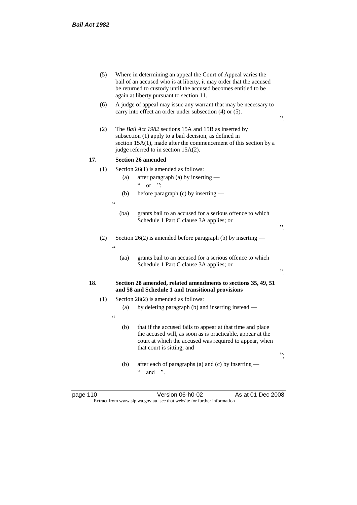|     | (5) |            | Where in determining an appeal the Court of Appeal varies the<br>bail of an accused who is at liberty, it may order that the accused<br>be returned to custody until the accused becomes entitled to be<br>again at liberty pursuant to section 11. |    |
|-----|-----|------------|-----------------------------------------------------------------------------------------------------------------------------------------------------------------------------------------------------------------------------------------------------|----|
|     | (6) |            | A judge of appeal may issue any warrant that may be necessary to<br>carry into effect an order under subsection (4) or (5).                                                                                                                         | ,, |
|     | (2) |            | The <i>Bail Act 1982</i> sections 15A and 15B as inserted by<br>subsection (1) apply to a bail decision, as defined in<br>section $15A(1)$ , made after the commencement of this section by a<br>judge referred to in section 15A(2).               |    |
| 17. |     |            | <b>Section 26 amended</b>                                                                                                                                                                                                                           |    |
|     | (1) |            | Section $26(1)$ is amended as follows:                                                                                                                                                                                                              |    |
|     |     | (a)        | after paragraph (a) by inserting —<br>$\epsilon$<br><sub>or</sub>                                                                                                                                                                                   |    |
|     |     | (b)        | before paragraph (c) by inserting —                                                                                                                                                                                                                 |    |
|     |     | $\epsilon$ |                                                                                                                                                                                                                                                     |    |
|     |     | (ba)       | grants bail to an accused for a serious offence to which<br>Schedule 1 Part C clause 3A applies; or                                                                                                                                                 | ,, |
|     | (2) | $\epsilon$ | Section 26(2) is amended before paragraph (b) by inserting $-$                                                                                                                                                                                      |    |
|     |     | (aa)       | grants bail to an accused for a serious offence to which<br>Schedule 1 Part C clause 3A applies; or                                                                                                                                                 | ,, |
| 18. |     |            | Section 28 amended, related amendments to sections 35, 49, 51<br>and 58 and Schedule 1 and transitional provisions                                                                                                                                  |    |
|     | (1) |            | Section $28(2)$ is amended as follows:                                                                                                                                                                                                              |    |
|     |     | (a)        | by deleting paragraph (b) and inserting instead —                                                                                                                                                                                                   |    |
|     |     | $\epsilon$ |                                                                                                                                                                                                                                                     |    |
|     |     | (b)        | that if the accused fails to appear at that time and place<br>the accused will, as soon as is practicable, appear at the<br>court at which the accused was required to appear, when<br>that court is sitting; and                                   | ". |
|     |     | (b)        | after each of paragraphs (a) and (c) by inserting —<br>$\boldsymbol{\varsigma}$ $\boldsymbol{\varsigma}$<br>and                                                                                                                                     |    |

page 110 **Deciminal Version 06-h0-02** As at 01 Dec 2008 Extract from www.slp.wa.gov.au, see that website for further information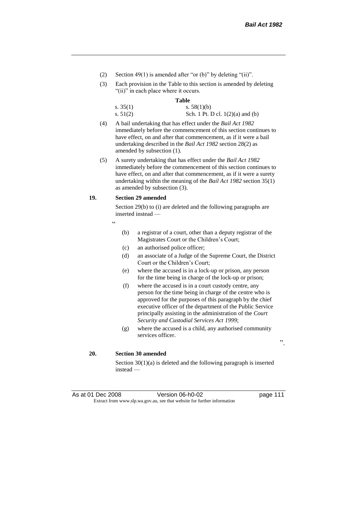- (2) Section 49(1) is amended after "or (b)" by deleting "(ii)".
- (3) Each provision in the Table to this section is amended by deleting "(ii)" in each place where it occurs.

#### **Table**

| s. $35(1)$ | s. $58(1)(b)$                      |
|------------|------------------------------------|
| s. $51(2)$ | Sch. 1 Pt. D cl. $1(2)(a)$ and (b) |

- (4) A bail undertaking that has effect under the *Bail Act 1982* immediately before the commencement of this section continues to have effect, on and after that commencement, as if it were a bail undertaking described in the *Bail Act 1982* section 28(2) as amended by subsection (1).
- (5) A surety undertaking that has effect under the *Bail Act 1982* immediately before the commencement of this section continues to have effect, on and after that commencement, as if it were a surety undertaking within the meaning of the *Bail Act 1982* section 35(1) as amended by subsection (3).

#### **19. Section 29 amended**

Section 29(b) to (i) are deleted and the following paragraphs are inserted instead —

- "
- (b) a registrar of a court, other than a deputy registrar of the Magistrates Court or the Children's Court;
- (c) an authorised police officer;
- (d) an associate of a Judge of the Supreme Court, the District Court or the Children's Court;
- (e) where the accused is in a lock-up or prison, any person for the time being in charge of the lock-up or prison;
- (f) where the accused is in a court custody centre, any person for the time being in charge of the centre who is approved for the purposes of this paragraph by the chief executive officer of the department of the Public Service principally assisting in the administration of the *Court Security and Custodial Services Act 1999*;
- (g) where the accused is a child, any authorised community services officer.

".

### **20. Section 30 amended**

Section 30(1)(a) is deleted and the following paragraph is inserted instead —

As at 01 Dec 2008 Version 06-h0-02 page 111 Extract from www.slp.wa.gov.au, see that website for further information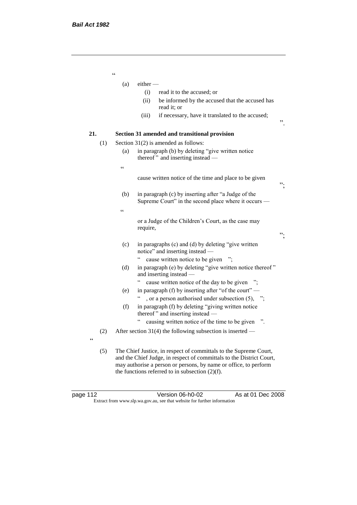"  $(a)$  either — (i) read it to the accused; or (ii) be informed by the accused that the accused has read it; or (iii) if necessary, have it translated to the accused; ". **21. Section 31 amended and transitional provision** (1) Section 31(2) is amended as follows: (a) in paragraph (b) by deleting "give written notice thereof " and inserting instead — " cause written notice of the time and place to be given "; (b) in paragraph (c) by inserting after "a Judge of the Supreme Court" in the second place where it occurs —  $\zeta\,\zeta$ or a Judge of the Children's Court, as the case may require, "; (c) in paragraphs (c) and (d) by deleting "give written notice" and inserting instead — " cause written notice to be given "; (d) in paragraph (e) by deleting "give written notice thereof " and inserting instead — " cause written notice of the day to be given "; (e) in paragraph (f) by inserting after "of the court" — ", or a person authorised under subsection  $(5)$ , "; (f) in paragraph (f) by deleting "giving written notice thereof " and inserting instead — " causing written notice of the time to be given ". (2) After section 31(4) the following subsection is inserted —  $\epsilon$ (5) The Chief Justice, in respect of committals to the Supreme Court, and the Chief Judge, in respect of committals to the District Court, may authorise a person or persons, by name or office, to perform the functions referred to in subsection  $(2)(f)$ .

page 112 Version 06-h0-02 As at 01 Dec 2008 Extract from www.slp.wa.gov.au, see that website for further information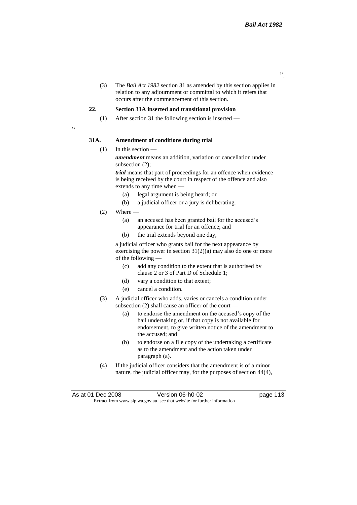".

(3) The *Bail Act 1982* section 31 as amended by this section applies in relation to any adjournment or committal to which it refers that occurs after the commencement of this section.

#### **22. Section 31A inserted and transitional provision**

(1) After section 31 the following section is inserted —

.<br>"

#### **31A. Amendment of conditions during trial**

(1) In this section —

*amendment* means an addition, variation or cancellation under subsection (2);

*trial* means that part of proceedings for an offence when evidence is being received by the court in respect of the offence and also extends to any time when —

- (a) legal argument is being heard; or
- (b) a judicial officer or a jury is deliberating.
- $(2)$  Where
	- (a) an accused has been granted bail for the accused's appearance for trial for an offence; and
	- (b) the trial extends beyond one day,

a judicial officer who grants bail for the next appearance by exercising the power in section 31(2)(a) may also do one or more of the following —

- (c) add any condition to the extent that is authorised by clause 2 or 3 of Part D of Schedule 1;
- (d) vary a condition to that extent;
- (e) cancel a condition.
- (3) A judicial officer who adds, varies or cancels a condition under subsection (2) shall cause an officer of the court —
	- (a) to endorse the amendment on the accused's copy of the bail undertaking or, if that copy is not available for endorsement, to give written notice of the amendment to the accused; and
	- (b) to endorse on a file copy of the undertaking a certificate as to the amendment and the action taken under paragraph (a).
- (4) If the judicial officer considers that the amendment is of a minor nature, the judicial officer may, for the purposes of section 44(4),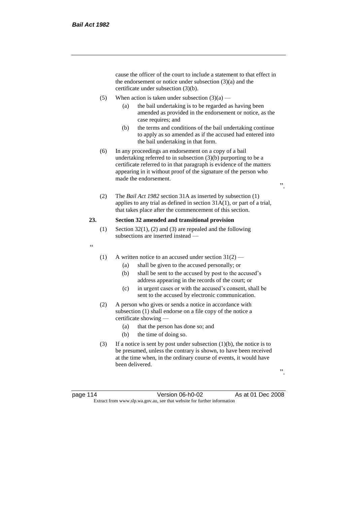cause the officer of the court to include a statement to that effect in the endorsement or notice under subsection (3)(a) and the certificate under subsection (3)(b).

- (5) When action is taken under subsection  $(3)(a)$ 
	- (a) the bail undertaking is to be regarded as having been amended as provided in the endorsement or notice, as the case requires; and
	- (b) the terms and conditions of the bail undertaking continue to apply as so amended as if the accused had entered into the bail undertaking in that form.
- (6) In any proceedings an endorsement on a copy of a bail undertaking referred to in subsection (3)(b) purporting to be a certificate referred to in that paragraph is evidence of the matters appearing in it without proof of the signature of the person who made the endorsement.
- (2) The *Bail Act 1982* section 31A as inserted by subsection (1) applies to any trial as defined in section 31A(1), or part of a trial, that takes place after the commencement of this section.

### **23. Section 32 amended and transitional provision**

- (1) Section 32(1), (2) and (3) are repealed and the following subsections are inserted instead —
- "
- (1) A written notice to an accused under section  $31(2)$ 
	- (a) shall be given to the accused personally; or
	- (b) shall be sent to the accused by post to the accused's address appearing in the records of the court; or
	- (c) in urgent cases or with the accused's consent, shall be sent to the accused by electronic communication.
- (2) A person who gives or sends a notice in accordance with subsection (1) shall endorse on a file copy of the notice a certificate showing —
	- (a) that the person has done so; and
	- (b) the time of doing so.
- (3) If a notice is sent by post under subsection  $(1)(b)$ , the notice is to be presumed, unless the contrary is shown, to have been received at the time when, in the ordinary course of events, it would have been delivered.

".

page 114 Version 06-h0-02 As at 01 Dec 2008 Extract from www.slp.wa.gov.au, see that website for further information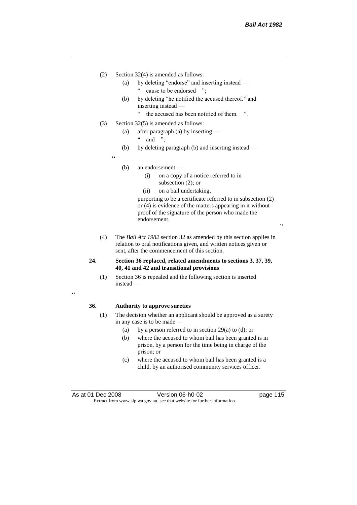- (2) Section 32(4) is amended as follows:
	- (a) by deleting "endorse" and inserting instead " cause to be endorsed ";
	- (b) by deleting "he notified the accused thereof." and inserting instead —
		- " the accused has been notified of them. ".
- (3) Section 32(5) is amended as follows:
	- (a) after paragraph (a) by inserting
		- " and ";
	- (b) by deleting paragraph (b) and inserting instead —
	- (b) an endorsement —

 $\epsilon$ 

- (i) on a copy of a notice referred to in subsection (2); or
- (ii) on a bail undertaking,

purporting to be a certificate referred to in subsection (2) or (4) is evidence of the matters appearing in it without proof of the signature of the person who made the endorsement.

".

(4) The *Bail Act 1982* section 32 as amended by this section applies in relation to oral notifications given, and written notices given or sent, after the commencement of this section.

### **24. Section 36 replaced, related amendments to sections 3, 37, 39, 40, 41 and 42 and transitional provisions**

(1) Section 36 is repealed and the following section is inserted instead —

.<br>"

#### **36. Authority to approve sureties**

- (1) The decision whether an applicant should be approved as a surety in any case is to be made —
	- (a) by a person referred to in section 29(a) to (d); or
	- (b) where the accused to whom bail has been granted is in prison, by a person for the time being in charge of the prison; or
	- (c) where the accused to whom bail has been granted is a child, by an authorised community services officer.

As at 01 Dec 2008 Version 06-h0-02 page 115 Extract from www.slp.wa.gov.au, see that website for further information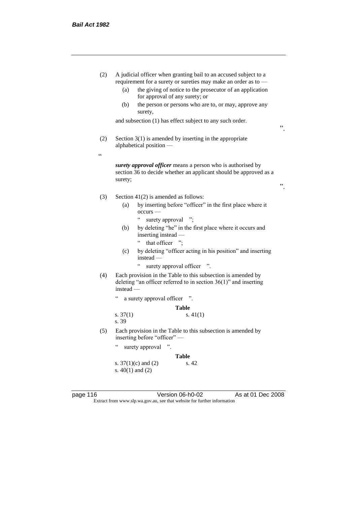| (2)        | A judicial officer when granting bail to an accused subject to a<br>requirement for a surety or sureties may make an order as to -<br>the giving of notice to the prosecutor of an application<br>(a) |    |  |
|------------|-------------------------------------------------------------------------------------------------------------------------------------------------------------------------------------------------------|----|--|
|            | for approval of any surety; or                                                                                                                                                                        |    |  |
|            | (b)<br>the person or persons who are to, or may, approve any<br>surety,                                                                                                                               |    |  |
|            | and subsection (1) has effect subject to any such order.                                                                                                                                              | ,, |  |
| (2)        | Section $3(1)$ is amended by inserting in the appropriate<br>alphabetical position -                                                                                                                  |    |  |
| $\epsilon$ |                                                                                                                                                                                                       |    |  |
|            | surety approval officer means a person who is authorised by<br>section 36 to decide whether an applicant should be approved as a<br>surety;                                                           | ,, |  |
|            |                                                                                                                                                                                                       |    |  |
| (3)        | Section $41(2)$ is amended as follows:                                                                                                                                                                |    |  |
|            | by inserting before "officer" in the first place where it<br>(a)<br>occurs -                                                                                                                          |    |  |
|            | $\epsilon$<br>surety approval ";                                                                                                                                                                      |    |  |
|            | by deleting "he" in the first place where it occurs and<br>(b)<br>inserting instead -                                                                                                                 |    |  |
|            | that officer ";                                                                                                                                                                                       |    |  |
|            | by deleting "officer acting in his position" and inserting<br>(c)<br>$instead -$                                                                                                                      |    |  |
|            | $\epsilon$<br>surety approval officer ".                                                                                                                                                              |    |  |
| (4)        | Each provision in the Table to this subsection is amended by<br>deleting "an officer referred to in section $36(1)$ " and inserting<br>$instead$ —                                                    |    |  |
|            | $\boldsymbol{\varsigma}$ $\boldsymbol{\varsigma}$<br>a surety approval officer                                                                                                                        |    |  |
|            | Table                                                                                                                                                                                                 |    |  |
|            | s. $41(1)$<br>s. $37(1)$                                                                                                                                                                              |    |  |
|            | s. 39                                                                                                                                                                                                 |    |  |
| (5)        | Each provision in the Table to this subsection is amended by<br>inserting before "officer" -                                                                                                          |    |  |
|            | $\epsilon$<br>surety approval<br>$\ddot{\phantom{0}}$                                                                                                                                                 |    |  |
|            | <b>Table</b>                                                                                                                                                                                          |    |  |
|            | s. $37(1)(c)$ and $(2)$<br>s. 42                                                                                                                                                                      |    |  |
|            | s. $40(1)$ and $(2)$                                                                                                                                                                                  |    |  |
|            |                                                                                                                                                                                                       |    |  |

Extract from www.slp.wa.gov.au, see that website for further information

page 116 **Deciminal Strutter Version 06-h0-02** As at 01 Dec 2008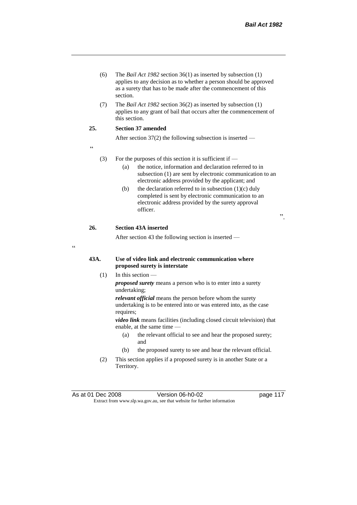- (6) The *Bail Act 1982* section 36(1) as inserted by subsection (1) applies to any decision as to whether a person should be approved as a surety that has to be made after the commencement of this section.
- (7) The *Bail Act 1982* section 36(2) as inserted by subsection (1) applies to any grant of bail that occurs after the commencement of this section.

## **25. Section 37 amended**

After section 37(2) the following subsection is inserted —

"

 $\epsilon$ 

#### (3) For the purposes of this section it is sufficient if  $-$

- (a) the notice, information and declaration referred to in subsection (1) are sent by electronic communication to an electronic address provided by the applicant; and
- (b) the declaration referred to in subsection  $(1)(c)$  duly completed is sent by electronic communication to an electronic address provided by the surety approval officer.

".

### **26. Section 43A inserted**

After section 43 the following section is inserted —

## **43A. Use of video link and electronic communication where proposed surety is interstate**

(1) In this section —

*proposed surety* means a person who is to enter into a surety undertaking;

*relevant official* means the person before whom the surety undertaking is to be entered into or was entered into, as the case requires;

*video link* means facilities (including closed circuit television) that enable, at the same time —

- (a) the relevant official to see and hear the proposed surety; and
- (b) the proposed surety to see and hear the relevant official.
- (2) This section applies if a proposed surety is in another State or a Territory.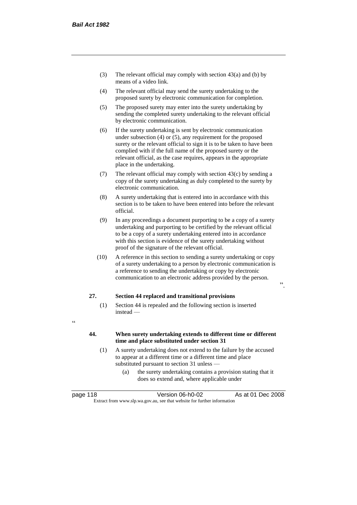- (3) The relevant official may comply with section 43(a) and (b) by means of a video link.
- (4) The relevant official may send the surety undertaking to the proposed surety by electronic communication for completion.
- (5) The proposed surety may enter into the surety undertaking by sending the completed surety undertaking to the relevant official by electronic communication.
- (6) If the surety undertaking is sent by electronic communication under subsection (4) or (5), any requirement for the proposed surety or the relevant official to sign it is to be taken to have been complied with if the full name of the proposed surety or the relevant official, as the case requires, appears in the appropriate place in the undertaking.
- (7) The relevant official may comply with section  $43(c)$  by sending a copy of the surety undertaking as duly completed to the surety by electronic communication.
- (8) A surety undertaking that is entered into in accordance with this section is to be taken to have been entered into before the relevant official.
- (9) In any proceedings a document purporting to be a copy of a surety undertaking and purporting to be certified by the relevant official to be a copy of a surety undertaking entered into in accordance with this section is evidence of the surety undertaking without proof of the signature of the relevant official.
- (10) A reference in this section to sending a surety undertaking or copy of a surety undertaking to a person by electronic communication is a reference to sending the undertaking or copy by electronic communication to an electronic address provided by the person.

".

### **27. Section 44 replaced and transitional provisions**

- (1) Section 44 is repealed and the following section is inserted instead —
- $\epsilon$

## **44. When surety undertaking extends to different time or different time and place substituted under section 31**

- (1) A surety undertaking does not extend to the failure by the accused to appear at a different time or a different time and place substituted pursuant to section 31 unless —
	- (a) the surety undertaking contains a provision stating that it does so extend and, where applicable under

| page 118 | Version 06-h0-02                                                         | As at 01 Dec 2008 |  |
|----------|--------------------------------------------------------------------------|-------------------|--|
|          | Extract from www.slp.wa.gov.au, see that website for further information |                   |  |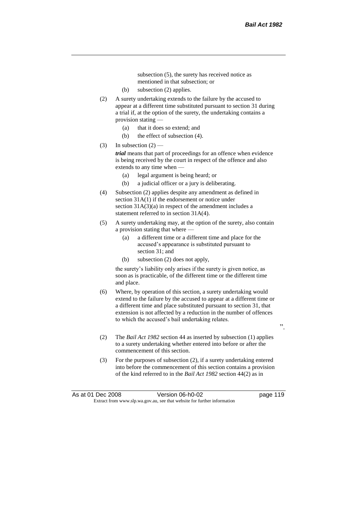subsection (5), the surety has received notice as mentioned in that subsection; or

- (b) subsection (2) applies.
- (2) A surety undertaking extends to the failure by the accused to appear at a different time substituted pursuant to section 31 during a trial if, at the option of the surety, the undertaking contains a provision stating —
	- (a) that it does so extend; and
	- (b) the effect of subsection (4).
- (3) In subsection  $(2)$  —

*trial* means that part of proceedings for an offence when evidence is being received by the court in respect of the offence and also extends to any time when —

- (a) legal argument is being heard; or
- (b) a judicial officer or a jury is deliberating.
- (4) Subsection (2) applies despite any amendment as defined in section 31A(1) if the endorsement or notice under section  $31A(3)(a)$  in respect of the amendment includes a statement referred to in section 31A(4).
- (5) A surety undertaking may, at the option of the surety, also contain a provision stating that where —
	- (a) a different time or a different time and place for the accused's appearance is substituted pursuant to section 31; and
	- (b) subsection (2) does not apply,

the surety's liability only arises if the surety is given notice, as soon as is practicable, of the different time or the different time and place.

- (6) Where, by operation of this section, a surety undertaking would extend to the failure by the accused to appear at a different time or a different time and place substituted pursuant to section 31, that extension is not affected by a reduction in the number of offences to which the accused's bail undertaking relates.
- ".
- (2) The *Bail Act 1982* section 44 as inserted by subsection (1) applies to a surety undertaking whether entered into before or after the commencement of this section.
- (3) For the purposes of subsection (2), if a surety undertaking entered into before the commencement of this section contains a provision of the kind referred to in the *Bail Act 1982* section 44(2) as in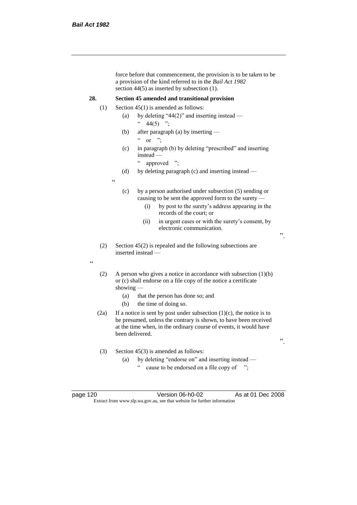force before that commencement, the provision is to be taken to be a provision of the kind referred to in the *Bail Act 1982*  section 44(5) as inserted by subsection (1). **28. Section 45 amended and transitional provision** (1) Section  $45(1)$  is amended as follows: (a) by deleting "44(2)" and inserting instead —  $44(5)$  "; (b) after paragraph (a) by inserting —  $\alpha$  or "; (c) in paragraph (b) by deleting "prescribed" and inserting instead — " approved "; (d) by deleting paragraph (c) and inserting instead — " (c) by a person authorised under subsection (5) sending or causing to be sent the approved form to the surety — (i) by post to the surety's address appearing in the records of the court; or (ii) in urgent cases or with the surety's consent, by electronic communication. ". (2) Section 45(2) is repealed and the following subsections are inserted instead — " (2) A person who gives a notice in accordance with subsection  $(1)(b)$ or (c) shall endorse on a file copy of the notice a certificate showing — (a) that the person has done so; and (b) the time of doing so. (2a) If a notice is sent by post under subsection  $(1)(c)$ , the notice is to be presumed, unless the contrary is shown, to have been received at the time when, in the ordinary course of events, it would have been delivered. ". (3) Section 45(3) is amended as follows: (a) by deleting "endorse on" and inserting instead cause to be endorsed on a file copy of ";

page 120 Version 06-h0-02 As at 01 Dec 2008 Extract from www.slp.wa.gov.au, see that website for further information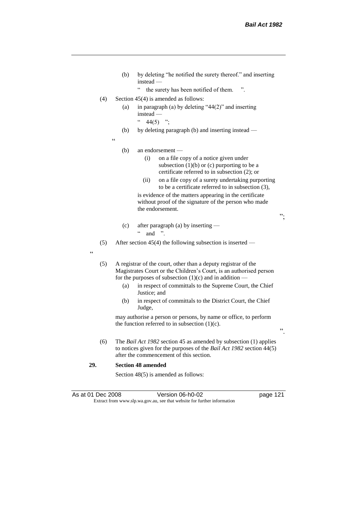- (b) by deleting "he notified the surety thereof." and inserting instead —
	- " the surety has been notified of them. ".
- (4) Section  $45(4)$  is amended as follows:
	- (a) in paragraph (a) by deleting " $44(2)$ " and inserting instead —
		- $44(5)$  ";
	- (b) by deleting paragraph (b) and inserting instead —

 $\epsilon$ 

#### (b) an endorsement —

- (i) on a file copy of a notice given under subsection  $(1)(b)$  or  $(c)$  purporting to be a certificate referred to in subsection (2); or
- (ii) on a file copy of a surety undertaking purporting to be a certificate referred to in subsection (3),

is evidence of the matters appearing in the certificate without proof of the signature of the person who made the endorsement.

";

- (c) after paragraph (a) by inserting  $\lq$  and ".
- (5) After section 45(4) the following subsection is inserted —

.<br>د د

(5) A registrar of the court, other than a deputy registrar of the Magistrates Court or the Children's Court, is an authorised person for the purposes of subsection  $(1)(c)$  and in addition —

- (a) in respect of committals to the Supreme Court, the Chief Justice; and
- (b) in respect of committals to the District Court, the Chief Judge,

may authorise a person or persons, by name or office, to perform the function referred to in subsection  $(1)(c)$ .

".

(6) The *Bail Act 1982* section 45 as amended by subsection (1) applies to notices given for the purposes of the *Bail Act 1982* section 44(5) after the commencement of this section.

### **29. Section 48 amended**

Section 48(5) is amended as follows:

As at 01 Dec 2008 Version 06-h0-02 page 121 Extract from www.slp.wa.gov.au, see that website for further information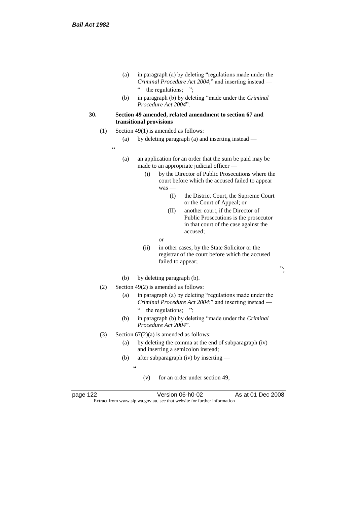- (a) in paragraph (a) by deleting "regulations made under the *Criminal Procedure Act 2004*;" and inserting instead — " the regulations; ";
- (b) in paragraph (b) by deleting "made under the *Criminal Procedure Act 2004*".
- **30. Section 49 amended, related amendment to section 67 and transitional provisions**
	- (1) Section 49(1) is amended as follows:
		- (a) by deleting paragraph (a) and inserting instead —
		- .<br>.
- (a) an application for an order that the sum be paid may be made to an appropriate judicial officer —
	- (i) by the Director of Public Prosecutions where the court before which the accused failed to appear was —
		- (I) the District Court, the Supreme Court or the Court of Appeal; or
		- (II) another court, if the Director of Public Prosecutions is the prosecutor in that court of the case against the accused;
		- or
	- (ii) in other cases, by the State Solicitor or the registrar of the court before which the accused failed to appear;
- ";

- (b) by deleting paragraph (b).
- (2) Section 49(2) is amended as follows:
	- (a) in paragraph (a) by deleting "regulations made under the *Criminal Procedure Act 2004*;" and inserting instead — " the regulations; ";
	- (b) in paragraph (b) by deleting "made under the *Criminal Procedure Act 2004*".
- (3) Section  $67(2)(a)$  is amended as follows:
	- (a) by deleting the comma at the end of subparagraph (iv) and inserting a semicolon instead;
	- (b) after subparagraph (iv) by inserting
		- $\epsilon$ 
			- (v) for an order under section 49,

page 122 Version 06-h0-02 As at 01 Dec 2008 Extract from www.slp.wa.gov.au, see that website for further information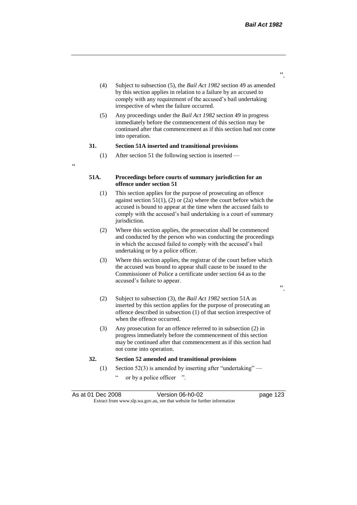- (4) Subject to subsection (5), the *Bail Act 1982* section 49 as amended by this section applies in relation to a failure by an accused to comply with any requirement of the accused's bail undertaking irrespective of when the failure occurred.
- (5) Any proceedings under the *Bail Act 1982* section 49 in progress immediately before the commencement of this section may be continued after that commencement as if this section had not come into operation.

#### **31. Section 51A inserted and transitional provisions**

 $\alpha$ 

(1) After section 51 the following section is inserted —

### **51A. Proceedings before courts of summary jurisdiction for an offence under section 51**

- (1) This section applies for the purpose of prosecuting an offence against section  $51(1)$ , (2) or (2a) where the court before which the accused is bound to appear at the time when the accused fails to comply with the accused's bail undertaking is a court of summary jurisdiction.
- (2) Where this section applies, the prosecution shall be commenced and conducted by the person who was conducting the proceedings in which the accused failed to comply with the accused's bail undertaking or by a police officer.
- (3) Where this section applies, the registrar of the court before which the accused was bound to appear shall cause to be issued to the Commissioner of Police a certificate under section 64 as to the accused's failure to appear.
- (2) Subject to subsection (3), the *Bail Act 1982* section 51A as inserted by this section applies for the purpose of prosecuting an offence described in subsection (1) of that section irrespective of when the offence occurred.
- (3) Any prosecution for an offence referred to in subsection (2) in progress immediately before the commencement of this section may be continued after that commencement as if this section had not come into operation.

### **32. Section 52 amended and transitional provisions**

- (1) Section 52(3) is amended by inserting after "undertaking"
	- or by a police officer ".

".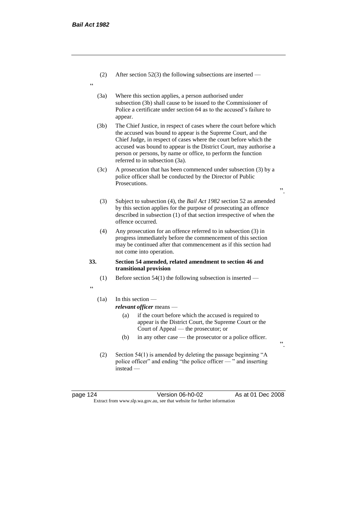- (2) After section 52(3) the following subsections are inserted —
- "
- (3a) Where this section applies, a person authorised under subsection (3b) shall cause to be issued to the Commissioner of Police a certificate under section 64 as to the accused's failure to appear.
- (3b) The Chief Justice, in respect of cases where the court before which the accused was bound to appear is the Supreme Court, and the Chief Judge, in respect of cases where the court before which the accused was bound to appear is the District Court, may authorise a person or persons, by name or office, to perform the function referred to in subsection (3a).
- (3c) A prosecution that has been commenced under subsection (3) by a police officer shall be conducted by the Director of Public Prosecutions.
	- (3) Subject to subsection (4), the *Bail Act 1982* section 52 as amended by this section applies for the purpose of prosecuting an offence described in subsection (1) of that section irrespective of when the offence occurred.
- (4) Any prosecution for an offence referred to in subsection (3) in progress immediately before the commencement of this section may be continued after that commencement as if this section had not come into operation.

#### **33. Section 54 amended, related amendment to section 46 and transitional provision**

- (1) Before section 54(1) the following subsection is inserted —
- "

## (1a) In this section —

*relevant officer* means —

- (a) if the court before which the accused is required to appear is the District Court, the Supreme Court or the Court of Appeal — the prosecutor; or
- (b) in any other case the prosecutor or a police officer.
- (2) Section 54(1) is amended by deleting the passage beginning "A police officer" and ending "the police officer — " and inserting instead —

page 124 Version 06-h0-02 As at 01 Dec 2008 Extract from www.slp.wa.gov.au, see that website for further information

".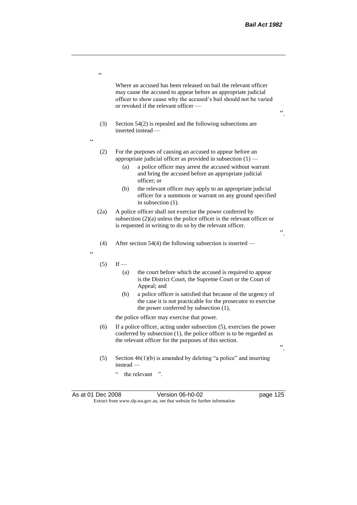Where an accused has been released on bail the relevant officer may cause the accused to appear before an appropriate judicial officer to show cause why the accused's bail should not be varied or revoked if the relevant officer —

- (3) Section 54(2) is repealed and the following subsections are inserted instead —
- $\ddot{\phantom{0}}$

.<br>C

- (2) For the purposes of causing an accused to appear before an appropriate judicial officer as provided in subsection (1) —
	- (a) a police officer may arrest the accused without warrant and bring the accused before an appropriate judicial officer; or
	- (b) the relevant officer may apply to an appropriate judicial officer for a summons or warrant on any ground specified in subsection (1).
- (2a) A police officer shall not exercise the power conferred by subsection (2)(a) unless the police officer is the relevant officer or is requested in writing to do so by the relevant officer.
- (4) After section 54(4) the following subsection is inserted —

 $\epsilon$ 

- $(5)$  If
	- (a) the court before which the accused is required to appear is the District Court, the Supreme Court or the Court of Appeal; and
	- (b) a police officer is satisfied that because of the urgency of the case it is not practicable for the prosecutor to exercise the power conferred by subsection (1),

the police officer may exercise that power.

- (6) If a police officer, acting under subsection (5), exercises the power conferred by subsection (1), the police officer is to be regarded as the relevant officer for the purposes of this section.
- (5) Section  $46(1)(b)$  is amended by deleting "a police" and inserting instead —
	- " the relevant ".

".

".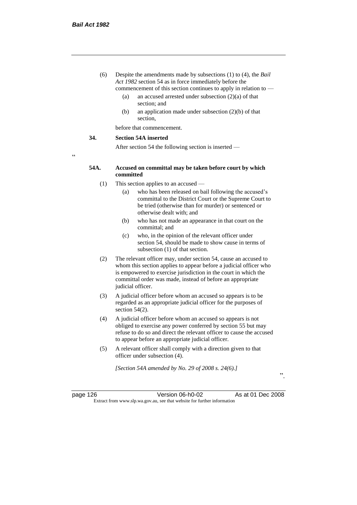- (6) Despite the amendments made by subsections (1) to (4), the *Bail Act 1982* section 54 as in force immediately before the commencement of this section continues to apply in relation to —
	- (a) an accused arrested under subsection (2)(a) of that section; and
	- (b) an application made under subsection (2)(b) of that section,

before that commencement.

#### **34. Section 54A inserted**

After section 54 the following section is inserted —

"

### **54A. Accused on committal may be taken before court by which committed**

- (1) This section applies to an accused
	- (a) who has been released on bail following the accused's committal to the District Court or the Supreme Court to be tried (otherwise than for murder) or sentenced or otherwise dealt with; and
	- (b) who has not made an appearance in that court on the committal; and
	- (c) who, in the opinion of the relevant officer under section 54, should be made to show cause in terms of subsection (1) of that section.
- (2) The relevant officer may, under section 54, cause an accused to whom this section applies to appear before a judicial officer who is empowered to exercise jurisdiction in the court in which the committal order was made, instead of before an appropriate judicial officer.
- (3) A judicial officer before whom an accused so appears is to be regarded as an appropriate judicial officer for the purposes of section 54(2).
- (4) A judicial officer before whom an accused so appears is not obliged to exercise any power conferred by section 55 but may refuse to do so and direct the relevant officer to cause the accused to appear before an appropriate judicial officer.
- (5) A relevant officer shall comply with a direction given to that officer under subsection (4).

*[Section 54A amended by No. 29 of 2008 s. 24(6).]*

page 126 Version 06-h0-02 As at 01 Dec 2008 Extract from www.slp.wa.gov.au, see that website for further information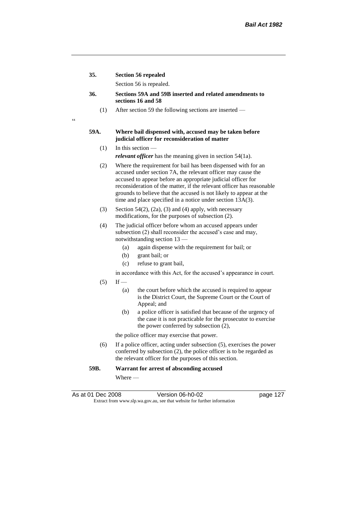**35. Section 56 repealed**

 $\epsilon$ 

Section 56 is repealed.

- **36. Sections 59A and 59B inserted and related amendments to sections 16 and 58**
	- (1) After section 59 the following sections are inserted —

#### **59A. Where bail dispensed with, accused may be taken before judicial officer for reconsideration of matter**

- $(1)$  In this section *relevant officer* has the meaning given in section 54(1a).
- (2) Where the requirement for bail has been dispensed with for an accused under section 7A, the relevant officer may cause the accused to appear before an appropriate judicial officer for reconsideration of the matter, if the relevant officer has reasonable grounds to believe that the accused is not likely to appear at the time and place specified in a notice under section 13A(3).
- (3) Section 54(2), (2a), (3) and (4) apply, with necessary modifications, for the purposes of subsection (2).
- (4) The judicial officer before whom an accused appears under subsection (2) shall reconsider the accused's case and may, notwithstanding section 13 —
	- (a) again dispense with the requirement for bail; or
	- (b) grant bail; or
	- (c) refuse to grant bail,
	- in accordance with this Act, for the accused's appearance in court.
- $(5)$  If
	- (a) the court before which the accused is required to appear is the District Court, the Supreme Court or the Court of Appeal; and
	- (b) a police officer is satisfied that because of the urgency of the case it is not practicable for the prosecutor to exercise the power conferred by subsection (2),

the police officer may exercise that power.

(6) If a police officer, acting under subsection (5), exercises the power conferred by subsection (2), the police officer is to be regarded as the relevant officer for the purposes of this section.

### **59B. Warrant for arrest of absconding accused**

Where —

As at 01 Dec 2008 Version 06-h0-02 page 127 Extract from www.slp.wa.gov.au, see that website for further information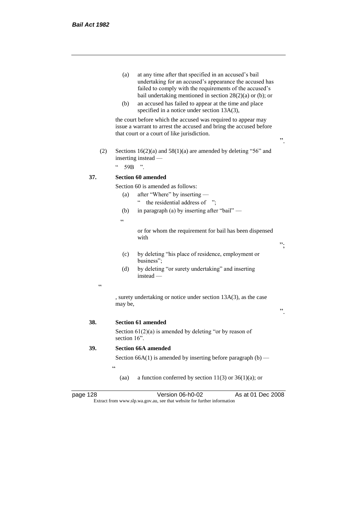- (a) at any time after that specified in an accused's bail undertaking for an accused's appearance the accused has failed to comply with the requirements of the accused's bail undertaking mentioned in section 28(2)(a) or (b); or
- (b) an accused has failed to appear at the time and place specified in a notice under section 13A(3),

the court before which the accused was required to appear may issue a warrant to arrest the accused and bring the accused before that court or a court of like jurisdiction.

- ".
- (2) Sections  $16(2)(a)$  and  $58(1)(a)$  are amended by deleting "56" and inserting instead —

 $^{\circ}$  59B ".

## **37. Section 60 amended**

Section 60 is amended as follows:

- (a) after "Where" by inserting
	- " the residential address of ";
- (b) in paragraph (a) by inserting after "bail" —

 $\epsilon$ 

or for whom the requirement for bail has been dispensed with

- (c) by deleting "his place of residence, employment or business";
- (d) by deleting "or surety undertaking" and inserting instead —
- $\epsilon$

, surety undertaking or notice under section 13A(3), as the case may be,

**38. Section 61 amended**

Section  $61(2)(a)$  is amended by deleting "or by reason of section 16".

## **39. Section 66A amended**

 $\epsilon$ 

Section 66A(1) is amended by inserting before paragraph  $(b)$  —

(aa) a function conferred by section  $11(3)$  or  $36(1)(a)$ ; or

| page 128 |  |
|----------|--|
|----------|--|

page 128 Version 06-h0-02 As at 01 Dec 2008 Extract from www.slp.wa.gov.au, see that website for further information

";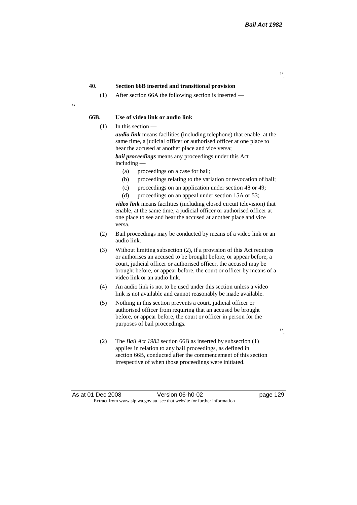".

### **40. Section 66B inserted and transitional provision**

(1) After section 66A the following section is inserted —

<u>،</u>

## **66B. Use of video link or audio link**

(1) In this section —

*audio link* means facilities (including telephone) that enable, at the same time, a judicial officer or authorised officer at one place to hear the accused at another place and vice versa;

*bail proceedings* means any proceedings under this Act including —

- (a) proceedings on a case for bail;
- (b) proceedings relating to the variation or revocation of bail;
- (c) proceedings on an application under section 48 or 49;
- (d) proceedings on an appeal under section 15A or 53;

*video link* means facilities (including closed circuit television) that enable, at the same time, a judicial officer or authorised officer at one place to see and hear the accused at another place and vice versa.

- (2) Bail proceedings may be conducted by means of a video link or an audio link.
- (3) Without limiting subsection (2), if a provision of this Act requires or authorises an accused to be brought before, or appear before, a court, judicial officer or authorised officer, the accused may be brought before, or appear before, the court or officer by means of a video link or an audio link.
- (4) An audio link is not to be used under this section unless a video link is not available and cannot reasonably be made available.
- (5) Nothing in this section prevents a court, judicial officer or authorised officer from requiring that an accused be brought before, or appear before, the court or officer in person for the purposes of bail proceedings.
- (2) The *Bail Act 1982* section 66B as inserted by subsection (1) applies in relation to any bail proceedings, as defined in section 66B, conducted after the commencement of this section irrespective of when those proceedings were initiated.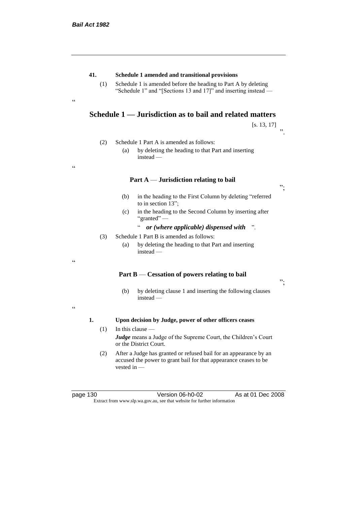.<br>cc

"

## **41. Schedule 1 amended and transitional provisions**

(1) Schedule 1 is amended before the heading to Part A by deleting "Schedule 1" and "[Sections 13 and 17]" and inserting instead —

# **Schedule 1 — Jurisdiction as to bail and related matters**

[s. 13, 17] ".

- (2) Schedule 1 Part A is amended as follows:
	- (a) by deleting the heading to that Part and inserting instead —

### **Part A** — **Jurisdiction relating to bail**

- (b) in the heading to the First Column by deleting "referred to in section 13";
- (c) in the heading to the Second Column by inserting after "granted" —

" *or (where applicable) dispensed with* ".

- (3) Schedule 1 Part B is amended as follows:
	- (a) by deleting the heading to that Part and inserting instead —

## **Part B** — **Cessation of powers relating to bail**

";

";

- (b) by deleting clause 1 and inserting the following clauses instead —
- $\epsilon$

"

### **1. Upon decision by Judge, power of other officers ceases**

- $(1)$  In this clause *Judge* means a Judge of the Supreme Court, the Children's Court or the District Court.
- (2) After a Judge has granted or refused bail for an appearance by an accused the power to grant bail for that appearance ceases to be vested in —

page 130 Version 06-h0-02 As at 01 Dec 2008 Extract from www.slp.wa.gov.au, see that website for further information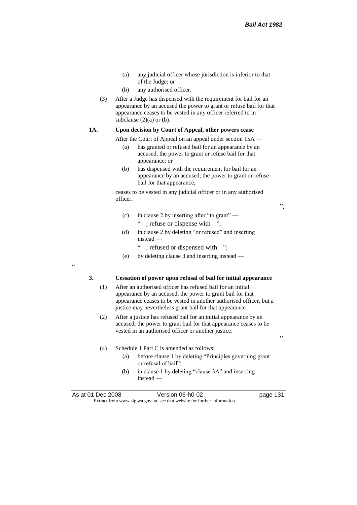";

".

- (a) any judicial officer whose jurisdiction is inferior to that of the Judge; or
- (b) any authorised officer.
- (3) After a Judge has dispensed with the requirement for bail for an appearance by an accused the power to grant or refuse bail for that appearance ceases to be vested in any officer referred to in subclause  $(2)(a)$  or  $(b)$ .

### **1A. Upon decision by Court of Appeal, other powers cease**

After the Court of Appeal on an appeal under section 15A —

- (a) has granted or refused bail for an appearance by an accused, the power to grant or refuse bail for that appearance; or
- (b) has dispensed with the requirement for bail for an appearance by an accused, the power to grant or refuse bail for that appearance,

ceases to be vested in any judicial officer or in any authorised officer.

- (c) in clause 2 by inserting after "to grant" " , refuse or dispense with ";
- (d) in clause 2 by deleting "or refused" and inserting instead —
	- " , refused or dispensed with ";
- (e) by deleting clause 3 and inserting instead —

"

#### **3. Cessation of power upon refusal of bail for initial appearance**

- (1) After an authorised officer has refused bail for an initial appearance by an accused, the power to grant bail for that appearance ceases to be vested in another authorised officer, but a justice may nevertheless grant bail for that appearance.
- (2) After a justice has refused bail for an initial appearance by an accused, the power to grant bail for that appearance ceases to be vested in an authorised officer or another justice.
- (4) Schedule 1 Part C is amended as follows:
	- (a) before clause 1 by deleting "Principles governing grant or refusal of bail";
	- (b) in clause 1 by deleting "clause 3A" and inserting instead —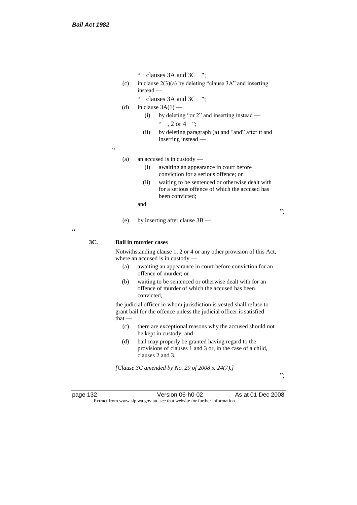- " clauses 3A and 3C ";
- (c) in clause  $2(3)(a)$  by deleting "clause 3A" and inserting instead —
	- " clauses 3A and 3C ";

(d) in clause  $3A(1)$  —

- (i) by deleting "or 2" and inserting instead  $\degree$  , 2 or 4  $\degree$  :
- (ii) by deleting paragraph (a) and "and" after it and inserting instead —

 $\epsilon$ 

- (a) an accused is in custody
	- (i) awaiting an appearance in court before conviction for a serious offence; or
	- (ii) waiting to be sentenced or otherwise dealt with for a serious offence of which the accused has been convicted;

and

(e) by inserting after clause 3B —

 $\epsilon$ 

## **3C. Bail in murder cases**

Notwithstanding clause 1, 2 or 4 or any other provision of this Act, where an accused is in custody —

- (a) awaiting an appearance in court before conviction for an offence of murder; or
- (b) waiting to be sentenced or otherwise dealt with for an offence of murder of which the accused has been convicted,

the judicial officer in whom jurisdiction is vested shall refuse to grant bail for the offence unless the judicial officer is satisfied that —

- (c) there are exceptional reasons why the accused should not be kept in custody; and
- (d) bail may properly be granted having regard to the provisions of clauses 1 and 3 or, in the case of a child, clauses 2 and 3.

*[Clause 3C amended by No. 29 of 2008 s. 24(7).]*

page 132 Version 06-h0-02 As at 01 Dec 2008 Extract from www.slp.wa.gov.au, see that website for further information

";

";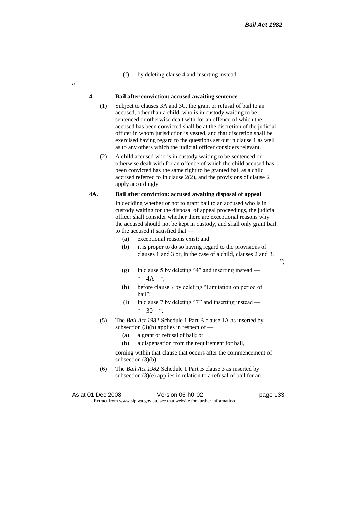";

(f) by deleting clause 4 and inserting instead —

#### **4. Bail after conviction: accused awaiting sentence**

.<br>c

- (1) Subject to clauses 3A and 3C, the grant or refusal of bail to an accused, other than a child, who is in custody waiting to be sentenced or otherwise dealt with for an offence of which the accused has been convicted shall be at the discretion of the judicial officer in whom jurisdiction is vested, and that discretion shall be exercised having regard to the questions set out in clause 1 as well as to any others which the judicial officer considers relevant.
- (2) A child accused who is in custody waiting to be sentenced or otherwise dealt with for an offence of which the child accused has been convicted has the same right to be granted bail as a child accused referred to in clause 2(2), and the provisions of clause 2 apply accordingly.

#### **4A. Bail after conviction: accused awaiting disposal of appeal**

In deciding whether or not to grant bail to an accused who is in custody waiting for the disposal of appeal proceedings, the judicial officer shall consider whether there are exceptional reasons why the accused should not be kept in custody, and shall only grant bail to the accused if satisfied that —

- (a) exceptional reasons exist; and
- (b) it is proper to do so having regard to the provisions of clauses 1 and 3 or, in the case of a child, clauses 2 and 3.
- (g) in clause 5 by deleting "4" and inserting instead  $\cdot \cdot$  4A ";
- (h) before clause 7 by deleting "Limitation on period of bail";
- (i) in clause 7 by deleting "7" and inserting instead  $"30"$ .
- (5) The *Bail Act 1982* Schedule 1 Part B clause 1A as inserted by subsection  $(3)(b)$  applies in respect of  $-$ 
	- (a) a grant or refusal of bail; or
	- (b) a dispensation from the requirement for bail,

coming within that clause that occurs after the commencement of subsection  $(3)(b)$ .

(6) The *Bail Act 1982* Schedule 1 Part B clause 3 as inserted by subsection (3)(e) applies in relation to a refusal of bail for an

As at 01 Dec 2008 Version 06-h0-02 page 133 Extract from www.slp.wa.gov.au, see that website for further information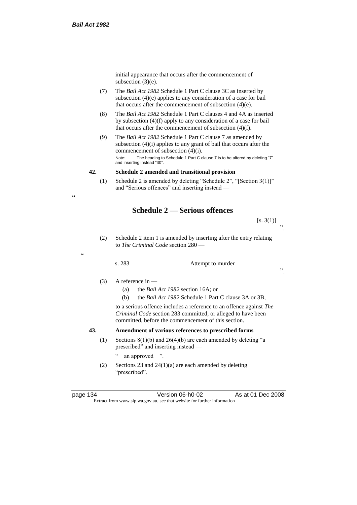$\epsilon$ 

"

initial appearance that occurs after the commencement of subsection (3)(e).

- (7) The *Bail Act 1982* Schedule 1 Part C clause 3C as inserted by subsection (4)(e) applies to any consideration of a case for bail that occurs after the commencement of subsection (4)(e).
- (8) The *Bail Act 1982* Schedule 1 Part C clauses 4 and 4A as inserted by subsection (4)(f) apply to any consideration of a case for bail that occurs after the commencement of subsection (4)(f).
- (9) The *Bail Act 1982* Schedule 1 Part C clause 7 as amended by subsection (4)(i) applies to any grant of bail that occurs after the commencement of subsection (4)(i). Note: The heading to Schedule 1 Part C clause 7 is to be altered by deleting "7" and inserting instead "30".

#### **42. Schedule 2 amended and transitional provision**

(1) Schedule 2 is amended by deleting "Schedule 2", "[Section 3(1)]" and "Serious offences" and inserting instead —

# **Schedule 2 — Serious offences**

[s. 3(1)] ".

(2) Schedule 2 item 1 is amended by inserting after the entry relating to *The Criminal Code* section 280 —

#### s. 283 Attempt to murder

".

# $(3)$  A reference in —

- (a) the *Bail Act 1982* section 16A; or
- (b) the *Bail Act 1982* Schedule 1 Part C clause 3A or 3B,

to a serious offence includes a reference to an offence against *The Criminal Code* section 283 committed, or alleged to have been committed, before the commencement of this section.

# **43. Amendment of various references to prescribed forms**

(1) Sections  $8(1)(b)$  and  $26(4)(b)$  are each amended by deleting "a prescribed" and inserting instead —

" an approved ".

(2) Sections 23 and 24(1)(a) are each amended by deleting "prescribed".

page 134 Version 06-h0-02 As at 01 Dec 2008 Extract from www.slp.wa.gov.au, see that website for further information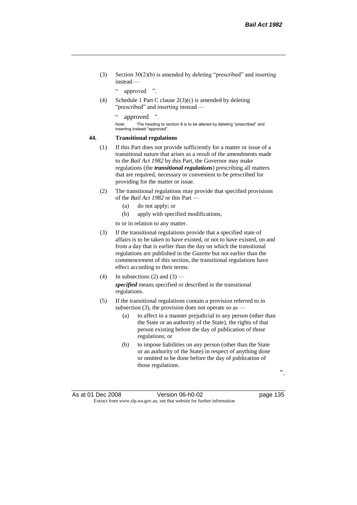(3) Section 30(2)(b) is amended by deleting "prescribed" and inserting instead —

" approved ".

(4) Schedule 1 Part C clause 2(3)(c) is amended by deleting "prescribed" and inserting instead —

" approved ".

Note: The heading to section 8 is to be altered by deleting "prescribed" and inserting instead "approved".

#### **44. Transitional regulations**

- (1) If this Part does not provide sufficiently for a matter or issue of a transitional nature that arises as a result of the amendments made to the *Bail Act 1982* by this Part, the Governor may make regulations (the *transitional regulations*) prescribing all matters that are required, necessary or convenient to be prescribed for providing for the matter or issue.
- (2) The transitional regulations may provide that specified provisions of the *Bail Act 1982* or this Part —
	- (a) do not apply; or
	- (b) apply with specified modifications,

to or in relation to any matter.

- (3) If the transitional regulations provide that a specified state of affairs is to be taken to have existed, or not to have existed, on and from a day that is earlier than the day on which the transitional regulations are published in the *Gazette* but not earlier than the commencement of this section, the transitional regulations have effect according to their terms.
- (4) In subsections (2) and (3) *specified* means specified or described in the transitional regulations.
- (5) If the transitional regulations contain a provision referred to in subsection (3), the provision does not operate so as  $-$ 
	- (a) to affect in a manner prejudicial to any person (other than the State or an authority of the State), the rights of that person existing before the day of publication of those regulations; or
	- (b) to impose liabilities on any person (other than the State or an authority of the State) in respect of anything done or omitted to be done before the day of publication of those regulations.

".

As at 01 Dec 2008 Version 06-h0-02 page 135 Extract from www.slp.wa.gov.au, see that website for further information